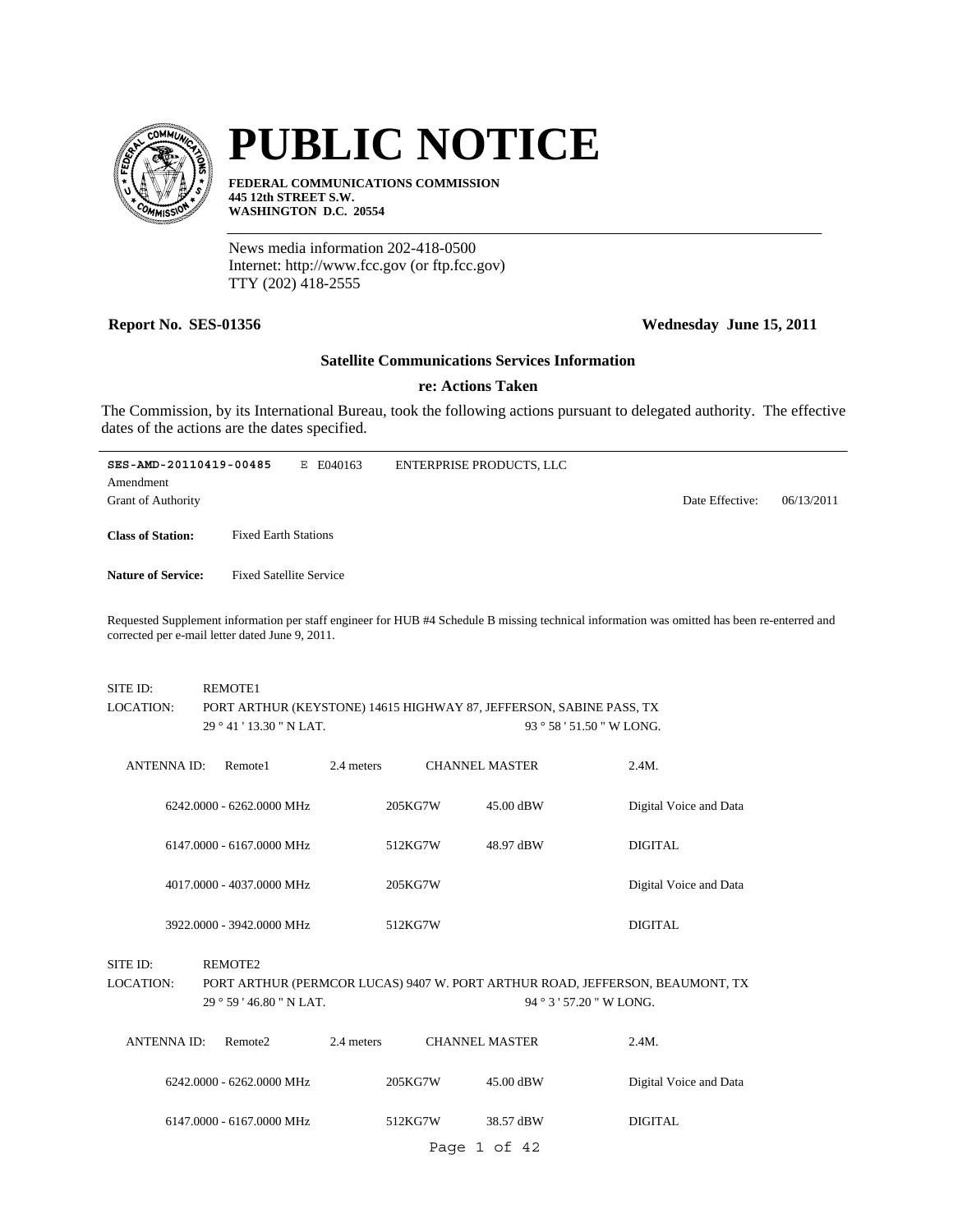

# **PUBLIC NOTICE**

**FEDERAL COMMUNICATIONS COMMISSION 445 12th STREET S.W. WASHINGTON D.C. 20554**

News media information 202-418-0500 Internet: http://www.fcc.gov (or ftp.fcc.gov) TTY (202) 418-2555

## **Report No. SES-01356 Wednesday June 15, 2011**

#### **Satellite Communications Services Information**

# **re: Actions Taken**

The Commission, by its International Bureau, took the following actions pursuant to delegated authority. The effective dates of the actions are the dates specified.

| SES-AMD-20110419-00485                                                                                                                                                                          | Е                              | E040163 | <b>ENTERPRISE PRODUCTS, LLC</b>                                     |                 |            |  |
|-------------------------------------------------------------------------------------------------------------------------------------------------------------------------------------------------|--------------------------------|---------|---------------------------------------------------------------------|-----------------|------------|--|
| Amendment                                                                                                                                                                                       |                                |         |                                                                     |                 |            |  |
| <b>Grant of Authority</b>                                                                                                                                                                       |                                |         |                                                                     | Date Effective: | 06/13/2011 |  |
| <b>Class of Station:</b>                                                                                                                                                                        | <b>Fixed Earth Stations</b>    |         |                                                                     |                 |            |  |
| <b>Nature of Service:</b>                                                                                                                                                                       | <b>Fixed Satellite Service</b> |         |                                                                     |                 |            |  |
| Requested Supplement information per staff engineer for HUB #4 Schedule B missing technical information was omitted has been re-enterred and<br>corrected per e-mail letter dated June 9, 2011. |                                |         |                                                                     |                 |            |  |
| SITE ID:                                                                                                                                                                                        | <b>REMOTE1</b>                 |         |                                                                     |                 |            |  |
| LOCATION:                                                                                                                                                                                       |                                |         | PORT ARTHUR (KEYSTONE) 14615 HIGHWAY 87, JEFFERSON, SABINE PASS, TX |                 |            |  |
|                                                                                                                                                                                                 | 29°41'13.30"N LAT.             |         | $93°58'51.50"$ W LONG.                                              |                 |            |  |

| <b>ANTENNA ID:</b> | Remote1                   | 2.4 meters |         | <b>CHANNEL MASTER</b> | 2.4M.                  |  |
|--------------------|---------------------------|------------|---------|-----------------------|------------------------|--|
|                    | 6242.0000 - 6262.0000 MHz |            | 205KG7W | 45.00 dBW             | Digital Voice and Data |  |
|                    | 6147,0000 - 6167,0000 MHz |            | 512KG7W | 48.97 dBW             | DIGITAL                |  |
|                    | 4017.0000 - 4037.0000 MHz |            | 205KG7W |                       | Digital Voice and Data |  |

3922.0000 - 3942.0000 MHz 512KG7W DIGITAL

SITE ID: REMOTE2

29 ° 59 ' 46.80 " N LAT. PORT ARTHUR (PERMCOR LUCAS) 9407 W. PORT ARTHUR ROAD, JEFFERSON, BEAUMONT, TX 94 ° 3 ' 57.20 " W LONG. LOCATION:

| ANTENNA ID: | Remote <sub>2</sub>       | 2.4 meters | <b>CHANNEL MASTER</b> |           | 2.4M.                  |
|-------------|---------------------------|------------|-----------------------|-----------|------------------------|
|             | 6242.0000 - 6262.0000 MHz | 205KG7W    |                       | 45.00 dBW | Digital Voice and Data |
|             | 6147,0000 - 6167,0000 MHz | 512KG7W    |                       | 38.57 dBW | <b>DIGITAL</b>         |
|             |                           |            | Page 1 of 42          |           |                        |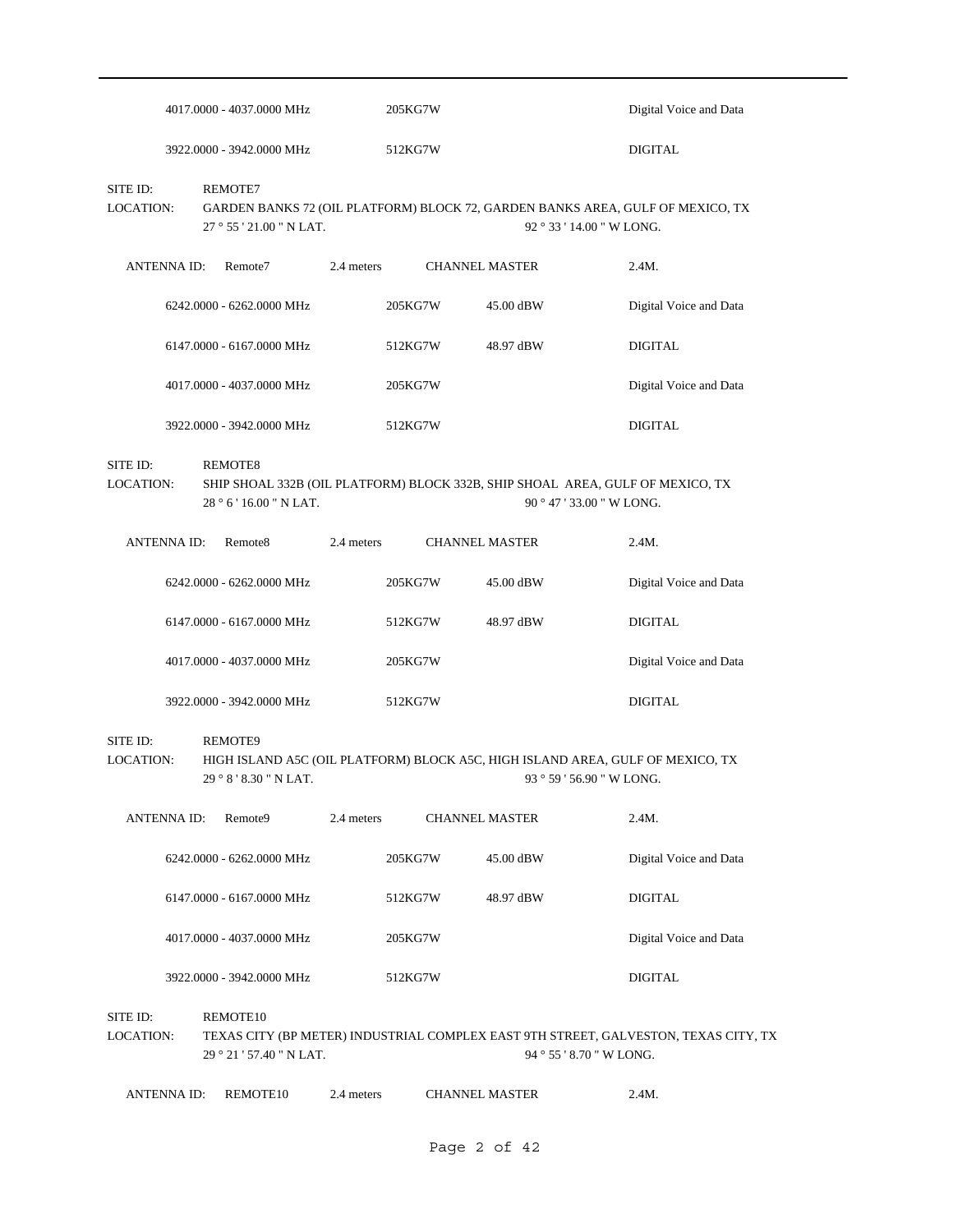|                              | 4017.0000 - 4037.0000 MHz           |            | 205KG7W |                       | Digital Voice and Data                                                                                          |
|------------------------------|-------------------------------------|------------|---------|-----------------------|-----------------------------------------------------------------------------------------------------------------|
|                              | 3922.0000 - 3942.0000 MHz           |            | 512KG7W |                       | <b>DIGITAL</b>                                                                                                  |
| SITE ID:<br><b>LOCATION:</b> | REMOTE7<br>27 ° 55 ' 21.00 " N LAT. |            |         |                       | GARDEN BANKS 72 (OIL PLATFORM) BLOCK 72, GARDEN BANKS AREA, GULF OF MEXICO, TX<br>92 ° 33 ' 14.00 " W LONG.     |
| <b>ANTENNA ID:</b>           | Remote7                             | 2.4 meters |         | <b>CHANNEL MASTER</b> | 2.4M.                                                                                                           |
|                              | 6242.0000 - 6262.0000 MHz           |            | 205KG7W | 45.00 dBW             | Digital Voice and Data                                                                                          |
|                              | 6147.0000 - 6167.0000 MHz           |            | 512KG7W | 48.97 dBW             | <b>DIGITAL</b>                                                                                                  |
|                              | 4017.0000 - 4037.0000 MHz           |            | 205KG7W |                       | Digital Voice and Data                                                                                          |
|                              | 3922.0000 - 3942.0000 MHz           |            | 512KG7W |                       | <b>DIGITAL</b>                                                                                                  |
| SITE ID:<br>LOCATION:        | REMOTE8<br>28 ° 6 ' 16.00 " N LAT.  |            |         |                       | SHIP SHOAL 332B (OIL PLATFORM) BLOCK 332B, SHIP SHOAL AREA, GULF OF MEXICO, TX<br>90 ° 47 ' 33.00 " W LONG.     |
| <b>ANTENNA ID:</b>           | Remote <sub>8</sub>                 | 2.4 meters |         | <b>CHANNEL MASTER</b> | 2.4M.                                                                                                           |
|                              | 6242.0000 - 6262.0000 MHz           |            | 205KG7W | 45.00 dBW             | Digital Voice and Data                                                                                          |
|                              | 6147.0000 - 6167.0000 MHz           |            | 512KG7W | 48.97 dBW             | <b>DIGITAL</b>                                                                                                  |
|                              | 4017.0000 - 4037.0000 MHz           |            | 205KG7W |                       | Digital Voice and Data                                                                                          |
|                              | 3922.0000 - 3942.0000 MHz           |            | 512KG7W |                       | <b>DIGITAL</b>                                                                                                  |
| SITE ID:<br>LOCATION:        | REMOTE9<br>29 ° 8 ' 8.30 " N LAT.   |            |         |                       | HIGH ISLAND A5C (OIL PLATFORM) BLOCK A5C, HIGH ISLAND AREA, GULF OF MEXICO, TX<br>93 ° 59 ' 56.90 " W LONG.     |
| <b>ANTENNA ID:</b>           | Remote9                             | 2.4 meters |         | <b>CHANNEL MASTER</b> | 2.4M.                                                                                                           |
|                              | 6242.0000 - 6262.0000 MHz           |            | 205KG7W | 45.00 dBW             | Digital Voice and Data                                                                                          |
|                              | 6147.0000 - 6167.0000 MHz           |            | 512KG7W | 48.97 dBW             | <b>DIGITAL</b>                                                                                                  |
|                              | 4017.0000 - 4037.0000 MHz           |            | 205KG7W |                       | Digital Voice and Data                                                                                          |
|                              | 3922.0000 - 3942.0000 MHz           |            | 512KG7W |                       | <b>DIGITAL</b>                                                                                                  |
| SITE ID:<br>LOCATION:        | REMOTE10<br>29°21'57.40" N LAT.     |            |         |                       | TEXAS CITY (BP METER) INDUSTRIAL COMPLEX EAST 9TH STREET, GALVESTON, TEXAS CITY, TX<br>94 ° 55 ' 8.70 " W LONG. |
| <b>ANTENNA ID:</b>           | REMOTE10                            | 2.4 meters |         | <b>CHANNEL MASTER</b> | 2.4M.                                                                                                           |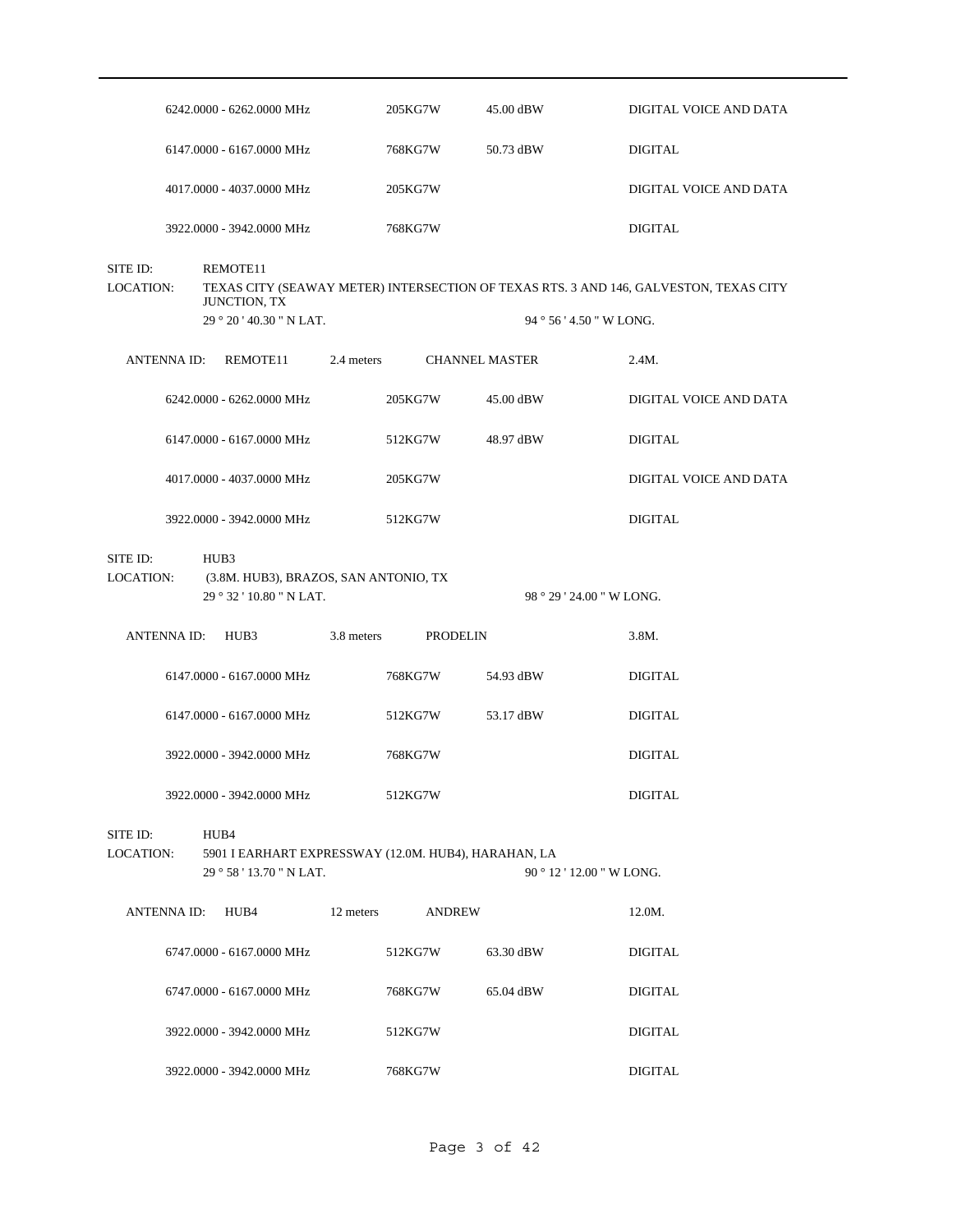|                              | 6242.0000 - 6262.0000 MHz                            | 205KG7W                                              | 45.00 dBW             | DIGITAL VOICE AND DATA                                                                                          |  |
|------------------------------|------------------------------------------------------|------------------------------------------------------|-----------------------|-----------------------------------------------------------------------------------------------------------------|--|
|                              | 6147.0000 - 6167.0000 MHz                            | 768KG7W                                              | 50.73 dBW             | <b>DIGITAL</b>                                                                                                  |  |
|                              | 4017.0000 - 4037.0000 MHz                            | 205KG7W                                              |                       | DIGITAL VOICE AND DATA                                                                                          |  |
|                              | 3922.0000 - 3942.0000 MHz                            | 768KG7W                                              |                       | <b>DIGITAL</b>                                                                                                  |  |
| SITE ID:<br><b>LOCATION:</b> | REMOTE11<br>JUNCTION, TX<br>29 ° 20 ' 40.30 " N LAT. |                                                      |                       | TEXAS CITY (SEAWAY METER) INTERSECTION OF TEXAS RTS. 3 AND 146, GALVESTON, TEXAS CITY<br>$94°56'4.50''$ W LONG. |  |
| ANTENNA ID:                  | REMOTE11                                             | 2.4 meters                                           | <b>CHANNEL MASTER</b> | 2.4M.                                                                                                           |  |
|                              | 6242.0000 - 6262.0000 MHz                            | 205KG7W                                              | 45.00 dBW             | DIGITAL VOICE AND DATA                                                                                          |  |
|                              | 6147.0000 - 6167.0000 MHz                            | 512KG7W                                              | 48.97 dBW             | <b>DIGITAL</b>                                                                                                  |  |
|                              | 4017.0000 - 4037.0000 MHz                            | 205KG7W                                              |                       | DIGITAL VOICE AND DATA                                                                                          |  |
|                              | 3922.0000 - 3942.0000 MHz                            | 512KG7W                                              |                       | <b>DIGITAL</b>                                                                                                  |  |
| SITE ID:<br>LOCATION:        | HUB3<br>29 ° 32 ' 10.80 " N LAT.                     | (3.8M. HUB3), BRAZOS, SAN ANTONIO, TX                |                       | 98 ° 29 ' 24.00 " W LONG.                                                                                       |  |
|                              | ANTENNA ID: HUB3                                     | 3.8 meters<br>PRODELIN                               |                       | 3.8M.                                                                                                           |  |
|                              | 6147.0000 - 6167.0000 MHz                            | 768KG7W                                              |                       | <b>DIGITAL</b>                                                                                                  |  |
|                              |                                                      |                                                      | 54.93 dBW             |                                                                                                                 |  |
|                              | 6147.0000 - 6167.0000 MHz                            | 512KG7W                                              | 53.17 dBW             | <b>DIGITAL</b>                                                                                                  |  |
|                              | 3922.0000 - 3942.0000 MHz                            | 768KG7W                                              |                       | <b>DIGITAL</b>                                                                                                  |  |
|                              | 3922.0000 - 3942.0000 MHz                            | 512KG7W                                              |                       | <b>DIGITAL</b>                                                                                                  |  |
| SITE ID:<br><b>LOCATION:</b> | HUB4<br>29°58'13.70" N LAT.                          | 5901 I EARHART EXPRESSWAY (12.0M. HUB4), HARAHAN, LA |                       | 90 ° 12 ' 12.00 " W LONG.                                                                                       |  |
| ANTENNA ID:                  | HUB4                                                 | 12 meters<br><b>ANDREW</b>                           |                       | 12.0M.                                                                                                          |  |
|                              | 6747.0000 - 6167.0000 MHz                            | 512KG7W                                              | 63.30 dBW             | <b>DIGITAL</b>                                                                                                  |  |
|                              | 6747.0000 - 6167.0000 MHz                            | 768KG7W                                              | 65.04 dBW             | <b>DIGITAL</b>                                                                                                  |  |
|                              | 3922.0000 - 3942.0000 MHz                            | 512KG7W                                              |                       | <b>DIGITAL</b>                                                                                                  |  |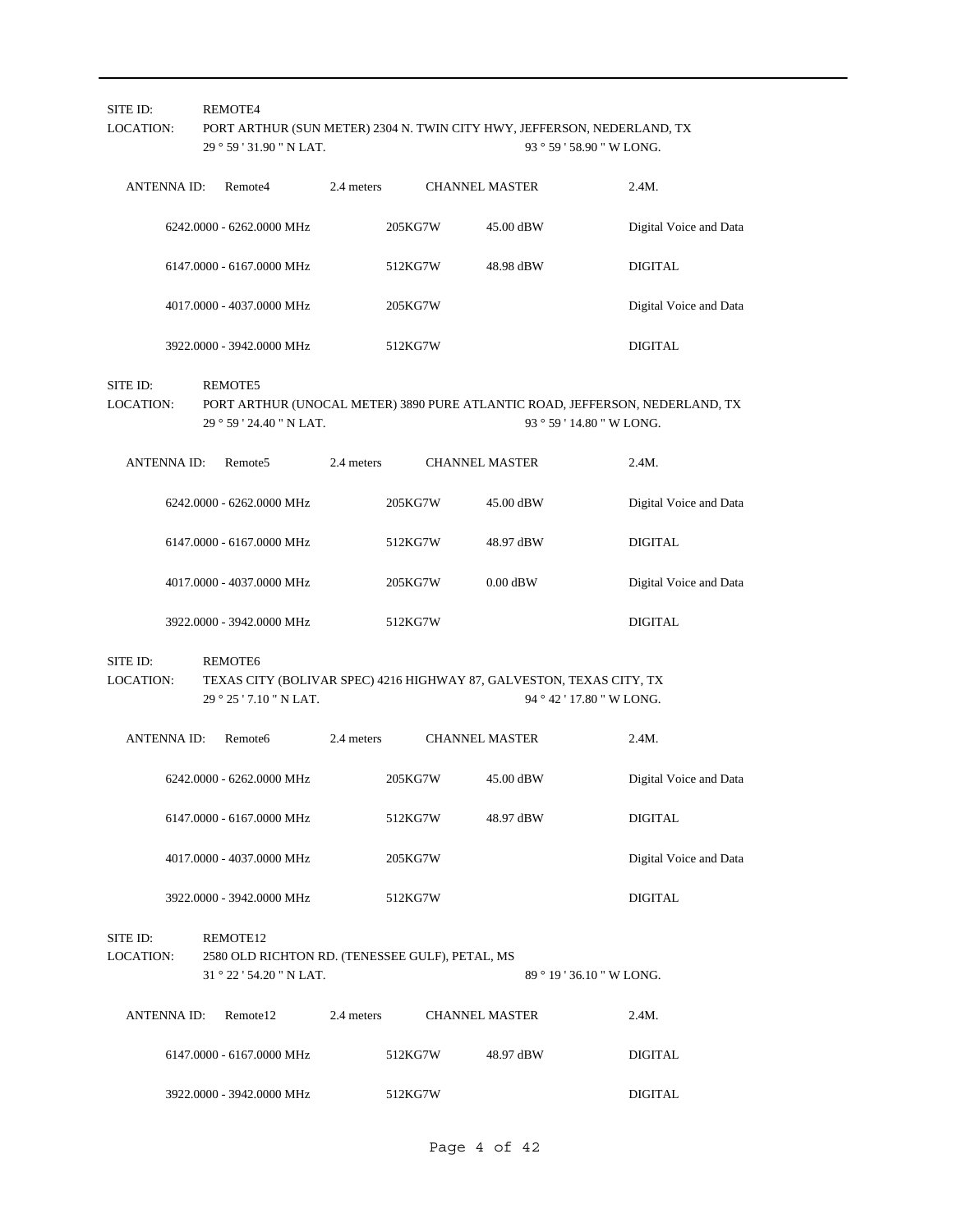| SITE ID:<br><b>LOCATION:</b> | REMOTE4<br>29 ° 59 ' 31.90 " N LAT.                                                                        | PORT ARTHUR (SUN METER) 2304 N. TWIN CITY HWY, JEFFERSON, NEDERLAND, TX<br>93 ° 59 ' 58.90 " W LONG. |         |                       |                                                                                                           |  |
|------------------------------|------------------------------------------------------------------------------------------------------------|------------------------------------------------------------------------------------------------------|---------|-----------------------|-----------------------------------------------------------------------------------------------------------|--|
| <b>ANTENNA ID:</b>           | Remote4                                                                                                    | 2.4 meters                                                                                           |         | <b>CHANNEL MASTER</b> | 2.4M.                                                                                                     |  |
|                              | 6242.0000 - 6262.0000 MHz                                                                                  |                                                                                                      | 205KG7W | 45.00 dBW             | Digital Voice and Data                                                                                    |  |
|                              | 6147.0000 - 6167.0000 MHz                                                                                  |                                                                                                      | 512KG7W | 48.98 dBW             | <b>DIGITAL</b>                                                                                            |  |
|                              | 4017.0000 - 4037.0000 MHz                                                                                  |                                                                                                      | 205KG7W |                       | Digital Voice and Data                                                                                    |  |
|                              | 3922.0000 - 3942.0000 MHz                                                                                  |                                                                                                      | 512KG7W |                       | <b>DIGITAL</b>                                                                                            |  |
| SITE ID:<br>LOCATION:        | REMOTE5<br>29 ° 59 ' 24.40 " N LAT.                                                                        |                                                                                                      |         |                       | PORT ARTHUR (UNOCAL METER) 3890 PURE ATLANTIC ROAD, JEFFERSON, NEDERLAND, TX<br>93 ° 59 ' 14.80 " W LONG. |  |
| <b>ANTENNA ID:</b>           | Remote <sub>5</sub>                                                                                        | 2.4 meters                                                                                           |         | <b>CHANNEL MASTER</b> | 2.4M.                                                                                                     |  |
|                              | 6242.0000 - 6262.0000 MHz                                                                                  |                                                                                                      | 205KG7W | 45.00 dBW             | Digital Voice and Data                                                                                    |  |
|                              | 6147.0000 - 6167.0000 MHz                                                                                  |                                                                                                      | 512KG7W | 48.97 dBW             | <b>DIGITAL</b>                                                                                            |  |
|                              | 4017.0000 - 4037.0000 MHz                                                                                  |                                                                                                      | 205KG7W | $0.00$ dBW            | Digital Voice and Data                                                                                    |  |
|                              | 3922.0000 - 3942.0000 MHz                                                                                  |                                                                                                      | 512KG7W |                       | <b>DIGITAL</b>                                                                                            |  |
| SITE ID:<br>LOCATION:        | REMOTE6<br>TEXAS CITY (BOLIVAR SPEC) 4216 HIGHWAY 87, GALVESTON, TEXAS CITY, TX<br>29 ° 25 ' 7.10 " N LAT. |                                                                                                      |         |                       | 94 ° 42 ' 17.80 " W LONG.                                                                                 |  |
| <b>ANTENNA ID:</b>           | Remote <sub>6</sub>                                                                                        | 2.4 meters                                                                                           |         | <b>CHANNEL MASTER</b> | 2.4M.                                                                                                     |  |
|                              | 6242.0000 - 6262.0000 MHz                                                                                  |                                                                                                      | 205KG7W | 45.00 dBW             | Digital Voice and Data                                                                                    |  |
|                              | 6147.0000 - 6167.0000 MHz                                                                                  |                                                                                                      | 512KG7W | 48.97 dBW             | <b>DIGITAL</b>                                                                                            |  |
|                              | 4017.0000 - 4037.0000 MHz                                                                                  |                                                                                                      | 205KG7W |                       | Digital Voice and Data                                                                                    |  |
|                              | 3922.0000 - 3942.0000 MHz                                                                                  |                                                                                                      | 512KG7W |                       | <b>DIGITAL</b>                                                                                            |  |
| SITE ID:<br><b>LOCATION:</b> | REMOTE12<br>2580 OLD RICHTON RD. (TENESSEE GULF), PETAL, MS<br>31 ° 22 ' 54.20 " N LAT.                    |                                                                                                      |         |                       | 89 ° 19 ' 36.10 " W LONG.                                                                                 |  |
| <b>ANTENNA ID:</b>           | Remote12                                                                                                   | 2.4 meters                                                                                           |         | <b>CHANNEL MASTER</b> | 2.4M.                                                                                                     |  |
|                              | 6147.0000 - 6167.0000 MHz                                                                                  |                                                                                                      | 512KG7W | 48.97 dBW             | <b>DIGITAL</b>                                                                                            |  |
|                              | 3922.0000 - 3942.0000 MHz                                                                                  |                                                                                                      | 512KG7W |                       | <b>DIGITAL</b>                                                                                            |  |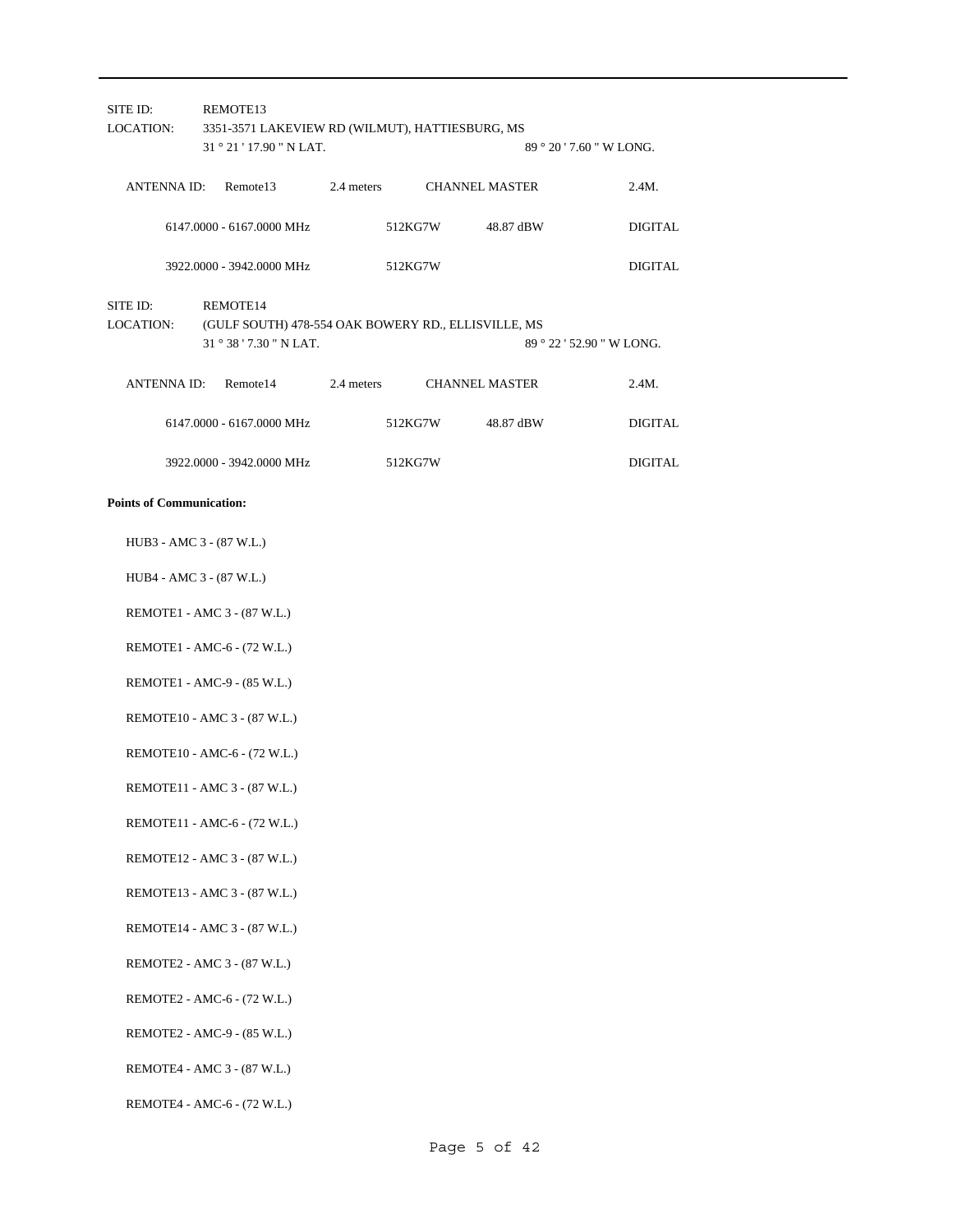| SITE ID:                        |                             | REMOTE13                                            |  |         |                           |                           |
|---------------------------------|-----------------------------|-----------------------------------------------------|--|---------|---------------------------|---------------------------|
| LOCATION:                       |                             | 3351-3571 LAKEVIEW RD (WILMUT), HATTIESBURG, MS     |  |         |                           |                           |
|                                 |                             | 31 ° 21 ' 17.90 " N LAT.                            |  |         |                           | 89 ° 20 ' 7.60 " W LONG.  |
|                                 |                             |                                                     |  |         |                           |                           |
| ANTENNA ID:                     |                             | Remote13                                            |  |         | 2.4 meters CHANNEL MASTER | 2.4M.                     |
|                                 |                             | 6147.0000 - 6167.0000 MHz                           |  | 512KG7W | 48.87 dBW                 | <b>DIGITAL</b>            |
|                                 |                             | 3922,0000 - 3942,0000 MHz                           |  | 512KG7W |                           | <b>DIGITAL</b>            |
| SITE ID:                        |                             | REMOTE14                                            |  |         |                           |                           |
| LOCATION:                       |                             | (GULF SOUTH) 478-554 OAK BOWERY RD., ELLISVILLE, MS |  |         |                           |                           |
|                                 |                             | 31 ° 38 ' 7.30 " N LAT.                             |  |         |                           | 89 ° 22 ' 52.90 " W LONG. |
|                                 |                             | ANTENNA ID: Remote14                                |  |         | 2.4 meters CHANNEL MASTER | 2.4M.                     |
|                                 |                             | 6147.0000 - 6167.0000 MHz                           |  | 512KG7W | 48.87 dBW                 | <b>DIGITAL</b>            |
|                                 |                             | 3922.0000 - 3942.0000 MHz                           |  | 512KG7W |                           | <b>DIGITAL</b>            |
| <b>Points of Communication:</b> |                             |                                                     |  |         |                           |                           |
| HUB3 - AMC 3 - (87 W.L.)        |                             |                                                     |  |         |                           |                           |
| HUB4 - AMC 3 - (87 W.L.)        |                             |                                                     |  |         |                           |                           |
|                                 | REMOTE1 - AMC 3 - (87 W.L.) |                                                     |  |         |                           |                           |
|                                 |                             | REMOTE1 - AMC-6 - (72 W.L.)                         |  |         |                           |                           |
|                                 |                             | REMOTE1 - AMC-9 - (85 W.L.)                         |  |         |                           |                           |

REMOTE10 - AMC 3 - (87 W.L.)

REMOTE10 - AMC-6 - (72 W.L.)

REMOTE11 - AMC 3 - (87 W.L.)

REMOTE11 - AMC-6 - (72 W.L.)

REMOTE12 - AMC 3 - (87 W.L.)

REMOTE13 - AMC 3 - (87 W.L.)

REMOTE14 - AMC 3 - (87 W.L.)

REMOTE2 - AMC 3 - (87 W.L.)

REMOTE2 - AMC-6 - (72 W.L.)

REMOTE2 - AMC-9 - (85 W.L.)

REMOTE4 - AMC 3 - (87 W.L.)

REMOTE4 - AMC-6 - (72 W.L.)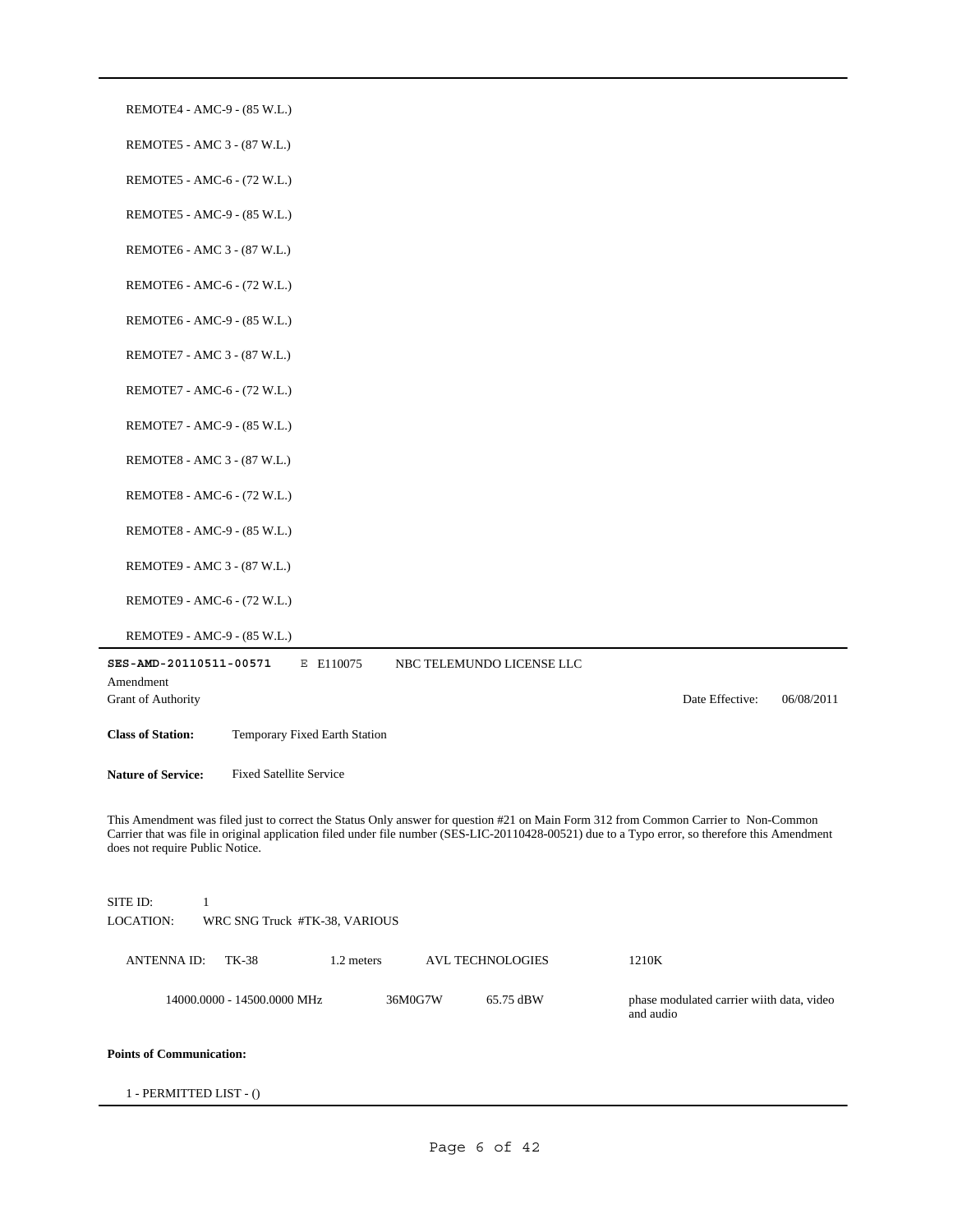| REMOTE4 - AMC-9 - (85 W.L.)                                                                                                                                                                                                                                                                                               |                                                        |
|---------------------------------------------------------------------------------------------------------------------------------------------------------------------------------------------------------------------------------------------------------------------------------------------------------------------------|--------------------------------------------------------|
| REMOTE5 - AMC 3 - (87 W.L.)                                                                                                                                                                                                                                                                                               |                                                        |
| REMOTE5 - AMC-6 - (72 W.L.)                                                                                                                                                                                                                                                                                               |                                                        |
| REMOTE5 - AMC-9 - (85 W.L.)                                                                                                                                                                                                                                                                                               |                                                        |
| REMOTE6 - AMC 3 - (87 W.L.)                                                                                                                                                                                                                                                                                               |                                                        |
| REMOTE6 - AMC-6 - (72 W.L.)                                                                                                                                                                                                                                                                                               |                                                        |
| REMOTE6 - AMC-9 - (85 W.L.)                                                                                                                                                                                                                                                                                               |                                                        |
| REMOTE7 - AMC 3 - (87 W.L.)                                                                                                                                                                                                                                                                                               |                                                        |
| REMOTE7 - AMC-6 - (72 W.L.)                                                                                                                                                                                                                                                                                               |                                                        |
| REMOTE7 - AMC-9 - (85 W.L.)                                                                                                                                                                                                                                                                                               |                                                        |
| REMOTE8 - AMC 3 - (87 W.L.)                                                                                                                                                                                                                                                                                               |                                                        |
| REMOTE8 - AMC-6 - (72 W.L.)                                                                                                                                                                                                                                                                                               |                                                        |
| REMOTE8 - AMC-9 - (85 W.L.)                                                                                                                                                                                                                                                                                               |                                                        |
| REMOTE9 - AMC 3 - (87 W.L.)                                                                                                                                                                                                                                                                                               |                                                        |
| REMOTE9 - AMC-6 - (72 W.L.)                                                                                                                                                                                                                                                                                               |                                                        |
| REMOTE9 - AMC-9 - (85 W.L.)                                                                                                                                                                                                                                                                                               |                                                        |
| SES-AMD-20110511-00571<br>E E110075<br>NBC TELEMUNDO LICENSE LLC                                                                                                                                                                                                                                                          |                                                        |
| Amendment<br>Grant of Authority                                                                                                                                                                                                                                                                                           | Date Effective:<br>06/08/2011                          |
| <b>Class of Station:</b><br>Temporary Fixed Earth Station                                                                                                                                                                                                                                                                 |                                                        |
| <b>Nature of Service:</b><br><b>Fixed Satellite Service</b>                                                                                                                                                                                                                                                               |                                                        |
| This Amendment was filed just to correct the Status Only answer for question #21 on Main Form 312 from Common Carrier to Non-Common<br>Carrier that was file in original application filed under file number (SES-LIC-20110428-00521) due to a Typo error, so therefore this Amendment<br>does not require Public Notice. |                                                        |
| SITE ID:<br>$\mathbf{1}$<br><b>LOCATION:</b><br>WRC SNG Truck #TK-38, VARIOUS                                                                                                                                                                                                                                             |                                                        |
| <b>ANTENNAID:</b><br>TK-38<br>1.2 meters<br><b>AVL TECHNOLOGIES</b>                                                                                                                                                                                                                                                       | 1210K                                                  |
| 14000.0000 - 14500.0000 MHz<br>36M0G7W<br>65.75 dBW                                                                                                                                                                                                                                                                       | phase modulated carrier wiith data, video<br>and audio |
| <b>Points of Communication:</b>                                                                                                                                                                                                                                                                                           |                                                        |
| 1 - PERMITTED LIST - ()                                                                                                                                                                                                                                                                                                   |                                                        |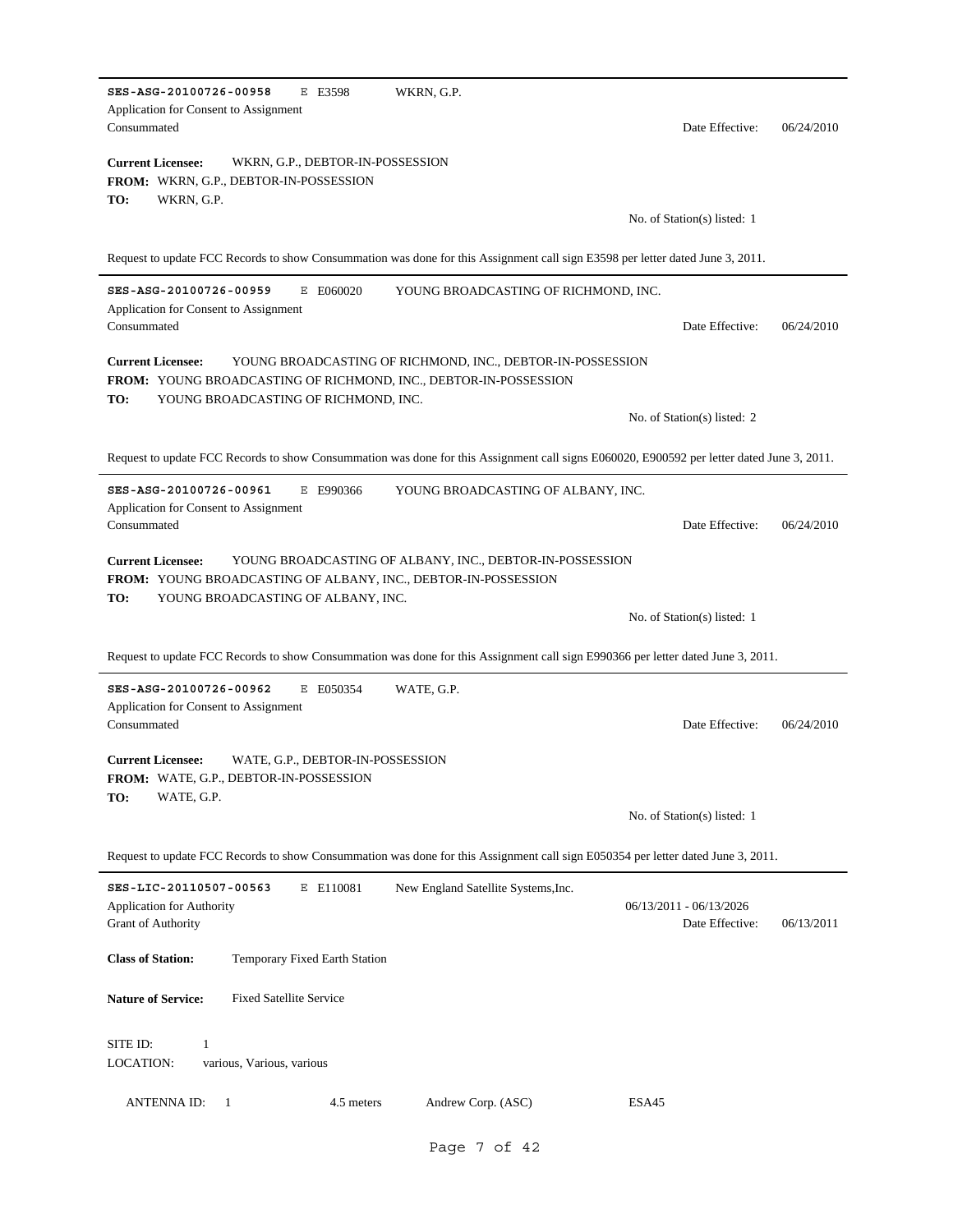| SES-ASG-20100726-00958<br>E E3598<br>WKRN, G.P.<br>Application for Consent to Assignment<br>Consummated                                                                                                   | Date Effective:                            | 06/24/2010 |
|-----------------------------------------------------------------------------------------------------------------------------------------------------------------------------------------------------------|--------------------------------------------|------------|
| <b>Current Licensee:</b><br>WKRN, G.P., DEBTOR-IN-POSSESSION<br><b>FROM: WKRN, G.P., DEBTOR-IN-POSSESSION</b><br>TO:<br>WKRN, G.P.                                                                        |                                            |            |
|                                                                                                                                                                                                           | No. of Station(s) listed: 1                |            |
| Request to update FCC Records to show Consummation was done for this Assignment call sign E3598 per letter dated June 3, 2011.                                                                            |                                            |            |
| SES-ASG-20100726-00959<br>E E060020<br>YOUNG BROADCASTING OF RICHMOND, INC.<br>Application for Consent to Assignment<br>Consummated                                                                       | Date Effective:                            | 06/24/2010 |
| YOUNG BROADCASTING OF RICHMOND, INC., DEBTOR-IN-POSSESSION<br><b>Current Licensee:</b><br>FROM: YOUNG BROADCASTING OF RICHMOND, INC., DEBTOR-IN-POSSESSION<br>YOUNG BROADCASTING OF RICHMOND, INC.<br>TO: |                                            |            |
|                                                                                                                                                                                                           | No. of Station(s) listed: 2                |            |
| Request to update FCC Records to show Consummation was done for this Assignment call signs E060020, E900592 per letter dated June 3, 2011.                                                                |                                            |            |
| SES-ASG-20100726-00961<br>E E990366<br>YOUNG BROADCASTING OF ALBANY, INC.<br>Application for Consent to Assignment<br>Consummated                                                                         | Date Effective:                            | 06/24/2010 |
| <b>Current Licensee:</b><br>YOUNG BROADCASTING OF ALBANY, INC., DEBTOR-IN-POSSESSION<br>FROM: YOUNG BROADCASTING OF ALBANY, INC., DEBTOR-IN-POSSESSION                                                    |                                            |            |
| TO:<br>YOUNG BROADCASTING OF ALBANY, INC.                                                                                                                                                                 | No. of Station(s) listed: 1                |            |
| Request to update FCC Records to show Consummation was done for this Assignment call sign E990366 per letter dated June 3, 2011.                                                                          |                                            |            |
| SES-ASG-20100726-00962<br>E E050354<br>WATE, G.P.<br>Application for Consent to Assignment<br>Consummated                                                                                                 | Date Effective:                            | 06/24/2010 |
| <b>Current Licensee:</b><br>WATE, G.P., DEBTOR-IN-POSSESSION<br>FROM: WATE, G.P., DEBTOR-IN-POSSESSION                                                                                                    |                                            |            |
| TO:<br>WATE, G.P.                                                                                                                                                                                         | No. of Station(s) listed: 1                |            |
| Request to update FCC Records to show Consummation was done for this Assignment call sign E050354 per letter dated June 3, 2011.                                                                          |                                            |            |
| SES-LIC-20110507-00563<br>E E110081<br>New England Satellite Systems, Inc.<br>Application for Authority<br>Grant of Authority                                                                             | 06/13/2011 - 06/13/2026<br>Date Effective: | 06/13/2011 |
| <b>Class of Station:</b><br>Temporary Fixed Earth Station                                                                                                                                                 |                                            |            |
| <b>Nature of Service:</b><br><b>Fixed Satellite Service</b>                                                                                                                                               |                                            |            |
| SITE ID:<br>1<br>LOCATION:<br>various, Various, various                                                                                                                                                   |                                            |            |

Page 7 of 42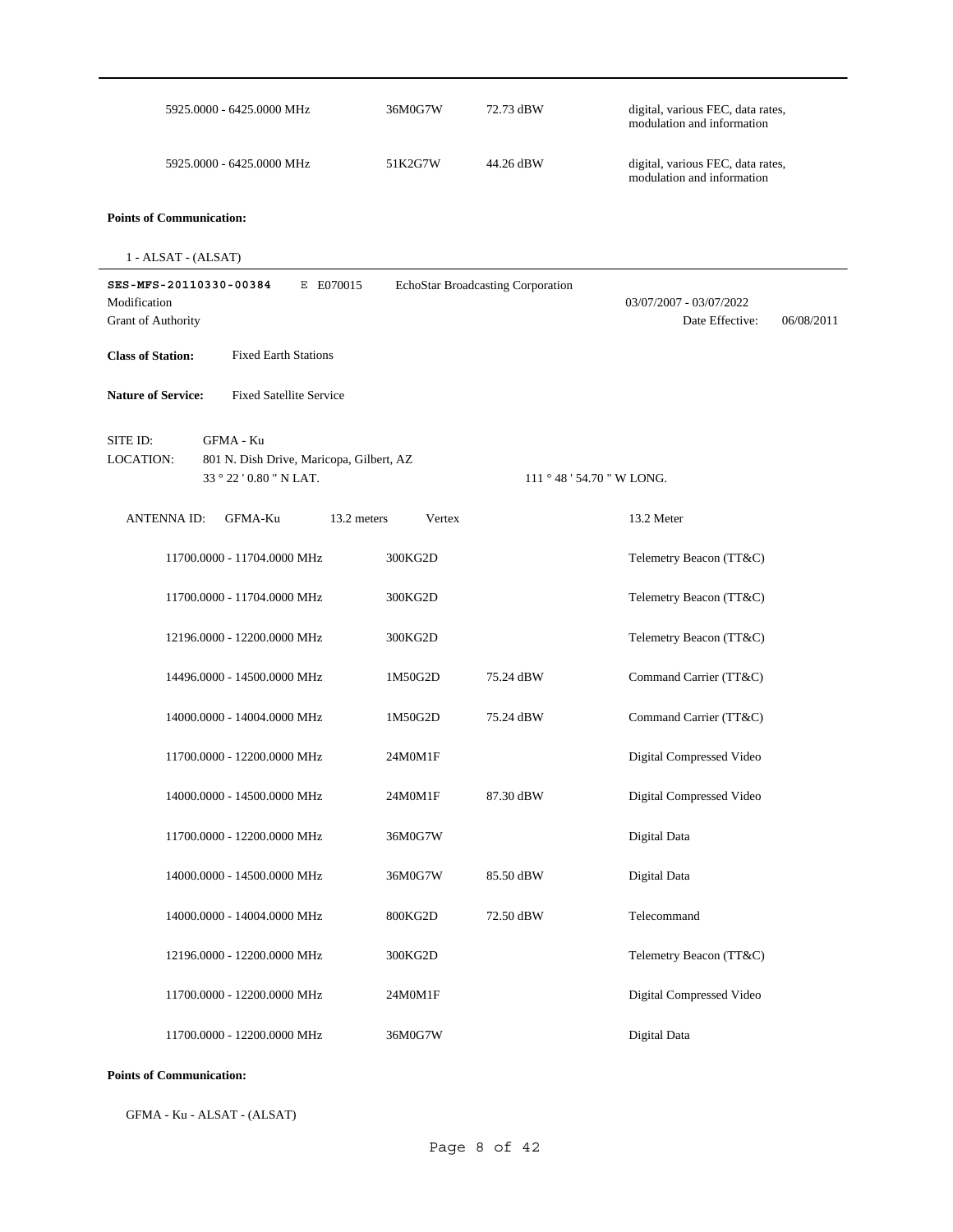| 5925.0000 - 6425.0000 MHz                                                                                               | 36M0G7W | 72.73 dBW                         | digital, various FEC, data rates,<br>modulation and information |
|-------------------------------------------------------------------------------------------------------------------------|---------|-----------------------------------|-----------------------------------------------------------------|
| 5925.0000 - 6425.0000 MHz                                                                                               | 51K2G7W | 44.26 dBW                         | digital, various FEC, data rates,<br>modulation and information |
| <b>Points of Communication:</b>                                                                                         |         |                                   |                                                                 |
| $1 - ALSAT - (ALSAT)$                                                                                                   |         |                                   |                                                                 |
| SES-MFS-20110330-00384<br>E E070015<br>Modification<br><b>Grant of Authority</b>                                        |         | EchoStar Broadcasting Corporation | 03/07/2007 - 03/07/2022<br>Date Effective:<br>06/08/2011        |
| <b>Class of Station:</b><br><b>Fixed Earth Stations</b>                                                                 |         |                                   |                                                                 |
| <b>Nature of Service:</b><br><b>Fixed Satellite Service</b>                                                             |         |                                   |                                                                 |
| SITE ID:<br><b>GFMA - Ku</b><br><b>LOCATION:</b><br>801 N. Dish Drive, Maricopa, Gilbert, AZ<br>33 ° 22 ' 0.80 " N LAT. |         | 111 ° 48 ' 54.70 " W LONG.        |                                                                 |
| 13.2 meters<br><b>ANTENNA ID:</b><br>GFMA-Ku                                                                            | Vertex  |                                   | 13.2 Meter                                                      |
| 11700.0000 - 11704.0000 MHz                                                                                             | 300KG2D |                                   | Telemetry Beacon (TT&C)                                         |
| 11700.0000 - 11704.0000 MHz                                                                                             | 300KG2D |                                   | Telemetry Beacon (TT&C)                                         |
| 12196.0000 - 12200.0000 MHz                                                                                             | 300KG2D |                                   | Telemetry Beacon (TT&C)                                         |
| 14496.0000 - 14500.0000 MHz                                                                                             | 1M50G2D | 75.24 dBW                         | Command Carrier (TT&C)                                          |
| 14000.0000 - 14004.0000 MHz                                                                                             | 1M50G2D | 75.24 dBW                         | Command Carrier (TT&C)                                          |
| 11700.0000 - 12200.0000 MHz                                                                                             | 24M0M1F |                                   | Digital Compressed Video                                        |
| 14000.0000 - 14500.0000 MHz                                                                                             | 24M0M1F | 87.30 dBW                         | Digital Compressed Video                                        |
| 11700.0000 - 12200.0000 MHz                                                                                             | 36M0G7W |                                   | Digital Data                                                    |
| 14000.0000 - 14500.0000 MHz                                                                                             | 36M0G7W | 85.50 dBW                         | Digital Data                                                    |
| 14000.0000 - 14004.0000 MHz                                                                                             | 800KG2D | 72.50 dBW                         | Telecommand                                                     |
| 12196.0000 - 12200.0000 MHz                                                                                             | 300KG2D |                                   | Telemetry Beacon (TT&C)                                         |
| 11700.0000 - 12200.0000 MHz                                                                                             | 24M0M1F |                                   | Digital Compressed Video                                        |
| 11700.0000 - 12200.0000 MHz                                                                                             | 36M0G7W |                                   | Digital Data                                                    |

GFMA - Ku - ALSAT - (ALSAT)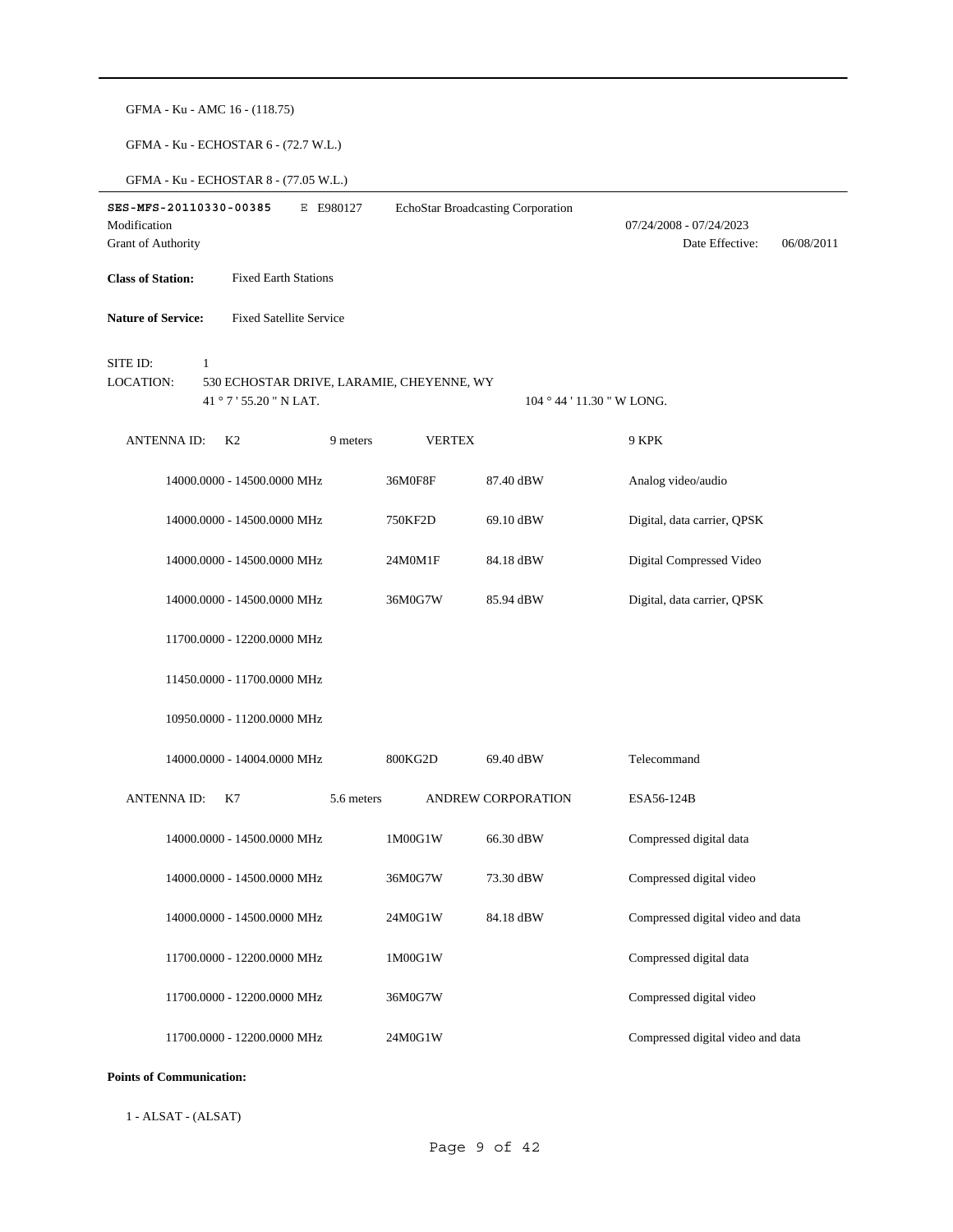| GFMA - Ku - AMC 16 - (118.75)                                                  |               |                                   |                                                          |
|--------------------------------------------------------------------------------|---------------|-----------------------------------|----------------------------------------------------------|
| GFMA - Ku - ECHOSTAR 6 - (72.7 W.L.)                                           |               |                                   |                                                          |
| GFMA - Ku - ECHOSTAR 8 - (77.05 W.L.)                                          |               |                                   |                                                          |
| SES-MFS-20110330-00385<br>E E980127                                            |               | EchoStar Broadcasting Corporation |                                                          |
| Modification<br>Grant of Authority                                             |               |                                   | 07/24/2008 - 07/24/2023<br>Date Effective:<br>06/08/2011 |
| <b>Fixed Earth Stations</b><br><b>Class of Station:</b>                        |               |                                   |                                                          |
|                                                                                |               |                                   |                                                          |
| <b>Nature of Service:</b><br><b>Fixed Satellite Service</b>                    |               |                                   |                                                          |
| SITE ID:<br>1<br><b>LOCATION:</b><br>530 ECHOSTAR DRIVE, LARAMIE, CHEYENNE, WY |               |                                   |                                                          |
| 41 ° 7 ' 55.20 " N LAT.                                                        |               | 104 ° 44 ' 11.30 " W LONG.        |                                                          |
| <b>ANTENNAID:</b><br>K <sub>2</sub><br>9 meters                                | <b>VERTEX</b> |                                   | 9 KPK                                                    |
| 14000.0000 - 14500.0000 MHz                                                    | 36M0F8F       | 87.40 dBW                         | Analog video/audio                                       |
| 14000.0000 - 14500.0000 MHz                                                    | 750KF2D       | 69.10 dBW                         | Digital, data carrier, QPSK                              |
| 14000.0000 - 14500.0000 MHz                                                    | 24M0M1F       | 84.18 dBW                         | Digital Compressed Video                                 |
| 14000.0000 - 14500.0000 MHz                                                    | 36M0G7W       | 85.94 dBW                         | Digital, data carrier, QPSK                              |
| 11700.0000 - 12200.0000 MHz                                                    |               |                                   |                                                          |
| 11450.0000 - 11700.0000 MHz                                                    |               |                                   |                                                          |
| 10950.0000 - 11200.0000 MHz                                                    |               |                                   |                                                          |
| 14000.0000 - 14004.0000 MHz                                                    | 800KG2D       | 69.40 dBW                         | Telecommand                                              |
| ANTENNA ID: K7<br>5.6 meters                                                   |               | ANDREW CORPORATION                | ESA56-124B                                               |
| 14000.0000 - 14500.0000 MHz                                                    | 1M00G1W       | 66.30 dBW                         | Compressed digital data                                  |
| 14000.0000 - 14500.0000 MHz                                                    | 36M0G7W       | 73.30 dBW                         | Compressed digital video                                 |
| 14000.0000 - 14500.0000 MHz                                                    | 24M0G1W       | 84.18 dBW                         | Compressed digital video and data                        |
| 11700.0000 - 12200.0000 MHz                                                    | 1M00G1W       |                                   | Compressed digital data                                  |
| 11700.0000 - 12200.0000 MHz                                                    | 36M0G7W       |                                   | Compressed digital video                                 |
| 11700.0000 - 12200.0000 MHz                                                    | 24M0G1W       |                                   | Compressed digital video and data                        |

1 - ALSAT - (ALSAT)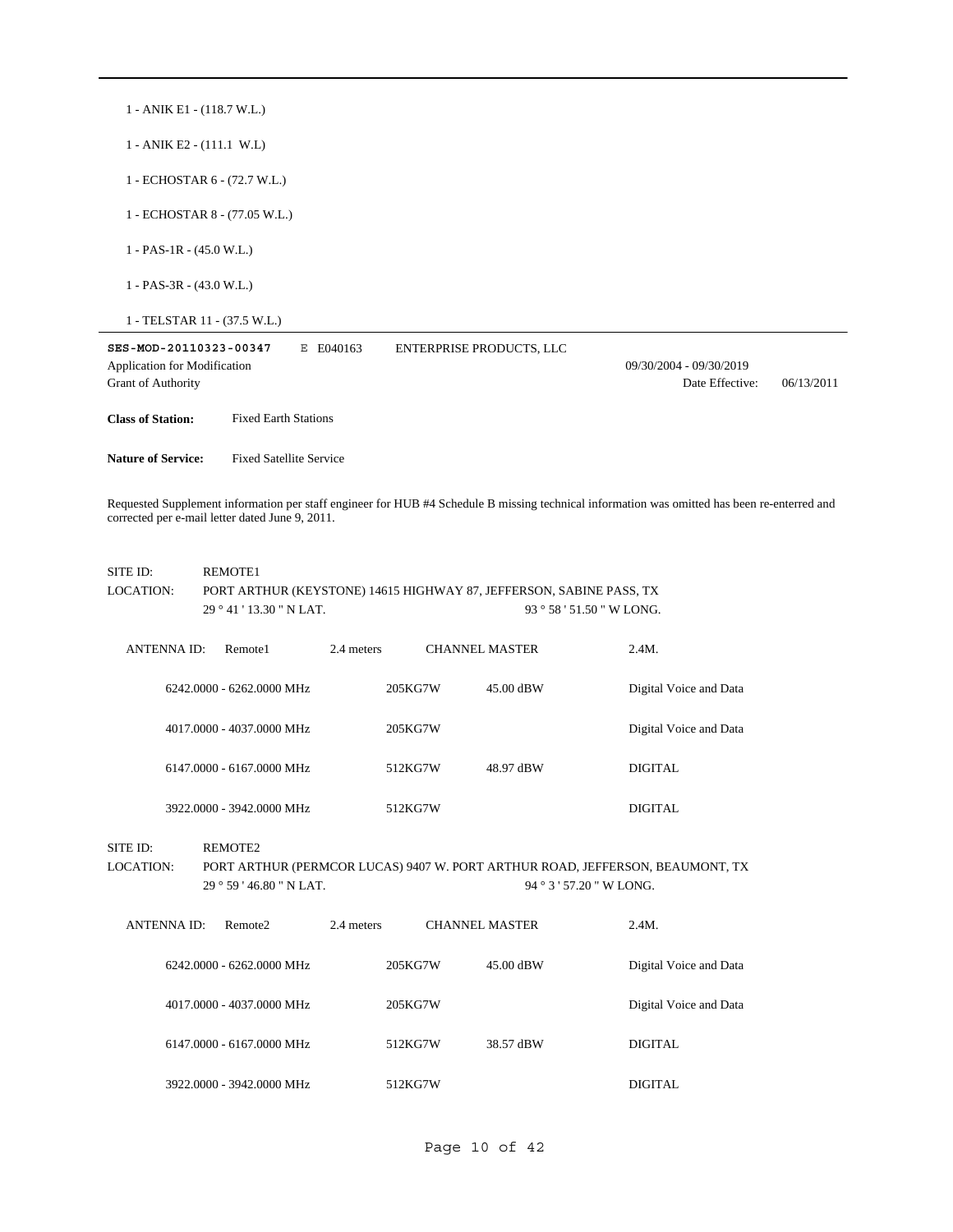| 1 - ANIK E1 - (118.7 W.L.)                                                                                                                                                                      |                                                                                                                                              |                        |  |  |  |  |  |
|-------------------------------------------------------------------------------------------------------------------------------------------------------------------------------------------------|----------------------------------------------------------------------------------------------------------------------------------------------|------------------------|--|--|--|--|--|
| 1 - ANIK E2 - (111.1 W.L)                                                                                                                                                                       |                                                                                                                                              |                        |  |  |  |  |  |
| 1 - ECHOSTAR 6 - (72.7 W.L.)                                                                                                                                                                    |                                                                                                                                              |                        |  |  |  |  |  |
| 1 - ECHOSTAR 8 - (77.05 W.L.)                                                                                                                                                                   |                                                                                                                                              |                        |  |  |  |  |  |
| $1 - PAS-1R - (45.0 W.L.)$                                                                                                                                                                      |                                                                                                                                              |                        |  |  |  |  |  |
| $1 - PAS-3R - (43.0 W.L.)$                                                                                                                                                                      |                                                                                                                                              |                        |  |  |  |  |  |
| 1 - TELSTAR 11 - (37.5 W.L.)                                                                                                                                                                    |                                                                                                                                              |                        |  |  |  |  |  |
| SES-MOD-20110323-00347<br>E E040163<br><b>ENTERPRISE PRODUCTS, LLC</b><br>Application for Modification<br>09/30/2004 - 09/30/2019<br><b>Grant of Authority</b><br>Date Effective:<br>06/13/2011 |                                                                                                                                              |                        |  |  |  |  |  |
| <b>Class of Station:</b><br><b>Fixed Earth Stations</b>                                                                                                                                         |                                                                                                                                              |                        |  |  |  |  |  |
| <b>Nature of Service:</b><br><b>Fixed Satellite Service</b>                                                                                                                                     |                                                                                                                                              |                        |  |  |  |  |  |
| corrected per e-mail letter dated June 9, 2011.                                                                                                                                                 | Requested Supplement information per staff engineer for HUB #4 Schedule B missing technical information was omitted has been re-enterred and |                        |  |  |  |  |  |
| SITE ID:<br>REMOTE1<br><b>LOCATION:</b><br>29 ° 41 ' 13.30 " N LAT.                                                                                                                             | PORT ARTHUR (KEYSTONE) 14615 HIGHWAY 87, JEFFERSON, SABINE PASS, TX<br>93 ° 58 ' 51.50 " W LONG.                                             |                        |  |  |  |  |  |
| <b>ANTENNAID:</b><br>Remote1                                                                                                                                                                    | 2.4 meters<br><b>CHANNEL MASTER</b>                                                                                                          | 2.4M.                  |  |  |  |  |  |
| 6242.0000 - 6262.0000 MHz                                                                                                                                                                       | 205KG7W<br>45.00 dBW                                                                                                                         | Digital Voice and Data |  |  |  |  |  |
| 4017.0000 - 4037.0000 MHz                                                                                                                                                                       | 205KG7W                                                                                                                                      | Digital Voice and Data |  |  |  |  |  |
| 6147.0000 - 6167.0000 MHz                                                                                                                                                                       | 512KG7W<br>48.97 dBW                                                                                                                         | <b>DIGITAL</b>         |  |  |  |  |  |
| 3922.0000 - 3942.0000 MHz                                                                                                                                                                       | 512KG7W                                                                                                                                      | <b>DIGITAL</b>         |  |  |  |  |  |
| SITE ID:<br>REMOTE2<br>LOCATION:<br>PORT ARTHUR (PERMCOR LUCAS) 9407 W. PORT ARTHUR ROAD, JEFFERSON, BEAUMONT, TX<br>94 ° 3 ' 57.20 " W LONG.<br>29°59'46.80''N LAT.                            |                                                                                                                                              |                        |  |  |  |  |  |
| <b>ANTENNA ID:</b><br>Remote2                                                                                                                                                                   | 2.4 meters<br><b>CHANNEL MASTER</b>                                                                                                          | 2.4M.                  |  |  |  |  |  |
| 6242.0000 - 6262.0000 MHz                                                                                                                                                                       | 205KG7W<br>45.00 dBW                                                                                                                         | Digital Voice and Data |  |  |  |  |  |
| 4017.0000 - 4037.0000 MHz                                                                                                                                                                       | 205KG7W                                                                                                                                      | Digital Voice and Data |  |  |  |  |  |
| 6147.0000 - 6167.0000 MHz                                                                                                                                                                       | 512KG7W<br>38.57 dBW                                                                                                                         | <b>DIGITAL</b>         |  |  |  |  |  |
| 3922.0000 - 3942.0000 MHz                                                                                                                                                                       | 512KG7W                                                                                                                                      | <b>DIGITAL</b>         |  |  |  |  |  |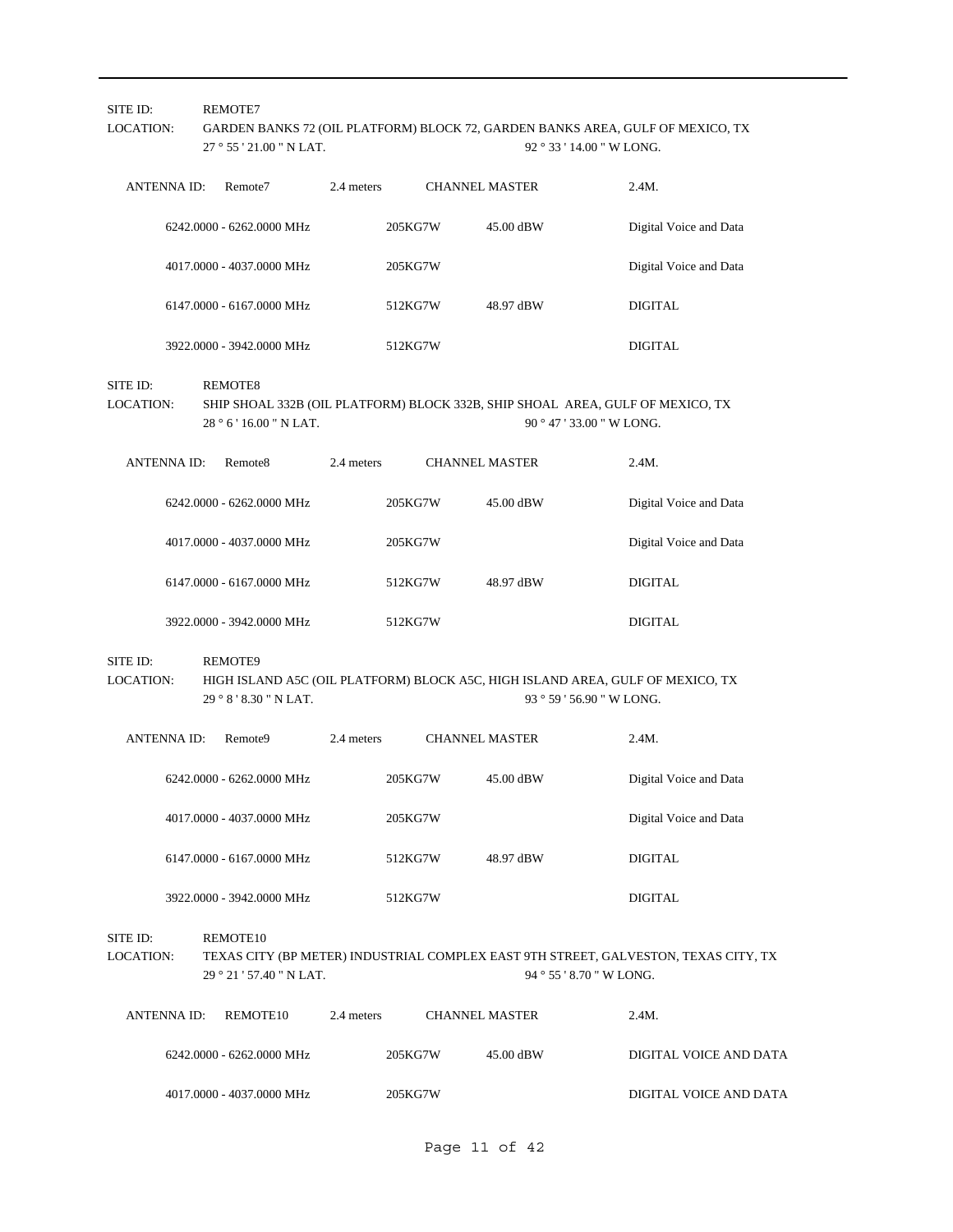| SITE ID:<br>LOCATION:        |                    | REMOTE7<br>27 ° 55 ' 21.00 " N LAT.  |            | GARDEN BANKS 72 (OIL PLATFORM) BLOCK 72, GARDEN BANKS AREA, GULF OF MEXICO, TX<br>92 ° 33 ' 14.00 " W LONG. |                       |                                                                                                                 |  |
|------------------------------|--------------------|--------------------------------------|------------|-------------------------------------------------------------------------------------------------------------|-----------------------|-----------------------------------------------------------------------------------------------------------------|--|
|                              | <b>ANTENNA ID:</b> | Remote7                              | 2.4 meters |                                                                                                             | <b>CHANNEL MASTER</b> | 2.4M.                                                                                                           |  |
|                              |                    | 6242.0000 - 6262.0000 MHz            |            | 205KG7W                                                                                                     | 45.00 dBW             | Digital Voice and Data                                                                                          |  |
|                              |                    | 4017.0000 - 4037.0000 MHz            |            | 205KG7W                                                                                                     |                       | Digital Voice and Data                                                                                          |  |
|                              |                    | 6147.0000 - 6167.0000 MHz            |            | 512KG7W                                                                                                     | 48.97 dBW             | <b>DIGITAL</b>                                                                                                  |  |
|                              |                    | 3922.0000 - 3942.0000 MHz            |            | 512KG7W                                                                                                     |                       | <b>DIGITAL</b>                                                                                                  |  |
| SITE ID:<br><b>LOCATION:</b> |                    | REMOTE8<br>28 ° 6 ' 16.00 " N LAT.   |            |                                                                                                             |                       | SHIP SHOAL 332B (OIL PLATFORM) BLOCK 332B, SHIP SHOAL AREA, GULF OF MEXICO, TX<br>90 ° 47 ' 33.00 " W LONG.     |  |
|                              | <b>ANTENNAID:</b>  | Remote <sub>8</sub>                  | 2.4 meters |                                                                                                             | <b>CHANNEL MASTER</b> | 2.4M.                                                                                                           |  |
|                              |                    | 6242.0000 - 6262.0000 MHz            |            | 205KG7W                                                                                                     | 45.00 dBW             | Digital Voice and Data                                                                                          |  |
|                              |                    | 4017.0000 - 4037.0000 MHz            |            | 205KG7W                                                                                                     |                       | Digital Voice and Data                                                                                          |  |
|                              |                    | 6147.0000 - 6167.0000 MHz            |            | 512KG7W                                                                                                     | 48.97 dBW             | <b>DIGITAL</b>                                                                                                  |  |
|                              |                    | 3922.0000 - 3942.0000 MHz            |            | 512KG7W                                                                                                     |                       | <b>DIGITAL</b>                                                                                                  |  |
| SITE ID:<br>LOCATION:        |                    | REMOTE9<br>29 ° 8 ' 8.30 " N LAT.    |            |                                                                                                             |                       | HIGH ISLAND A5C (OIL PLATFORM) BLOCK A5C, HIGH ISLAND AREA, GULF OF MEXICO, TX<br>93 ° 59 ' 56.90 " W LONG.     |  |
|                              | <b>ANTENNA ID:</b> | Remote <sub>9</sub>                  | 2.4 meters |                                                                                                             | <b>CHANNEL MASTER</b> | 2.4M.                                                                                                           |  |
|                              |                    | 6242.0000 - 6262.0000 MHz            |            | 205KG7W                                                                                                     | 45.00 dBW             | Digital Voice and Data                                                                                          |  |
|                              |                    | 4017.0000 - 4037.0000 MHz            |            | 205KG7W                                                                                                     |                       | Digital Voice and Data                                                                                          |  |
|                              |                    | 6147.0000 - 6167.0000 MHz            |            | 512KG7W                                                                                                     | 48.97 dBW             | <b>DIGITAL</b>                                                                                                  |  |
|                              |                    | 3922.0000 - 3942.0000 MHz            |            | 512KG7W                                                                                                     |                       | <b>DIGITAL</b>                                                                                                  |  |
| SITE ID:<br><b>LOCATION:</b> |                    | REMOTE10<br>29 ° 21 ' 57.40 " N LAT. |            |                                                                                                             |                       | TEXAS CITY (BP METER) INDUSTRIAL COMPLEX EAST 9TH STREET, GALVESTON, TEXAS CITY, TX<br>94 ° 55 ' 8.70 " W LONG. |  |
|                              | <b>ANTENNA ID:</b> | REMOTE10                             | 2.4 meters |                                                                                                             | <b>CHANNEL MASTER</b> | 2.4M.                                                                                                           |  |
|                              |                    | 6242.0000 - 6262.0000 MHz            |            | 205KG7W                                                                                                     | 45.00 dBW             | DIGITAL VOICE AND DATA                                                                                          |  |
|                              |                    | 4017.0000 - 4037.0000 MHz            |            | 205KG7W                                                                                                     |                       | DIGITAL VOICE AND DATA                                                                                          |  |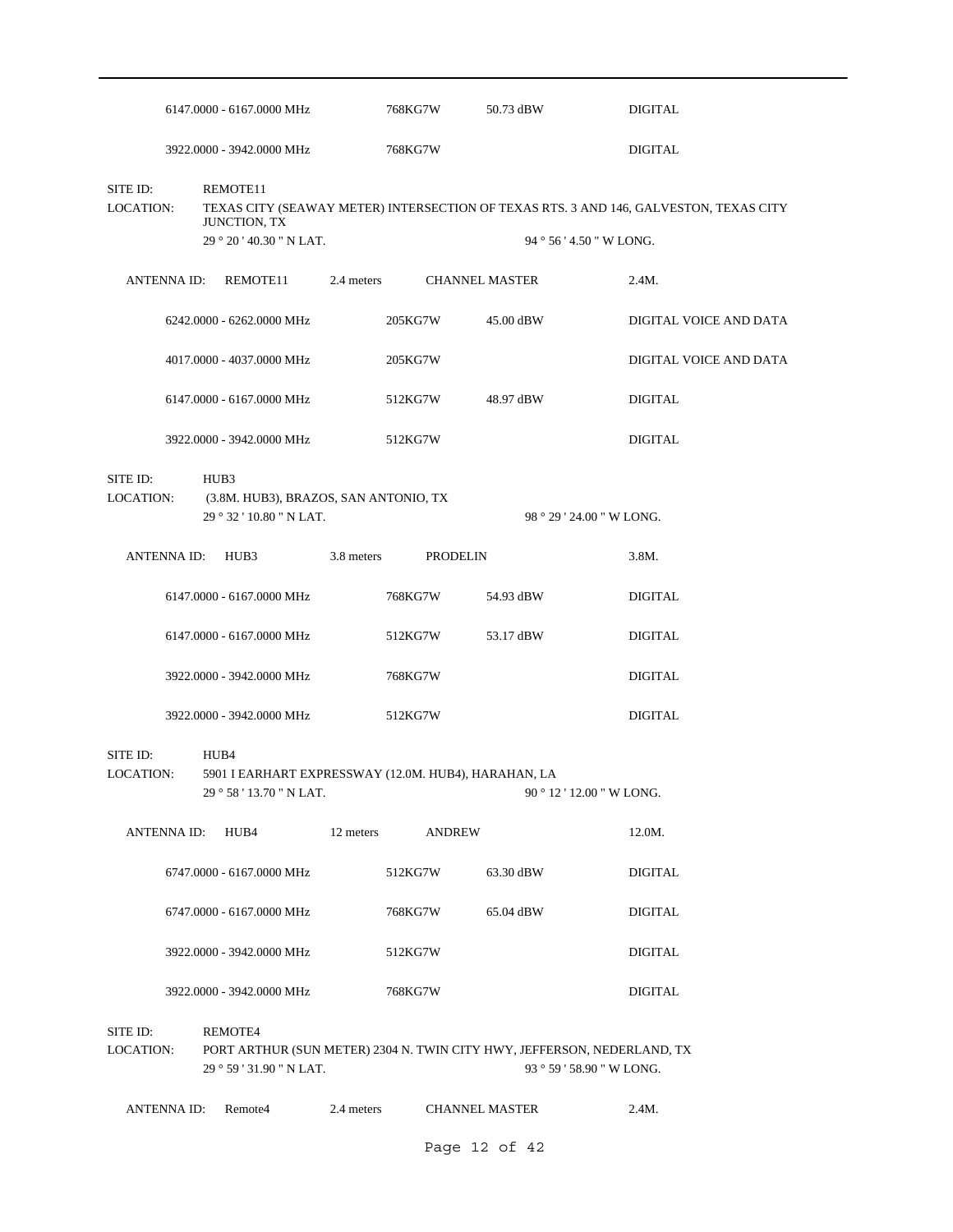|                              |                   | 6147.0000 - 6167.0000 MHz                                                                |            | 768KG7W               | 50.73 dBW                                                                                            | <b>DIGITAL</b>                                                                        |
|------------------------------|-------------------|------------------------------------------------------------------------------------------|------------|-----------------------|------------------------------------------------------------------------------------------------------|---------------------------------------------------------------------------------------|
|                              |                   | 3922.0000 - 3942.0000 MHz                                                                |            | 768KG7W               |                                                                                                      | <b>DIGITAL</b>                                                                        |
| SITE ID:<br>LOCATION:        |                   | REMOTE11<br>JUNCTION, TX<br>29 ° 20 ' 40.30 " N LAT.                                     |            |                       | 94 ° 56 ' 4.50 " W LONG.                                                                             | TEXAS CITY (SEAWAY METER) INTERSECTION OF TEXAS RTS. 3 AND 146, GALVESTON, TEXAS CITY |
|                              | ANTENNA ID:       | REMOTE11                                                                                 | 2.4 meters | <b>CHANNEL MASTER</b> |                                                                                                      | 2.4M.                                                                                 |
|                              |                   | 6242.0000 - 6262.0000 MHz                                                                |            | 205KG7W               | 45.00 dBW                                                                                            | DIGITAL VOICE AND DATA                                                                |
|                              |                   | 4017.0000 - 4037.0000 MHz                                                                |            | 205KG7W               |                                                                                                      | DIGITAL VOICE AND DATA                                                                |
|                              |                   | 6147.0000 - 6167.0000 MHz                                                                |            | 512KG7W               | 48.97 dBW                                                                                            | <b>DIGITAL</b>                                                                        |
|                              |                   | 3922.0000 - 3942.0000 MHz                                                                |            | 512KG7W               |                                                                                                      | <b>DIGITAL</b>                                                                        |
| SITE ID:<br><b>LOCATION:</b> |                   | HUB3<br>(3.8M. HUB3), BRAZOS, SAN ANTONIO, TX<br>29 ° 32 ' 10.80 " N LAT.                |            |                       | 98 ° 29 ' 24.00 " W LONG.                                                                            |                                                                                       |
|                              | ANTENNA ID:       | HUB3                                                                                     | 3.8 meters | PRODELIN              |                                                                                                      | 3.8M.                                                                                 |
|                              |                   | 6147.0000 - 6167.0000 MHz                                                                |            | 768KG7W               | 54.93 dBW                                                                                            | <b>DIGITAL</b>                                                                        |
|                              |                   | 6147.0000 - 6167.0000 MHz                                                                |            | 512KG7W               | 53.17 dBW                                                                                            | <b>DIGITAL</b>                                                                        |
|                              |                   | 3922.0000 - 3942.0000 MHz                                                                |            | 768KG7W               |                                                                                                      | <b>DIGITAL</b>                                                                        |
|                              |                   | 3922.0000 - 3942.0000 MHz                                                                |            | 512KG7W               |                                                                                                      | <b>DIGITAL</b>                                                                        |
| SITE ID:<br><b>LOCATION:</b> |                   | HUB4<br>5901 I EARHART EXPRESSWAY (12.0M. HUB4), HARAHAN, LA<br>29 ° 58 ' 13.70 " N LAT. |            |                       | 90 ° 12 ' 12.00 " W LONG.                                                                            |                                                                                       |
|                              | ANTENNA ID:       | HUB4                                                                                     | 12 meters  | <b>ANDREW</b>         |                                                                                                      | 12.0M.                                                                                |
|                              |                   | 6747.0000 - 6167.0000 MHz                                                                |            | 512KG7W               | 63.30 dBW                                                                                            | <b>DIGITAL</b>                                                                        |
|                              |                   | 6747.0000 - 6167.0000 MHz                                                                |            | 768KG7W               | 65.04 dBW                                                                                            | DIGITAL                                                                               |
|                              |                   | 3922.0000 - 3942.0000 MHz                                                                |            | 512KG7W               |                                                                                                      | <b>DIGITAL</b>                                                                        |
|                              |                   | 3922.0000 - 3942.0000 MHz                                                                |            | 768KG7W               |                                                                                                      | <b>DIGITAL</b>                                                                        |
| SITE ID:<br>LOCATION:        |                   | REMOTE4<br>29 ° 59 ' 31.90 " N LAT.                                                      |            |                       | PORT ARTHUR (SUN METER) 2304 N. TWIN CITY HWY, JEFFERSON, NEDERLAND, TX<br>93 ° 59 ' 58.90 " W LONG. |                                                                                       |
|                              | <b>ANTENNAID:</b> | Remote4                                                                                  | 2.4 meters | <b>CHANNEL MASTER</b> |                                                                                                      | 2.4M.                                                                                 |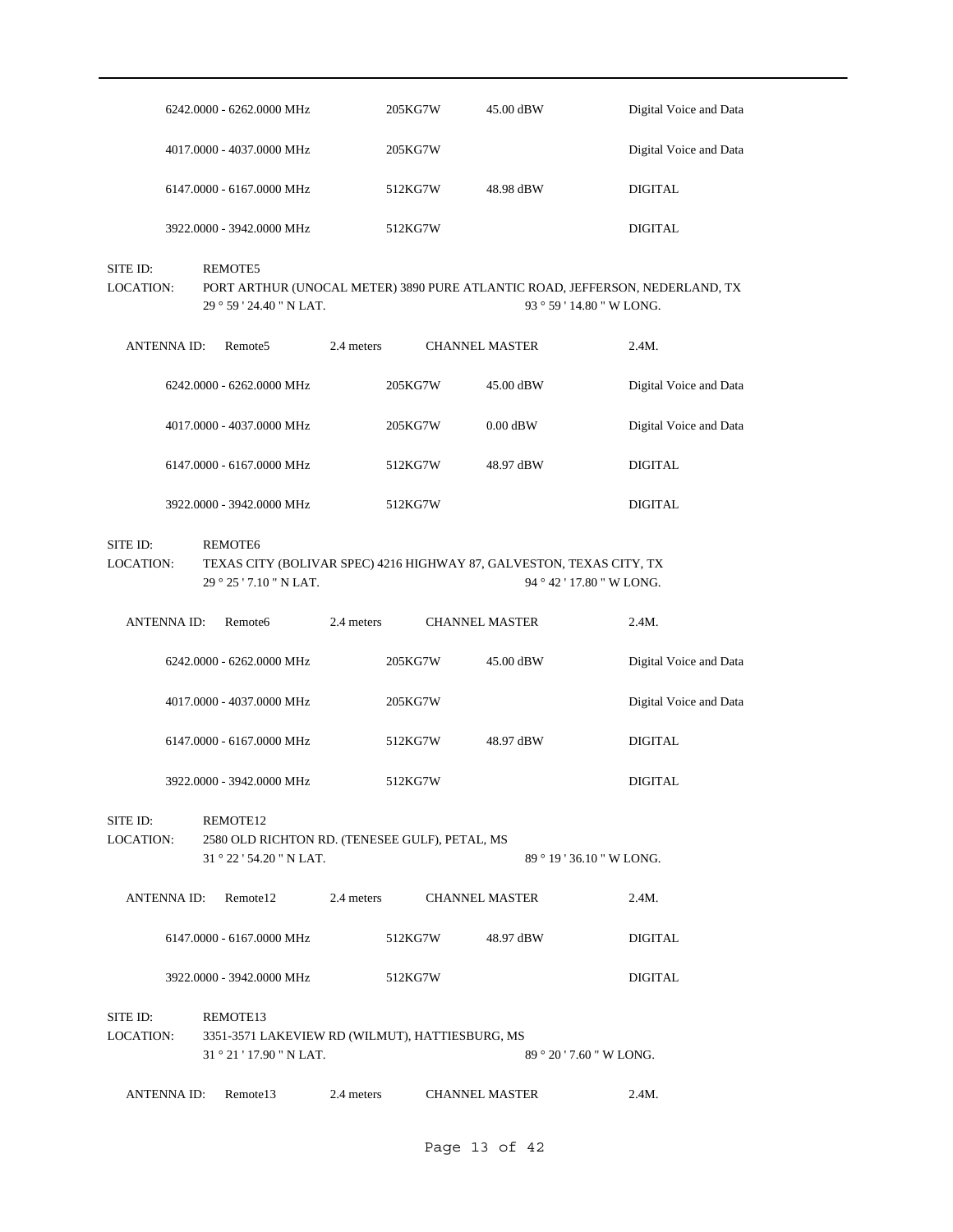| $6242.0000 - 6262.0000 \text{ MHz}$ | 205KG7W | 45.00 dBW | Digital Voice and Data |
|-------------------------------------|---------|-----------|------------------------|
| 4017.0000 - 4037.0000 MHz           | 205KG7W |           | Digital Voice and Data |
| $6147.0000 - 6167.0000 \text{ MHz}$ | 512KG7W | 48.98 dBW | DIGITAL                |
| 3922.0000 - 3942.0000 MHz           | 512KG7W |           | DIGITAL                |

SITE ID: REMOTE5

29 ° 59 ' 24.40 " N LAT. LOCATION: PORT ARTHUR (UNOCAL METER) 3890 PURE ATLANTIC ROAD, JEFFERSON, NEDERLAND, TX 93 ° 59 ' 14.80 " W LONG.

| ANTENNA ID: | Remote <sub>5</sub>                 | 2.4 meters |         | <b>CHANNEL MASTER</b> | 2.4M.                  |
|-------------|-------------------------------------|------------|---------|-----------------------|------------------------|
|             | $6242.0000 - 6262.0000 \text{ MHz}$ |            | 205KG7W | 45.00 dBW             | Digital Voice and Data |
|             | 4017.0000 - 4037.0000 MHz           |            | 205KG7W | $0.00$ dBW            | Digital Voice and Data |
|             | 6147,0000 - 6167,0000 MHz           |            | 512KG7W | 48.97 dBW             | DIGITAL                |
|             | 3922.0000 - 3942.0000 MHz           |            | 512KG7W |                       | DIGITAL                |

#### SITE ID: REMOTE6

29 ° 25 ' 7.10 " N LAT. LOCATION: TEXAS CITY (BOLIVAR SPEC) 4216 HIGHWAY 87, GALVESTON, TEXAS CITY, TX 94 ° 42 ' 17.80 " W LONG.

| ANTENNA ID: | Remote <sub>6</sub>       | 2.4 meters | <b>CHANNEL MASTER</b> |           | 2.4M.                  |
|-------------|---------------------------|------------|-----------------------|-----------|------------------------|
|             | 6242,0000 - 6262,0000 MHz |            | 205KG7W               | 45.00 dBW | Digital Voice and Data |
|             | 4017.0000 - 4037.0000 MHz |            | 205KG7W               |           | Digital Voice and Data |
|             | 6147,0000 - 6167,0000 MHz |            | 512KG7W               | 48.97 dBW | DIGITAL                |
|             | 3922.0000 - 3942.0000 MHz |            | 512KG7W               |           | DIGITAL                |

#### 31 ° 22 ' 54.20 " N LAT. SITE ID: REMOTE12 2580 OLD RICHTON RD. (TENESEE GULF), PETAL, MS 89 ° 19 ' 36.10 " W LONG. LOCATION:

ANTENNA ID: Remote12 2.4 meters CHANNEL MASTER 2.4M. 6147.0000 - 6167.0000 MHz 512KG7W 48.97 dBW DIGITAL

#### 3922.0000 - 3942.0000 MHz 512KG7W DIGITAL

31 ° 21 ' 17.90 " N LAT. SITE ID: REMOTE13 3351-3571 LAKEVIEW RD (WILMUT), HATTIESBURG, MS 89 ° 20 ' 7.60 " W LONG. LOCATION:

# ANTENNA ID: Remote13 2.4 meters CHANNEL MASTER 2.4M.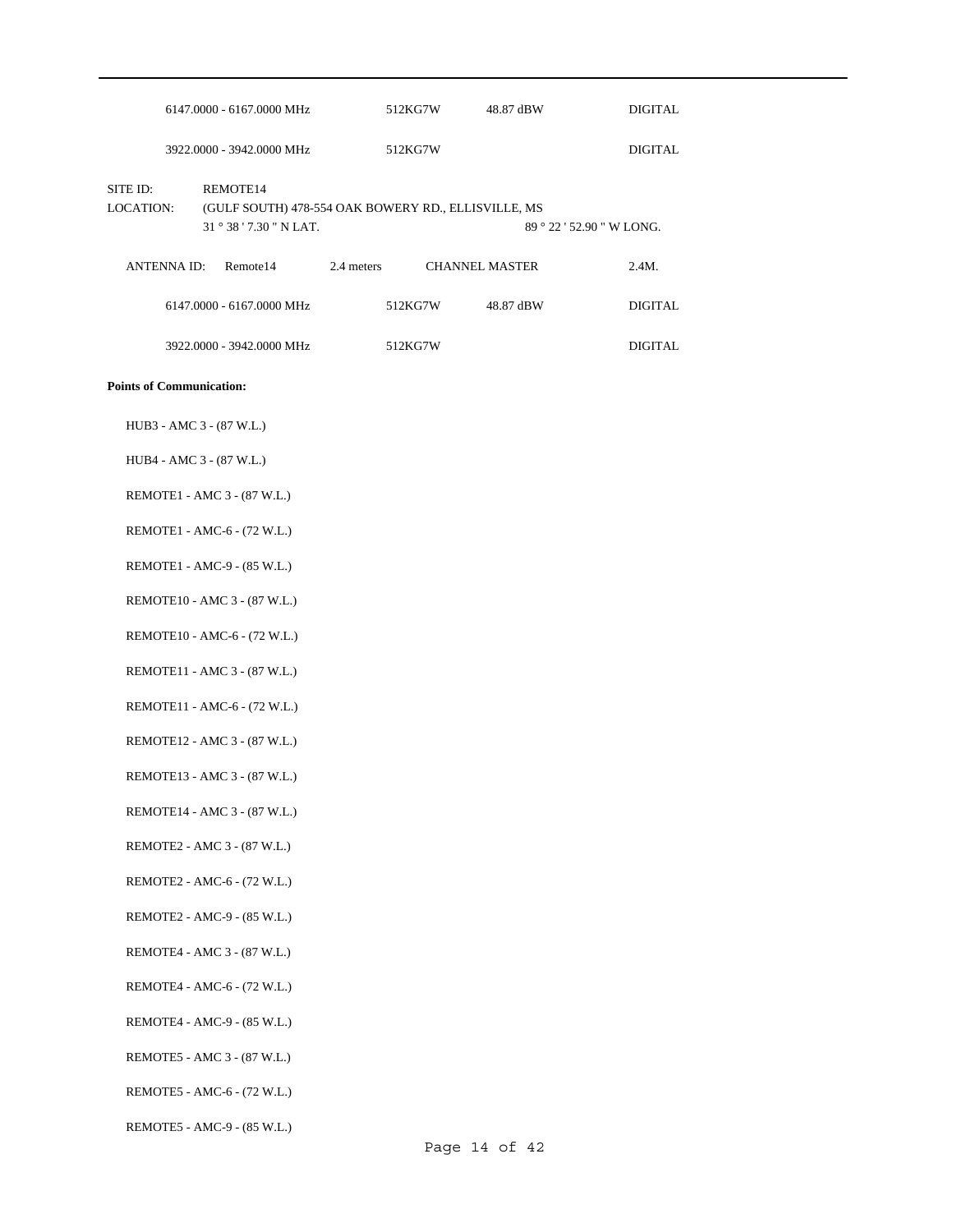|                              | $6147.0000 - 6167.0000 \text{ MHz}$                             |            | 512KG7W | 48.87 dBW             |                        | DIGITAL  |
|------------------------------|-----------------------------------------------------------------|------------|---------|-----------------------|------------------------|----------|
|                              | 3922,0000 - 3942,0000 MHz                                       |            | 512KG7W |                       |                        | DIGITAL  |
| SITE ID:<br><b>LOCATION:</b> | REMOTE14<br>(GULF SOUTH) 478-554 OAK BOWERY RD., ELLISVILLE, MS |            |         |                       |                        |          |
|                              | $31^{\circ}38'$ 7.30 " N LAT.                                   |            |         |                       | $89°22'52.90"$ W LONG. |          |
| <b>ANTENNA ID:</b>           | Remote <sub>14</sub>                                            | 2.4 meters |         | <b>CHANNEL MASTER</b> |                        | $2.4M$ . |
|                              | 6147,0000 - 6167,0000 MHz                                       |            | 512KG7W | 48.87 dBW             |                        | DIGITAL  |
|                              | 3922,0000 - 3942,0000 MHz                                       |            | 512KG7W |                       |                        | DIGITAL. |

HUB3 - AMC 3 - (87 W.L.)

HUB4 - AMC 3 - (87 W.L.)

#### REMOTE1 - AMC 3 - (87 W.L.)

REMOTE1 - AMC-6 - (72 W.L.)

REMOTE1 - AMC-9 - (85 W.L.)

REMOTE10 - AMC 3 - (87 W.L.)

REMOTE10 - AMC-6 - (72 W.L.)

REMOTE11 - AMC 3 - (87 W.L.)

REMOTE11 - AMC-6 - (72 W.L.)

REMOTE12 - AMC 3 - (87 W.L.)

REMOTE13 - AMC 3 - (87 W.L.)

REMOTE14 - AMC 3 - (87 W.L.)

REMOTE2 - AMC 3 - (87 W.L.)

REMOTE2 - AMC-6 - (72 W.L.)

REMOTE2 - AMC-9 - (85 W.L.)

REMOTE4 - AMC 3 - (87 W.L.)

REMOTE4 - AMC-6 - (72 W.L.)

REMOTE4 - AMC-9 - (85 W.L.)

REMOTE5 - AMC 3 - (87 W.L.)

REMOTE5 - AMC-6 - (72 W.L.)

REMOTE5 - AMC-9 - (85 W.L.)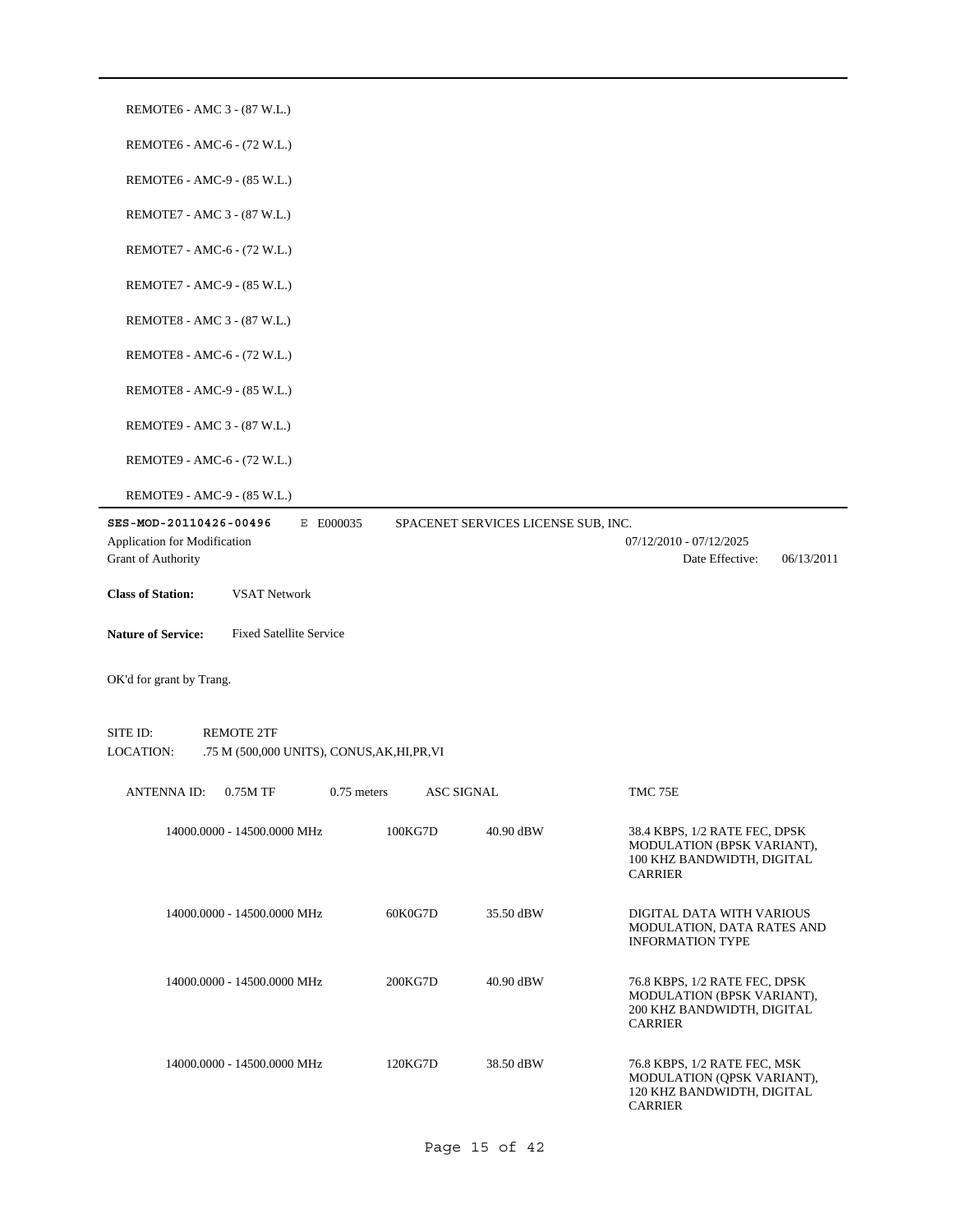| REMOTE6 - AMC 3 - (87 W.L.)                                                                |                                    |                                     |                                                                                                             |
|--------------------------------------------------------------------------------------------|------------------------------------|-------------------------------------|-------------------------------------------------------------------------------------------------------------|
| REMOTE6 - AMC-6 - (72 W.L.)                                                                |                                    |                                     |                                                                                                             |
| REMOTE6 - AMC-9 - (85 W.L.)                                                                |                                    |                                     |                                                                                                             |
| REMOTE7 - AMC 3 - (87 W.L.)                                                                |                                    |                                     |                                                                                                             |
| REMOTE7 - AMC-6 - (72 W.L.)                                                                |                                    |                                     |                                                                                                             |
| REMOTE7 - AMC-9 - (85 W.L.)                                                                |                                    |                                     |                                                                                                             |
| REMOTE8 - AMC 3 - (87 W.L.)                                                                |                                    |                                     |                                                                                                             |
| REMOTE8 - AMC-6 - (72 W.L.)                                                                |                                    |                                     |                                                                                                             |
| REMOTE8 - AMC-9 - (85 W.L.)                                                                |                                    |                                     |                                                                                                             |
| REMOTE9 - AMC 3 - (87 W.L.)                                                                |                                    |                                     |                                                                                                             |
| REMOTE9 - AMC-6 - (72 W.L.)                                                                |                                    |                                     |                                                                                                             |
| REMOTE9 - AMC-9 - (85 W.L.)                                                                |                                    |                                     |                                                                                                             |
| E E000035<br>SES-MOD-20110426-00496<br>Application for Modification<br>Grant of Authority  |                                    | SPACENET SERVICES LICENSE SUB, INC. | 07/12/2010 - 07/12/2025<br>Date Effective:<br>06/13/2011                                                    |
| <b>Class of Station:</b><br><b>VSAT Network</b>                                            |                                    |                                     |                                                                                                             |
| <b>Nature of Service:</b><br><b>Fixed Satellite Service</b>                                |                                    |                                     |                                                                                                             |
|                                                                                            |                                    |                                     |                                                                                                             |
| OK'd for grant by Trang.                                                                   |                                    |                                     |                                                                                                             |
| SITE ID:<br><b>REMOTE 2TF</b><br>LOCATION:<br>.75 M (500,000 UNITS), CONUS, AK, HI, PR, VI |                                    |                                     |                                                                                                             |
| <b>ANTENNA ID:</b><br>0.75M TF                                                             | <b>ASC SIGNAL</b><br>$0.75$ meters |                                     | TMC 75E                                                                                                     |
| 14000.0000 - 14500.0000 MHz                                                                | 100KG7D                            | 40.90 dBW                           | 38.4 KBPS, 1/2 RATE FEC, DPSK<br>MODULATION (BPSK VARIANT),<br>100 KHZ BANDWIDTH, DIGITAL<br><b>CARRIER</b> |
| 14000.0000 - 14500.0000 MHz                                                                | 60K0G7D                            | 35.50 dBW                           | DIGITAL DATA WITH VARIOUS<br>MODULATION, DATA RATES AND<br><b>INFORMATION TYPE</b>                          |
| 14000.0000 - 14500.0000 MHz                                                                | 200KG7D                            | 40.90 dBW                           | 76.8 KBPS, 1/2 RATE FEC, DPSK<br>MODULATION (BPSK VARIANT),<br>200 KHZ BANDWIDTH, DIGITAL<br><b>CARRIER</b> |
| 14000.0000 - 14500.0000 MHz                                                                | 120KG7D                            | 38.50 dBW                           | 76.8 KBPS, 1/2 RATE FEC, MSK<br>MODULATION (QPSK VARIANT),<br>120 KHZ BANDWIDTH, DIGITAL<br><b>CARRIER</b>  |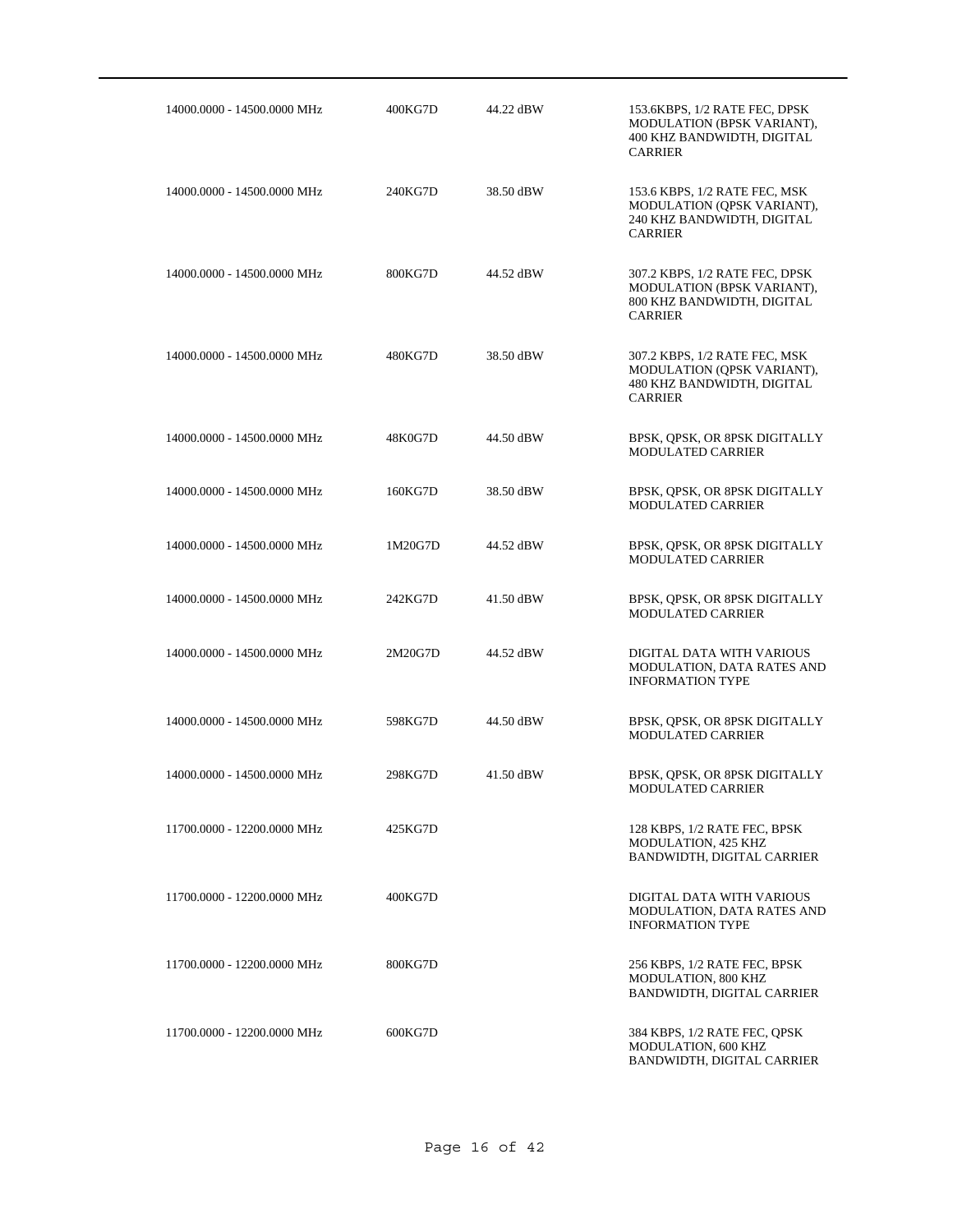| 14000.0000 - 14500.0000 MHz | 400KG7D | 44.22 dBW | 153.6KBPS, 1/2 RATE FEC, DPSK<br>MODULATION (BPSK VARIANT),<br>400 KHZ BANDWIDTH, DIGITAL<br><b>CARRIER</b>  |
|-----------------------------|---------|-----------|--------------------------------------------------------------------------------------------------------------|
| 14000.0000 - 14500.0000 MHz | 240KG7D | 38.50 dBW | 153.6 KBPS, 1/2 RATE FEC, MSK<br>MODULATION (QPSK VARIANT),<br>240 KHZ BANDWIDTH, DIGITAL<br><b>CARRIER</b>  |
| 14000.0000 - 14500.0000 MHz | 800KG7D | 44.52 dBW | 307.2 KBPS, 1/2 RATE FEC, DPSK<br>MODULATION (BPSK VARIANT),<br>800 KHZ BANDWIDTH, DIGITAL<br><b>CARRIER</b> |
| 14000.0000 - 14500.0000 MHz | 480KG7D | 38.50 dBW | 307.2 KBPS, 1/2 RATE FEC, MSK<br>MODULATION (QPSK VARIANT),<br>480 KHZ BANDWIDTH, DIGITAL<br><b>CARRIER</b>  |
| 14000.0000 - 14500.0000 MHz | 48K0G7D | 44.50 dBW | BPSK, QPSK, OR 8PSK DIGITALLY<br>MODULATED CARRIER                                                           |
| 14000.0000 - 14500.0000 MHz | 160KG7D | 38.50 dBW | BPSK, QPSK, OR 8PSK DIGITALLY<br><b>MODULATED CARRIER</b>                                                    |
| 14000.0000 - 14500.0000 MHz | 1M20G7D | 44.52 dBW | BPSK, QPSK, OR 8PSK DIGITALLY<br><b>MODULATED CARRIER</b>                                                    |
| 14000.0000 - 14500.0000 MHz | 242KG7D | 41.50 dBW | BPSK, QPSK, OR 8PSK DIGITALLY<br>MODULATED CARRIER                                                           |
| 14000.0000 - 14500.0000 MHz | 2M20G7D | 44.52 dBW | DIGITAL DATA WITH VARIOUS<br>MODULATION, DATA RATES AND<br><b>INFORMATION TYPE</b>                           |
| 14000.0000 - 14500.0000 MHz | 598KG7D | 44.50 dBW | BPSK, QPSK, OR 8PSK DIGITALLY<br><b>MODULATED CARRIER</b>                                                    |
| 14000.0000 - 14500.0000 MHz | 298KG7D | 41.50 dBW | BPSK, QPSK, OR 8PSK DIGITALLY<br><b>MODULATED CARRIER</b>                                                    |
| 11700.0000 - 12200.0000 MHz | 425KG7D |           | 128 KBPS, 1/2 RATE FEC, BPSK<br>MODULATION, 425 KHZ<br>BANDWIDTH, DIGITAL CARRIER                            |
| 11700.0000 - 12200.0000 MHz | 400KG7D |           | DIGITAL DATA WITH VARIOUS<br><b>MODULATION, DATA RATES AND</b><br><b>INFORMATION TYPE</b>                    |
| 11700.0000 - 12200.0000 MHz | 800KG7D |           | 256 KBPS, 1/2 RATE FEC, BPSK<br>MODULATION, 800 KHZ<br>BANDWIDTH, DIGITAL CARRIER                            |
| 11700.0000 - 12200.0000 MHz | 600KG7D |           | 384 KBPS, 1/2 RATE FEC, QPSK<br>MODULATION, 600 KHZ<br>BANDWIDTH, DIGITAL CARRIER                            |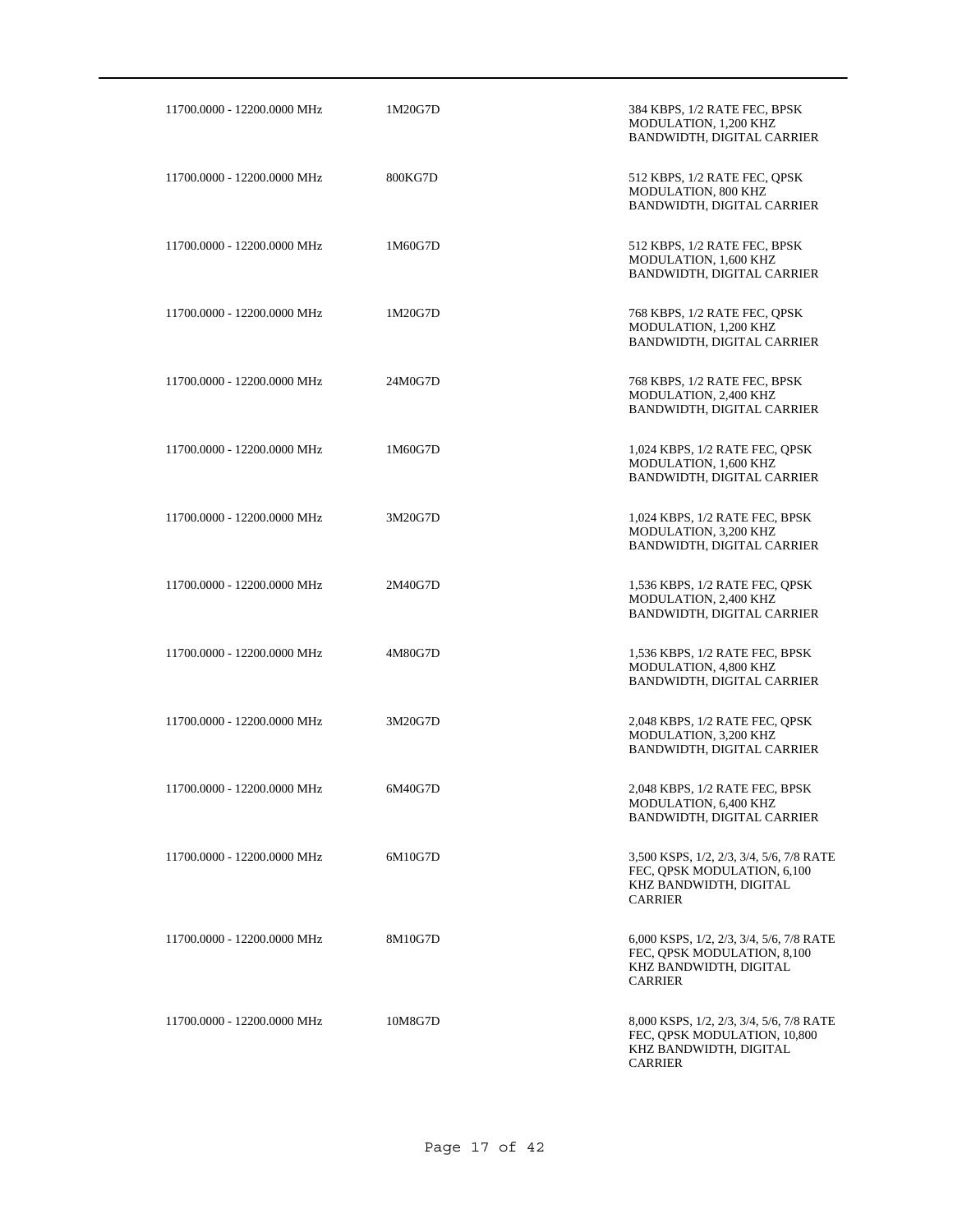| 11700.0000 - 12200.0000 MHz | 1M20G7D | 384 KBPS, 1/2 RATE FEC, BPSK<br>MODULATION, 1,200 KHZ<br>BANDWIDTH, DIGITAL CARRIER                                  |
|-----------------------------|---------|----------------------------------------------------------------------------------------------------------------------|
| 11700.0000 - 12200.0000 MHz | 800KG7D | 512 KBPS, 1/2 RATE FEC, QPSK<br>MODULATION, 800 KHZ<br>BANDWIDTH, DIGITAL CARRIER                                    |
| 11700.0000 - 12200.0000 MHz | 1M60G7D | 512 KBPS, 1/2 RATE FEC, BPSK<br>MODULATION, 1,600 KHZ<br>BANDWIDTH, DIGITAL CARRIER                                  |
| 11700.0000 - 12200.0000 MHz | 1M20G7D | 768 KBPS, 1/2 RATE FEC, QPSK<br>MODULATION, 1,200 KHZ<br>BANDWIDTH, DIGITAL CARRIER                                  |
| 11700.0000 - 12200.0000 MHz | 24M0G7D | 768 KBPS, 1/2 RATE FEC, BPSK<br>MODULATION, 2,400 KHZ<br>BANDWIDTH, DIGITAL CARRIER                                  |
| 11700.0000 - 12200.0000 MHz | 1M60G7D | 1,024 KBPS, 1/2 RATE FEC, QPSK<br>MODULATION, 1,600 KHZ<br>BANDWIDTH, DIGITAL CARRIER                                |
| 11700.0000 - 12200.0000 MHz | 3M20G7D | 1,024 KBPS, 1/2 RATE FEC, BPSK<br>MODULATION, 3,200 KHZ<br>BANDWIDTH, DIGITAL CARRIER                                |
| 11700.0000 - 12200.0000 MHz | 2M40G7D | 1,536 KBPS, 1/2 RATE FEC, QPSK<br>MODULATION, 2,400 KHZ<br>BANDWIDTH, DIGITAL CARRIER                                |
| 11700.0000 - 12200.0000 MHz | 4M80G7D | 1,536 KBPS, 1/2 RATE FEC, BPSK<br>MODULATION, 4,800 KHZ<br>BANDWIDTH, DIGITAL CARRIER                                |
| 11700.0000 - 12200.0000 MHz | 3M20G7D | 2,048 KBPS, 1/2 RATE FEC, OPSK<br>MODULATION, 3,200 KHZ<br>BANDWIDTH, DIGITAL CARRIER                                |
| 11700.0000 - 12200.0000 MHz | 6M40G7D | 2,048 KBPS, 1/2 RATE FEC, BPSK<br>MODULATION, 6,400 KHZ<br>BANDWIDTH, DIGITAL CARRIER                                |
| 11700.0000 - 12200.0000 MHz | 6M10G7D | 3,500 KSPS, 1/2, 2/3, 3/4, 5/6, 7/8 RATE<br>FEC, QPSK MODULATION, 6,100<br>KHZ BANDWIDTH, DIGITAL<br><b>CARRIER</b>  |
| 11700.0000 - 12200.0000 MHz | 8M10G7D | 6,000 KSPS, 1/2, 2/3, 3/4, 5/6, 7/8 RATE<br>FEC, QPSK MODULATION, 8,100<br>KHZ BANDWIDTH, DIGITAL<br><b>CARRIER</b>  |
| 11700.0000 - 12200.0000 MHz | 10M8G7D | 8,000 KSPS, 1/2, 2/3, 3/4, 5/6, 7/8 RATE<br>FEC, QPSK MODULATION, 10,800<br>KHZ BANDWIDTH, DIGITAL<br><b>CARRIER</b> |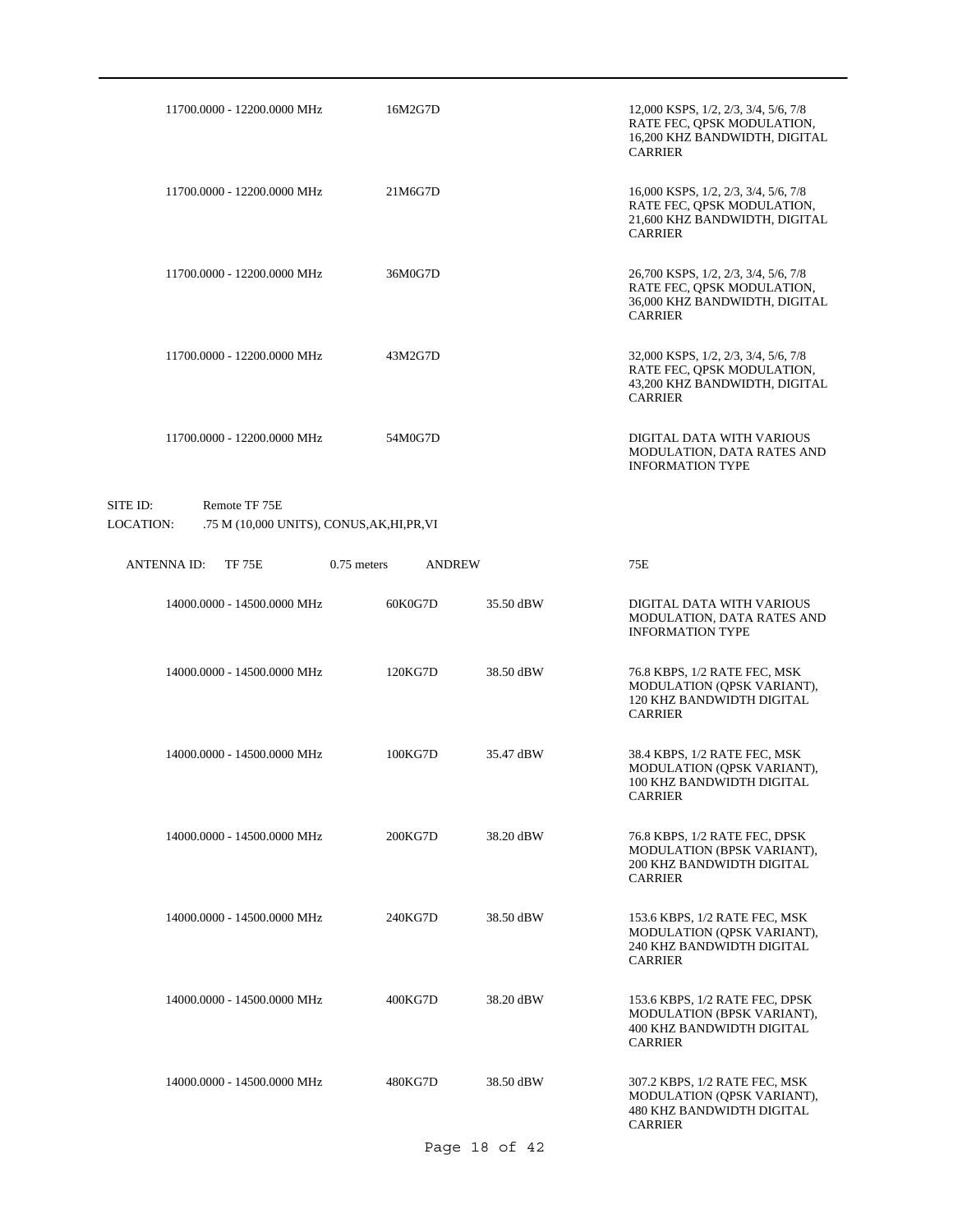| 11700.0000 - 12200.0000 MHz | 16M2G7D | 12,000 KSPS, 1/2, 2/3, 3/4, 5/6, 7/8<br>RATE FEC, QPSK MODULATION,<br>16,200 KHZ BANDWIDTH, DIGITAL<br><b>CARRIER</b> |
|-----------------------------|---------|-----------------------------------------------------------------------------------------------------------------------|
| 11700,0000 - 12200,0000 MHz | 21M6G7D | 16,000 KSPS, 1/2, 2/3, 3/4, 5/6, 7/8<br>RATE FEC, QPSK MODULATION,<br>21,600 KHZ BANDWIDTH, DIGITAL<br><b>CARRIER</b> |
| 11700,0000 - 12200,0000 MHz | 36M0G7D | 26,700 KSPS, 1/2, 2/3, 3/4, 5/6, 7/8<br>RATE FEC, QPSK MODULATION,<br>36,000 KHZ BANDWIDTH, DIGITAL<br><b>CARRIER</b> |
| 11700.0000 - 12200.0000 MHz | 43M2G7D | 32,000 KSPS, 1/2, 2/3, 3/4, 5/6, 7/8<br>RATE FEC, QPSK MODULATION,<br>43,200 KHZ BANDWIDTH, DIGITAL<br><b>CARRIER</b> |
| 11700,0000 - 12200,0000 MHz | 54M0G7D | DIGITAL DATA WITH VARIOUS<br>MODULATION, DATA RATES AND<br><b>INFORMATION TYPE</b>                                    |

# SITE ID: Remote TF 75E LOCATION: .75 M (10,000 UNITS), CONUS,AK,HI,PR,VI

| <b>ANTENNAID:</b><br><b>TF 75E</b> | $0.75$ meters | <b>ANDREW</b> |           | 75E                                                                                                               |
|------------------------------------|---------------|---------------|-----------|-------------------------------------------------------------------------------------------------------------------|
| 14000.0000 - 14500.0000 MHz        |               | 60K0G7D       | 35.50 dBW | DIGITAL DATA WITH VARIOUS<br>MODULATION, DATA RATES AND<br><b>INFORMATION TYPE</b>                                |
| 14000.0000 - 14500.0000 MHz        |               | 120KG7D       | 38.50 dBW | 76.8 KBPS, 1/2 RATE FEC, MSK<br>MODULATION (QPSK VARIANT),<br>120 KHZ BANDWIDTH DIGITAL<br><b>CARRIER</b>         |
| 14000.0000 - 14500.0000 MHz        |               | 100KG7D       | 35.47 dBW | 38.4 KBPS, 1/2 RATE FEC, MSK<br>MODULATION (OPSK VARIANT),<br>100 KHZ BANDWIDTH DIGITAL<br><b>CARRIER</b>         |
| 14000.0000 - 14500.0000 MHz        |               | 200KG7D       | 38.20 dBW | 76.8 KBPS, 1/2 RATE FEC, DPSK<br>MODULATION (BPSK VARIANT),<br>200 KHZ BANDWIDTH DIGITAL<br><b>CARRIER</b>        |
| 14000.0000 - 14500.0000 MHz        |               | 240KG7D       | 38.50 dBW | 153.6 KBPS, 1/2 RATE FEC, MSK<br>MODULATION (QPSK VARIANT),<br>240 KHZ BANDWIDTH DIGITAL<br><b>CARRIER</b>        |
| 14000.0000 - 14500.0000 MHz        |               | 400KG7D       | 38.20 dBW | 153.6 KBPS, 1/2 RATE FEC, DPSK<br>MODULATION (BPSK VARIANT),<br>400 KHZ BANDWIDTH DIGITAL<br><b>CARRIER</b>       |
| 14000.0000 - 14500.0000 MHz        |               | 480KG7D       | 38.50 dBW | 307.2 KBPS, 1/2 RATE FEC, MSK<br>MODULATION (OPSK VARIANT),<br><b>480 KHZ BANDWIDTH DIGITAL</b><br><b>CARRIER</b> |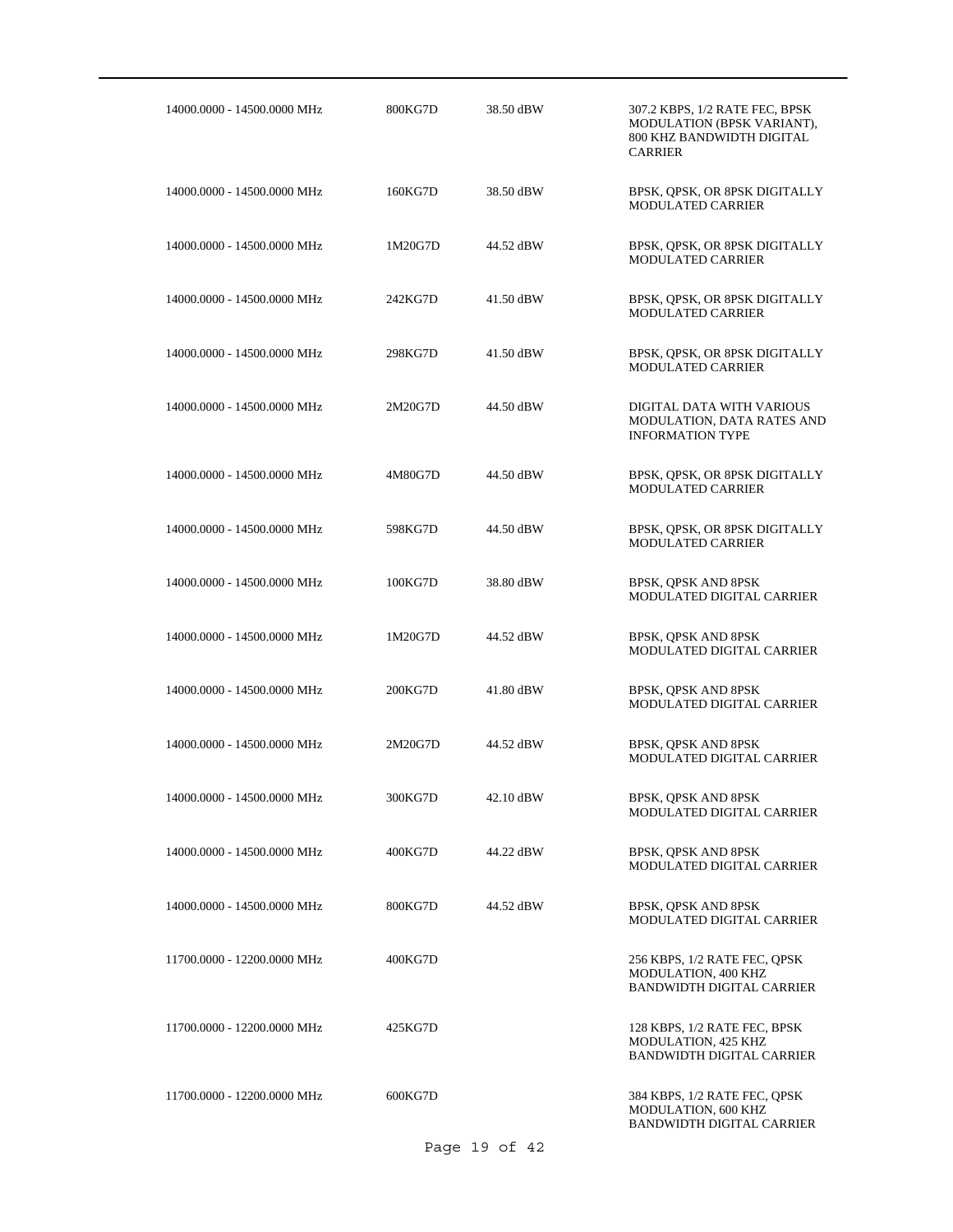| 14000.0000 - 14500.0000 MHz | 800KG7D | 38.50 dBW | 307.2 KBPS, 1/2 RATE FEC, BPSK<br>MODULATION (BPSK VARIANT),<br>800 KHZ BANDWIDTH DIGITAL<br><b>CARRIER</b> |
|-----------------------------|---------|-----------|-------------------------------------------------------------------------------------------------------------|
| 14000.0000 - 14500.0000 MHz | 160KG7D | 38.50 dBW | BPSK, QPSK, OR 8PSK DIGITALLY<br>MODULATED CARRIER                                                          |
| 14000.0000 - 14500.0000 MHz | 1M20G7D | 44.52 dBW | BPSK, QPSK, OR 8PSK DIGITALLY<br><b>MODULATED CARRIER</b>                                                   |
| 14000.0000 - 14500.0000 MHz | 242KG7D | 41.50 dBW | BPSK, QPSK, OR 8PSK DIGITALLY<br><b>MODULATED CARRIER</b>                                                   |
| 14000.0000 - 14500.0000 MHz | 298KG7D | 41.50 dBW | BPSK, QPSK, OR 8PSK DIGITALLY<br><b>MODULATED CARRIER</b>                                                   |
| 14000.0000 - 14500.0000 MHz | 2M20G7D | 44.50 dBW | DIGITAL DATA WITH VARIOUS<br>MODULATION, DATA RATES AND<br><b>INFORMATION TYPE</b>                          |
| 14000.0000 - 14500.0000 MHz | 4M80G7D | 44.50 dBW | BPSK, QPSK, OR 8PSK DIGITALLY<br><b>MODULATED CARRIER</b>                                                   |
| 14000.0000 - 14500.0000 MHz | 598KG7D | 44.50 dBW | BPSK, QPSK, OR 8PSK DIGITALLY<br>MODULATED CARRIER                                                          |
| 14000.0000 - 14500.0000 MHz | 100KG7D | 38.80 dBW | BPSK, QPSK AND 8PSK<br>MODULATED DIGITAL CARRIER                                                            |
| 14000.0000 - 14500.0000 MHz | 1M20G7D | 44.52 dBW | BPSK, QPSK AND 8PSK<br>MODULATED DIGITAL CARRIER                                                            |
| 14000.0000 - 14500.0000 MHz | 200KG7D | 41.80 dBW | BPSK, QPSK AND 8PSK<br>MODULATED DIGITAL CARRIER                                                            |
| 14000.0000 - 14500.0000 MHz | 2M20G7D | 44.52 dBW | BPSK, OPSK AND 8PSK<br>MODULATED DIGITAL CARRIER                                                            |
| 14000.0000 - 14500.0000 MHz | 300KG7D | 42.10 dBW | BPSK, QPSK AND 8PSK<br>MODULATED DIGITAL CARRIER                                                            |
| 14000.0000 - 14500.0000 MHz | 400KG7D | 44.22 dBW | BPSK, QPSK AND 8PSK<br>MODULATED DIGITAL CARRIER                                                            |
| 14000.0000 - 14500.0000 MHz | 800KG7D | 44.52 dBW | BPSK, QPSK AND 8PSK<br>MODULATED DIGITAL CARRIER                                                            |
| 11700.0000 - 12200.0000 MHz | 400KG7D |           | 256 KBPS, 1/2 RATE FEC, QPSK<br>MODULATION, 400 KHZ<br><b>BANDWIDTH DIGITAL CARRIER</b>                     |
| 11700.0000 - 12200.0000 MHz | 425KG7D |           | 128 KBPS, 1/2 RATE FEC, BPSK<br>MODULATION, 425 KHZ<br><b>BANDWIDTH DIGITAL CARRIER</b>                     |
| 11700.0000 - 12200.0000 MHz | 600KG7D |           | 384 KBPS, 1/2 RATE FEC, QPSK<br>MODULATION, 600 KHZ<br><b>BANDWIDTH DIGITAL CARRIER</b>                     |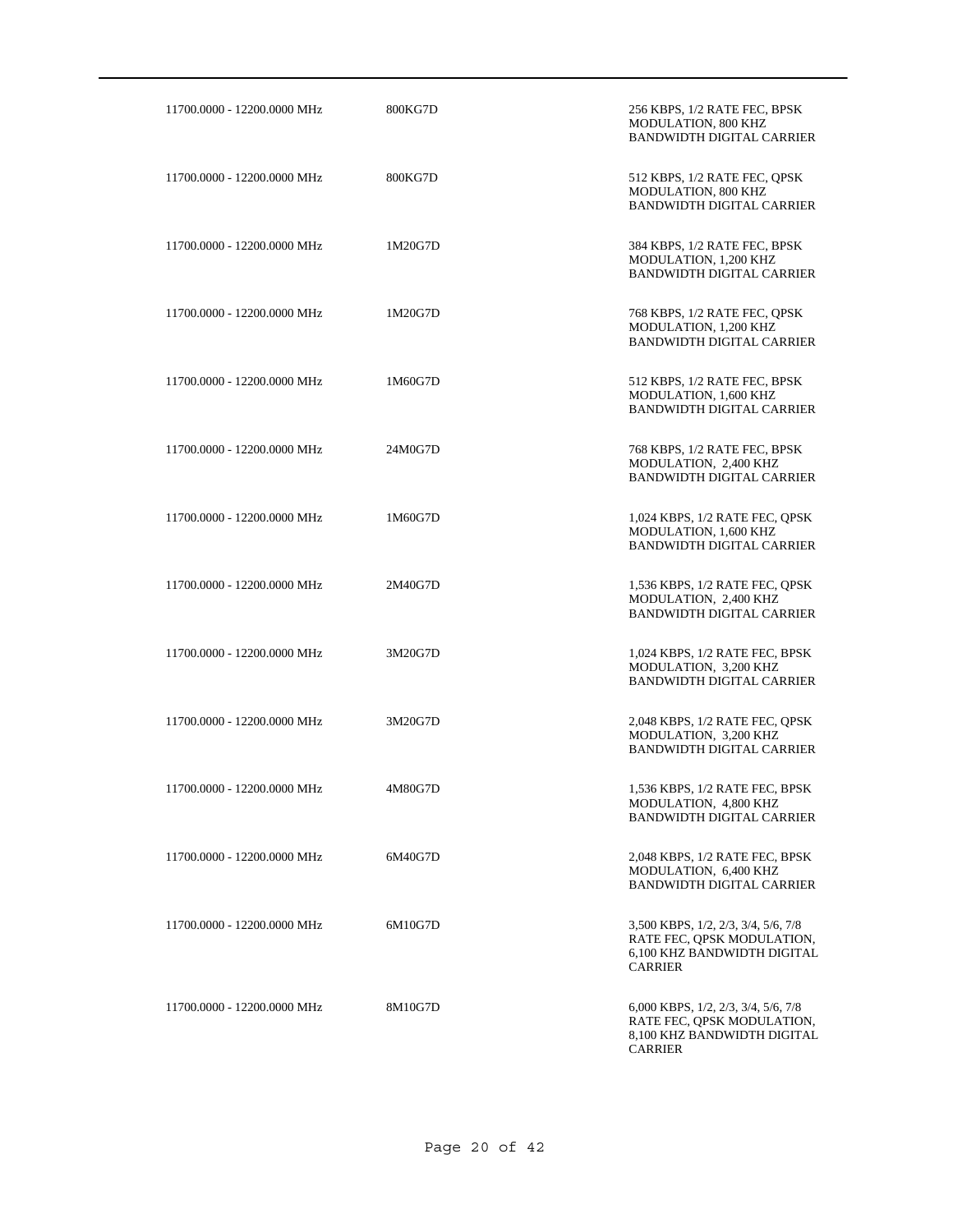| 11700.0000 - 12200.0000 MHz | 800KG7D | 256 KBPS, 1/2 RATE FEC, BPSK<br>MODULATION, 800 KHZ<br><b>BANDWIDTH DIGITAL CARRIER</b>                            |
|-----------------------------|---------|--------------------------------------------------------------------------------------------------------------------|
| 11700.0000 - 12200.0000 MHz | 800KG7D | 512 KBPS, 1/2 RATE FEC, QPSK<br>MODULATION, 800 KHZ<br><b>BANDWIDTH DIGITAL CARRIER</b>                            |
| 11700.0000 - 12200.0000 MHz | 1M20G7D | 384 KBPS, 1/2 RATE FEC, BPSK<br>MODULATION, 1,200 KHZ<br><b>BANDWIDTH DIGITAL CARRIER</b>                          |
| 11700.0000 - 12200.0000 MHz | 1M20G7D | 768 KBPS, 1/2 RATE FEC, QPSK<br>MODULATION, 1,200 KHZ<br><b>BANDWIDTH DIGITAL CARRIER</b>                          |
| 11700.0000 - 12200.0000 MHz | 1M60G7D | 512 KBPS, 1/2 RATE FEC, BPSK<br>MODULATION, 1,600 KHZ<br><b>BANDWIDTH DIGITAL CARRIER</b>                          |
| 11700.0000 - 12200.0000 MHz | 24M0G7D | 768 KBPS, 1/2 RATE FEC, BPSK<br>MODULATION, 2,400 KHZ<br><b>BANDWIDTH DIGITAL CARRIER</b>                          |
| 11700.0000 - 12200.0000 MHz | 1M60G7D | 1,024 KBPS, 1/2 RATE FEC, OPSK<br>MODULATION, 1,600 KHZ<br><b>BANDWIDTH DIGITAL CARRIER</b>                        |
| 11700.0000 - 12200.0000 MHz | 2M40G7D | 1,536 KBPS, 1/2 RATE FEC, QPSK<br>MODULATION, 2,400 KHZ<br><b>BANDWIDTH DIGITAL CARRIER</b>                        |
| 11700.0000 - 12200.0000 MHz | 3M20G7D | 1,024 KBPS, 1/2 RATE FEC, BPSK<br>MODULATION, 3,200 KHZ<br><b>BANDWIDTH DIGITAL CARRIER</b>                        |
| 11700.0000 - 12200.0000 MHz | 3M20G7D | 2,048 KBPS, 1/2 RATE FEC, QPSK<br>MODULATION, 3,200 KHZ<br><b>BANDWIDTH DIGITAL CARRIER</b>                        |
| 11700.0000 - 12200.0000 MHz | 4M80G7D | 1,536 KBPS, 1/2 RATE FEC, BPSK<br>MODULATION, 4,800 KHZ<br><b>BANDWIDTH DIGITAL CARRIER</b>                        |
| 11700.0000 - 12200.0000 MHz | 6M40G7D | 2,048 KBPS, 1/2 RATE FEC, BPSK<br>MODULATION, 6,400 KHZ<br><b>BANDWIDTH DIGITAL CARRIER</b>                        |
| 11700.0000 - 12200.0000 MHz | 6M10G7D | 3,500 KBPS, 1/2, 2/3, 3/4, 5/6, 7/8<br>RATE FEC, OPSK MODULATION,<br>6.100 KHZ BANDWIDTH DIGITAL<br><b>CARRIER</b> |
| 11700.0000 - 12200.0000 MHz | 8M10G7D | 6,000 KBPS, 1/2, 2/3, 3/4, 5/6, 7/8<br>RATE FEC, QPSK MODULATION,<br>8,100 KHZ BANDWIDTH DIGITAL<br><b>CARRIER</b> |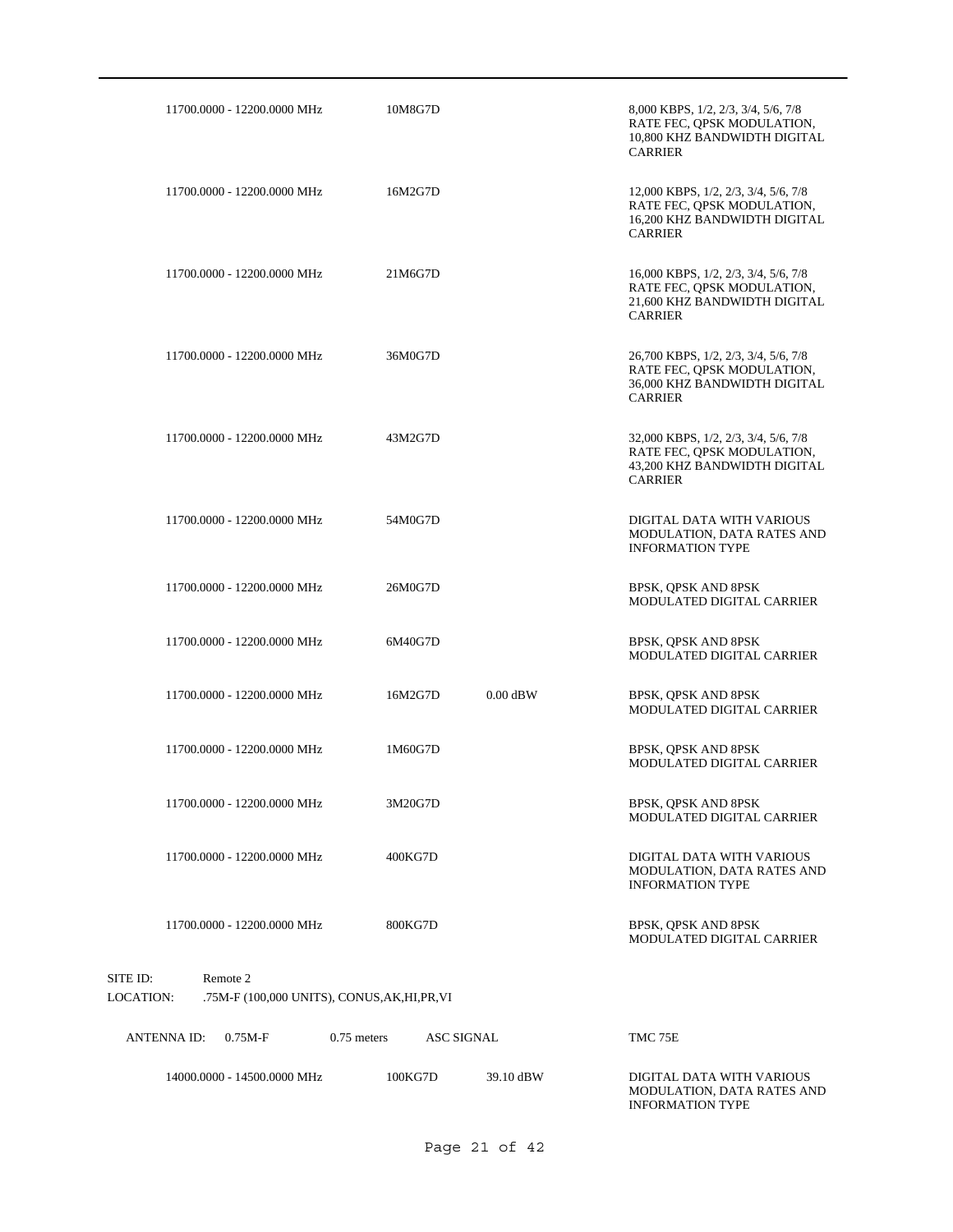| 11700.0000 - 12200.0000 MHz                                                               | 10M8G7D                            | 8,000 KBPS, 1/2, 2/3, 3/4, 5/6, 7/8<br>RATE FEC, QPSK MODULATION,<br>10,800 KHZ BANDWIDTH DIGITAL<br><b>CARRIER</b>  |
|-------------------------------------------------------------------------------------------|------------------------------------|----------------------------------------------------------------------------------------------------------------------|
| 11700.0000 - 12200.0000 MHz                                                               | 16M2G7D                            | 12,000 KBPS, 1/2, 2/3, 3/4, 5/6, 7/8<br>RATE FEC, OPSK MODULATION,<br>16,200 KHZ BANDWIDTH DIGITAL<br><b>CARRIER</b> |
| 11700.0000 - 12200.0000 MHz                                                               | 21M6G7D                            | 16,000 KBPS, 1/2, 2/3, 3/4, 5/6, 7/8<br>RATE FEC, QPSK MODULATION,<br>21,600 KHZ BANDWIDTH DIGITAL<br><b>CARRIER</b> |
| 11700.0000 - 12200.0000 MHz                                                               | 36M0G7D                            | 26,700 KBPS, 1/2, 2/3, 3/4, 5/6, 7/8<br>RATE FEC, QPSK MODULATION,<br>36,000 KHZ BANDWIDTH DIGITAL<br><b>CARRIER</b> |
| 11700.0000 - 12200.0000 MHz                                                               | 43M2G7D                            | 32,000 KBPS, 1/2, 2/3, 3/4, 5/6, 7/8<br>RATE FEC, QPSK MODULATION,<br>43,200 KHZ BANDWIDTH DIGITAL<br><b>CARRIER</b> |
| 11700.0000 - 12200.0000 MHz                                                               | 54M0G7D                            | DIGITAL DATA WITH VARIOUS<br>MODULATION, DATA RATES AND<br><b>INFORMATION TYPE</b>                                   |
| 11700.0000 - 12200.0000 MHz                                                               | 26M0G7D                            | BPSK, QPSK AND 8PSK<br>MODULATED DIGITAL CARRIER                                                                     |
| 11700.0000 - 12200.0000 MHz                                                               | 6M40G7D                            | BPSK, QPSK AND 8PSK<br>MODULATED DIGITAL CARRIER                                                                     |
| 11700.0000 - 12200.0000 MHz                                                               | $0.00$ dBW<br>16M2G7D              | BPSK, QPSK AND 8PSK<br>MODULATED DIGITAL CARRIER                                                                     |
| 11700.0000 - 12200.0000 MHz                                                               | 1M60G7D                            | BPSK, QPSK AND 8PSK<br>MODULATED DIGITAL CARRIER                                                                     |
| 11700.0000 - 12200.0000 MHz                                                               | 3M20G7D                            | BPSK, QPSK AND 8PSK<br>MODULATED DIGITAL CARRIER                                                                     |
| 11700.0000 - 12200.0000 MHz                                                               | 400KG7D                            | DIGITAL DATA WITH VARIOUS<br>MODULATION, DATA RATES AND<br><b>INFORMATION TYPE</b>                                   |
| 11700.0000 - 12200.0000 MHz                                                               | 800KG7D                            | BPSK, QPSK AND 8PSK<br>MODULATED DIGITAL CARRIER                                                                     |
| SITE ID:<br>Remote 2<br><b>LOCATION:</b><br>.75M-F (100,000 UNITS), CONUS, AK, HI, PR, VI |                                    |                                                                                                                      |
| <b>ANTENNAID:</b><br>$0.75M-F$                                                            | $0.75$ meters<br><b>ASC SIGNAL</b> | TMC 75E                                                                                                              |
| 14000.0000 - 14500.0000 MHz                                                               | 100KG7D<br>39.10 dBW               | DIGITAL DATA WITH VARIOUS<br>MODULATION, DATA RATES AND<br><b>INFORMATION TYPE</b>                                   |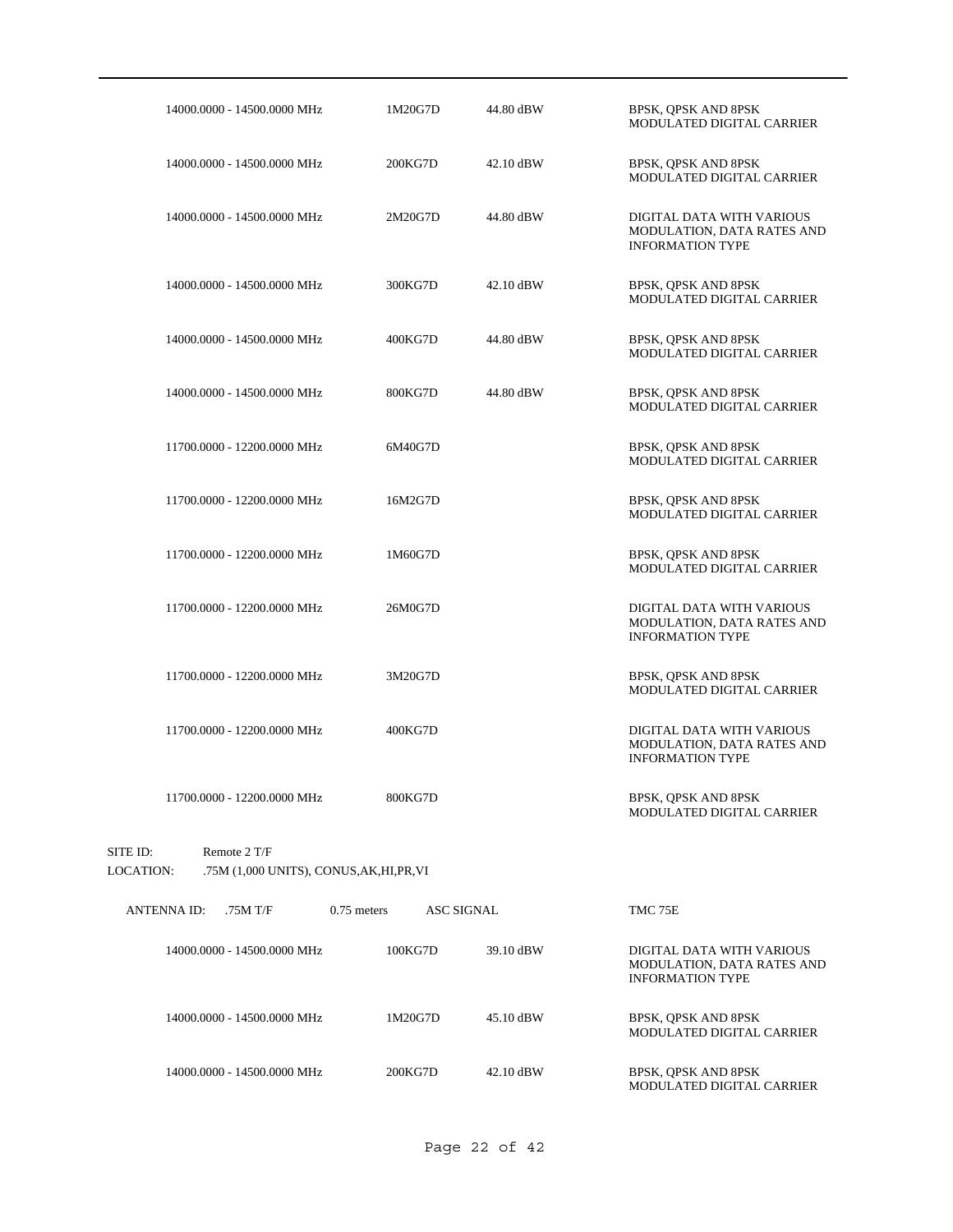| 14000.0000 - 14500.0000 MHz                                                               | 1M20G7D                            | 44.80 dBW | BPSK, QPSK AND 8PSK<br>MODULATED DIGITAL CARRIER                                   |
|-------------------------------------------------------------------------------------------|------------------------------------|-----------|------------------------------------------------------------------------------------|
| 14000.0000 - 14500.0000 MHz                                                               | 200KG7D                            | 42.10 dBW | BPSK, QPSK AND 8PSK<br>MODULATED DIGITAL CARRIER                                   |
| 14000.0000 - 14500.0000 MHz                                                               | 2M20G7D                            | 44.80 dBW | DIGITAL DATA WITH VARIOUS<br>MODULATION, DATA RATES AND<br><b>INFORMATION TYPE</b> |
| 14000.0000 - 14500.0000 MHz                                                               | 300KG7D                            | 42.10 dBW | BPSK, QPSK AND 8PSK<br>MODULATED DIGITAL CARRIER                                   |
| 14000.0000 - 14500.0000 MHz                                                               | 400KG7D                            | 44.80 dBW | BPSK, QPSK AND 8PSK<br>MODULATED DIGITAL CARRIER                                   |
| 14000.0000 - 14500.0000 MHz                                                               | 800KG7D                            | 44.80 dBW | BPSK, QPSK AND 8PSK<br>MODULATED DIGITAL CARRIER                                   |
| 11700.0000 - 12200.0000 MHz                                                               | 6M40G7D                            |           | BPSK, QPSK AND 8PSK<br>MODULATED DIGITAL CARRIER                                   |
| 11700.0000 - 12200.0000 MHz                                                               | 16M2G7D                            |           | BPSK, OPSK AND 8PSK<br>MODULATED DIGITAL CARRIER                                   |
| 11700.0000 - 12200.0000 MHz                                                               | 1M60G7D                            |           | BPSK, QPSK AND 8PSK<br>MODULATED DIGITAL CARRIER                                   |
| 11700.0000 - 12200.0000 MHz                                                               | 26M0G7D                            |           | DIGITAL DATA WITH VARIOUS<br>MODULATION, DATA RATES AND<br><b>INFORMATION TYPE</b> |
| 11700.0000 - 12200.0000 MHz                                                               | 3M20G7D                            |           | BPSK, QPSK AND 8PSK<br>MODULATED DIGITAL CARRIER                                   |
| 11700.0000 - 12200.0000 MHz                                                               | 400KG7D                            |           | DIGITAL DATA WITH VARIOUS<br>MODULATION, DATA RATES AND<br><b>INFORMATION TYPE</b> |
| 11700.0000 - 12200.0000 MHz                                                               | 800KG7D                            |           | BPSK, QPSK AND 8PSK<br>MODULATED DIGITAL CARRIER                                   |
| SITE ID:<br>Remote 2 T/F<br><b>LOCATION:</b><br>.75M (1,000 UNITS), CONUS, AK, HI, PR, VI |                                    |           |                                                                                    |
| <b>ANTENNA ID:</b><br>.75M T/F                                                            | $0.75$ meters<br><b>ASC SIGNAL</b> |           | TMC 75E                                                                            |
| 14000.0000 - 14500.0000 MHz                                                               | 100KG7D                            | 39.10 dBW | DIGITAL DATA WITH VARIOUS<br>MODULATION, DATA RATES AND<br><b>INFORMATION TYPE</b> |
| 14000.0000 - 14500.0000 MHz                                                               | 1M20G7D                            | 45.10 dBW | BPSK, QPSK AND 8PSK<br>MODULATED DIGITAL CARRIER                                   |
| 14000.0000 - 14500.0000 MHz                                                               | 200KG7D                            | 42.10 dBW | BPSK, QPSK AND 8PSK<br>MODULATED DIGITAL CARRIER                                   |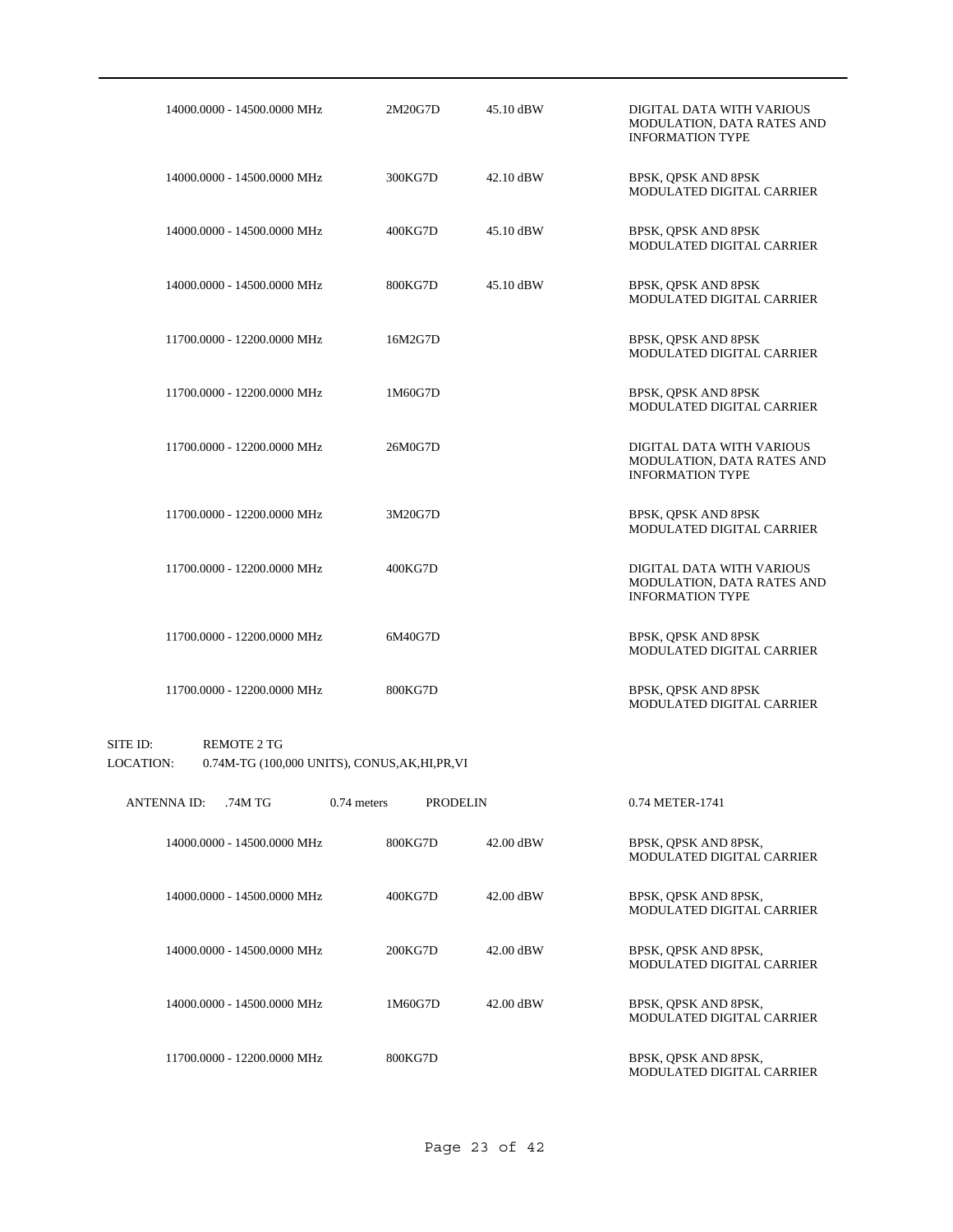| 14000.0000 - 14500.0000 MHz | 2M20G7D | 45.10 dBW | DIGITAL DATA WITH VARIOUS<br>MODULATION, DATA RATES AND<br><b>INFORMATION TYPE</b> |
|-----------------------------|---------|-----------|------------------------------------------------------------------------------------|
| 14000.0000 - 14500.0000 MHz | 300KG7D | 42.10 dBW | BPSK, QPSK AND 8PSK<br>MODULATED DIGITAL CARRIER                                   |
| 14000.0000 - 14500.0000 MHz | 400KG7D | 45.10 dBW | BPSK, QPSK AND 8PSK<br>MODULATED DIGITAL CARRIER                                   |
| 14000.0000 - 14500.0000 MHz | 800KG7D | 45.10 dBW | BPSK, QPSK AND 8PSK<br>MODULATED DIGITAL CARRIER                                   |
| 11700.0000 - 12200.0000 MHz | 16M2G7D |           | BPSK, QPSK AND 8PSK<br>MODULATED DIGITAL CARRIER                                   |
| 11700.0000 - 12200.0000 MHz | 1M60G7D |           | BPSK, QPSK AND 8PSK<br>MODULATED DIGITAL CARRIER                                   |
| 11700.0000 - 12200.0000 MHz | 26M0G7D |           | DIGITAL DATA WITH VARIOUS<br>MODULATION, DATA RATES AND<br><b>INFORMATION TYPE</b> |
| 11700.0000 - 12200.0000 MHz | 3M20G7D |           | BPSK, QPSK AND 8PSK<br>MODULATED DIGITAL CARRIER                                   |
| 11700.0000 - 12200.0000 MHz | 400KG7D |           | DIGITAL DATA WITH VARIOUS<br>MODULATION, DATA RATES AND<br><b>INFORMATION TYPE</b> |
| 11700.0000 - 12200.0000 MHz | 6M40G7D |           | BPSK, QPSK AND 8PSK<br>MODULATED DIGITAL CARRIER                                   |
| 11700.0000 - 12200.0000 MHz | 800KG7D |           | BPSK, QPSK AND 8PSK<br>MODULATED DIGITAL CARRIER                                   |

### SITE ID: REMOTE 2 TG LOCATION: 0.74M-TG (100,000 UNITS), CONUS,AK,HI,PR,VI

| <b>ANTENNA ID:</b> | .74M TG                     | $0.74$ meters | <b>PRODELIN</b> |           | 0.74 METER-1741                                          |
|--------------------|-----------------------------|---------------|-----------------|-----------|----------------------------------------------------------|
|                    | 14000.0000 - 14500.0000 MHz | 800KG7D       |                 | 42.00 dBW | BPSK, OPSK AND 8PSK,<br>MODULATED DIGITAL CARRIER        |
|                    | 14000.0000 - 14500.0000 MHz | 400KG7D       |                 | 42.00 dBW | BPSK, OPSK AND 8PSK,<br><b>MODULATED DIGITAL CARRIER</b> |
|                    | 14000.0000 - 14500.0000 MHz | 200KG7D       |                 | 42.00 dBW | BPSK, OPSK AND 8PSK,<br>MODULATED DIGITAL CARRIER        |
|                    | 14000.0000 - 14500.0000 MHz | 1M60G7D       |                 | 42.00 dBW | BPSK, OPSK AND 8PSK,<br>MODULATED DIGITAL CARRIER        |
|                    | 11700.0000 - 12200.0000 MHz | 800KG7D       |                 |           | BPSK, OPSK AND 8PSK,<br>MODULATED DIGITAL CARRIER        |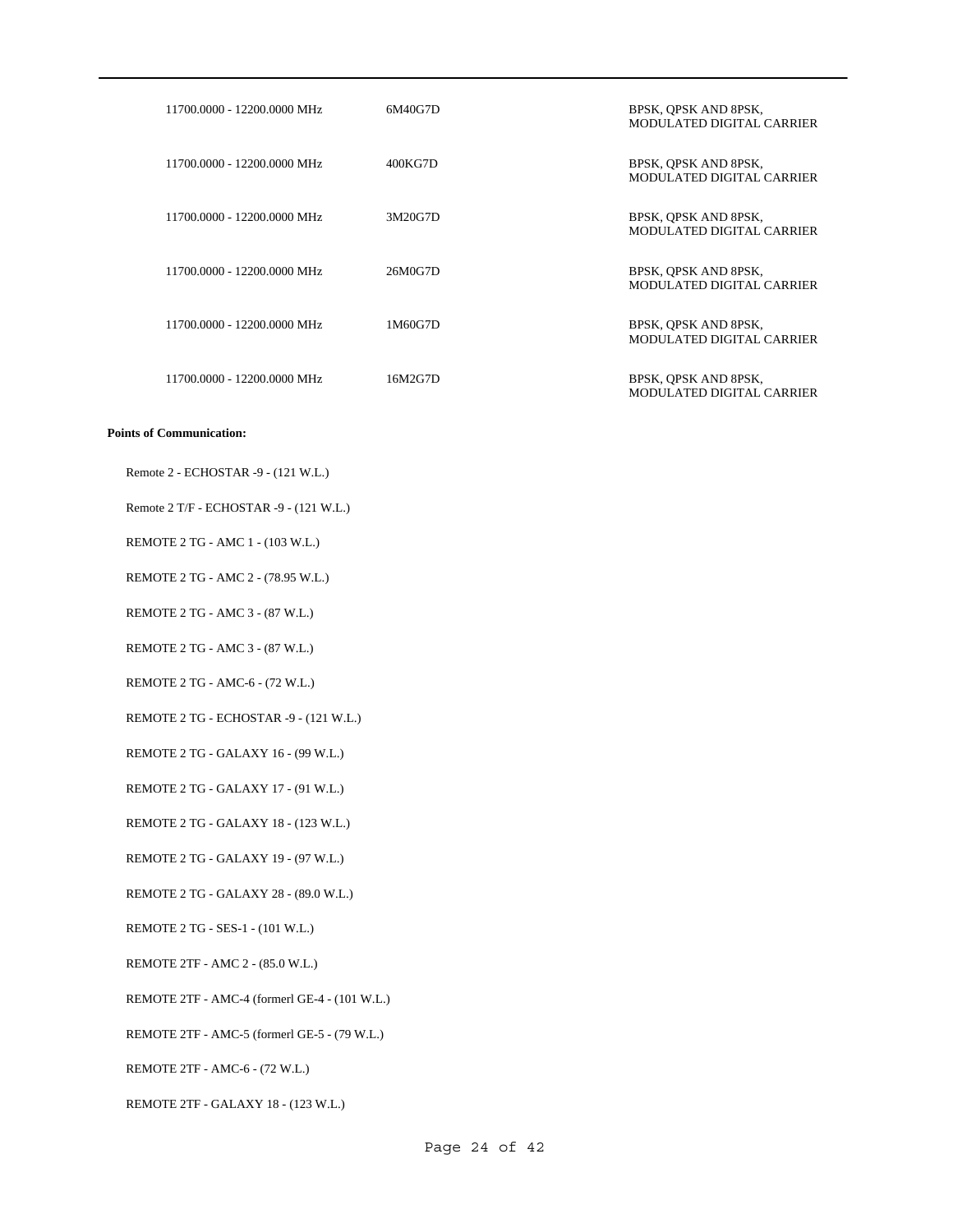| 11700.0000 - 12200.0000 MHz | 6M40G7D | BPSK, QPSK AND 8PSK,<br>MODULATED DIGITAL CARRIER |
|-----------------------------|---------|---------------------------------------------------|
| 11700.0000 - 12200.0000 MHz | 400KG7D | BPSK, OPSK AND 8PSK,<br>MODULATED DIGITAL CARRIER |
| 11700.0000 - 12200.0000 MHz | 3M20G7D | BPSK, OPSK AND 8PSK,<br>MODULATED DIGITAL CARRIER |
| 11700.0000 - 12200.0000 MHz | 26M0G7D | BPSK, OPSK AND 8PSK,<br>MODULATED DIGITAL CARRIER |
| 11700.0000 - 12200.0000 MHz | 1M60G7D | BPSK, QPSK AND 8PSK,<br>MODULATED DIGITAL CARRIER |
| 11700.0000 - 12200.0000 MHz | 16M2G7D | BPSK, QPSK AND 8PSK,<br>MODULATED DIGITAL CARRIER |

Remote 2 - ECHOSTAR -9 - (121 W.L.)

Remote 2 T/F - ECHOSTAR -9 - (121 W.L.)

REMOTE 2 TG - AMC 1 - (103 W.L.)

REMOTE 2 TG - AMC 2 - (78.95 W.L.)

REMOTE 2 TG - AMC 3 - (87 W.L.)

REMOTE 2 TG - AMC 3 - (87 W.L.)

REMOTE 2 TG - AMC-6 - (72 W.L.)

REMOTE 2 TG - ECHOSTAR -9 - (121 W.L.)

REMOTE 2 TG - GALAXY 16 - (99 W.L.)

REMOTE 2 TG - GALAXY 17 - (91 W.L.)

REMOTE 2 TG - GALAXY 18 - (123 W.L.)

REMOTE 2 TG - GALAXY 19 - (97 W.L.)

REMOTE 2 TG - GALAXY 28 - (89.0 W.L.)

REMOTE 2 TG - SES-1 - (101 W.L.)

REMOTE 2TF - AMC 2 - (85.0 W.L.)

REMOTE 2TF - AMC-4 (formerl GE-4 - (101 W.L.)

REMOTE 2TF - AMC-5 (formerl GE-5 - (79 W.L.)

REMOTE 2TF - AMC-6 - (72 W.L.)

REMOTE 2TF - GALAXY 18 - (123 W.L.)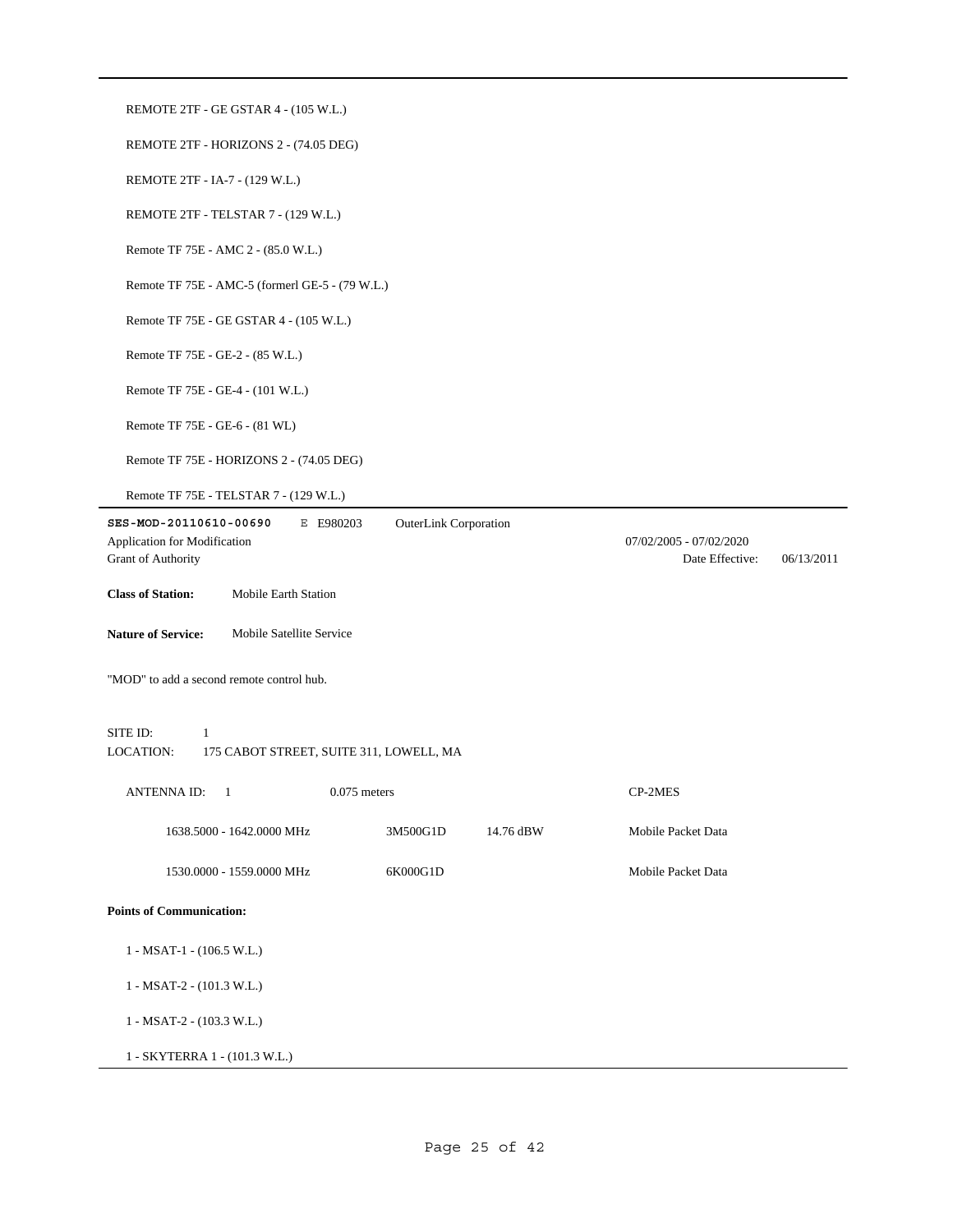| REMOTE 2TF - GE GSTAR 4 - (105 W.L.)                                                                                      |                                                          |
|---------------------------------------------------------------------------------------------------------------------------|----------------------------------------------------------|
| REMOTE 2TF - HORIZONS 2 - (74.05 DEG)                                                                                     |                                                          |
| REMOTE 2TF - IA-7 - (129 W.L.)                                                                                            |                                                          |
| REMOTE 2TF - TELSTAR 7 - (129 W.L.)                                                                                       |                                                          |
| Remote TF 75E - AMC 2 - (85.0 W.L.)                                                                                       |                                                          |
| Remote TF 75E - AMC-5 (formerl GE-5 - (79 W.L.)                                                                           |                                                          |
| Remote TF 75E - GE GSTAR 4 - (105 W.L.)                                                                                   |                                                          |
| Remote TF 75E - GE-2 - (85 W.L.)                                                                                          |                                                          |
| Remote TF 75E - GE-4 - (101 W.L.)                                                                                         |                                                          |
| Remote TF 75E - GE-6 - (81 WL)                                                                                            |                                                          |
| Remote TF 75E - HORIZONS 2 - (74.05 DEG)                                                                                  |                                                          |
| Remote TF 75E - TELSTAR 7 - (129 W.L.)                                                                                    |                                                          |
| SES-MOD-20110610-00690<br><b>OuterLink Corporation</b><br>E E980203<br>Application for Modification<br>Grant of Authority | 07/02/2005 - 07/02/2020<br>Date Effective:<br>06/13/2011 |
| <b>Class of Station:</b><br>Mobile Earth Station                                                                          |                                                          |
|                                                                                                                           |                                                          |
| <b>Nature of Service:</b><br>Mobile Satellite Service                                                                     |                                                          |
| "MOD" to add a second remote control hub.                                                                                 |                                                          |
| SITE ID:<br>1<br>LOCATION:<br>175 CABOT STREET, SUITE 311, LOWELL, MA                                                     |                                                          |
| <b>ANTENNA ID:</b><br>$\overline{1}$<br>$0.075$ meters                                                                    | CP-2MES                                                  |
| 1638.5000 - 1642.0000 MHz<br>3M500G1D<br>14.76 dBW                                                                        | Mobile Packet Data                                       |
| 1530.0000 - 1559.0000 MHz<br>6K000G1D                                                                                     | Mobile Packet Data                                       |
| <b>Points of Communication:</b>                                                                                           |                                                          |
| $1 - MSAT-1 - (106.5 W.L.)$                                                                                               |                                                          |
| $1 - MSAT-2 - (101.3 W.L.)$                                                                                               |                                                          |
| 1 - MSAT-2 - (103.3 W.L.)                                                                                                 |                                                          |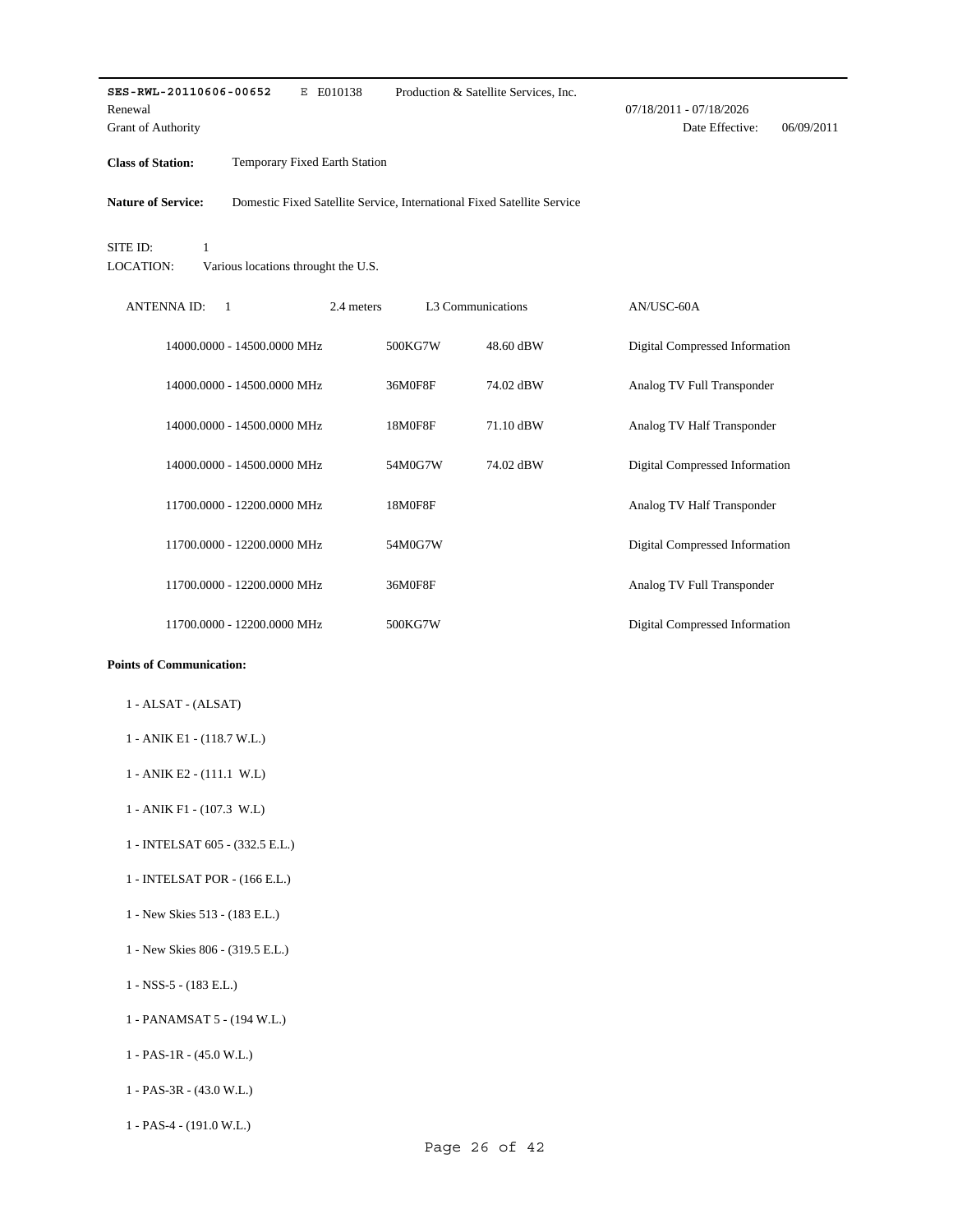| SES-RWL-20110606-00652<br>Renewal<br>Grant of Authority | E E010138                           |                                                                         | Production & Satellite Services, Inc. | 07/18/2011 - 07/18/2026<br>Date Effective: | 06/09/2011 |
|---------------------------------------------------------|-------------------------------------|-------------------------------------------------------------------------|---------------------------------------|--------------------------------------------|------------|
| <b>Class of Station:</b>                                | Temporary Fixed Earth Station       |                                                                         |                                       |                                            |            |
| <b>Nature of Service:</b>                               |                                     | Domestic Fixed Satellite Service, International Fixed Satellite Service |                                       |                                            |            |
| SITE ID:<br>$\mathbf{1}$<br><b>LOCATION:</b>            | Various locations throught the U.S. |                                                                         |                                       |                                            |            |
| <b>ANTENNAID:</b><br>$\overline{1}$                     |                                     | 2.4 meters                                                              | L3 Communications                     | AN/USC-60A                                 |            |
|                                                         | 14000.0000 - 14500.0000 MHz         | 500KG7W                                                                 | 48.60 dBW                             | Digital Compressed Information             |            |
|                                                         | 14000.0000 - 14500.0000 MHz         | 36M0F8F                                                                 | 74.02 dBW                             | Analog TV Full Transponder                 |            |
|                                                         | 14000.0000 - 14500.0000 MHz         | 18M0F8F                                                                 | 71.10 dBW                             | Analog TV Half Transponder                 |            |
|                                                         | 14000.0000 - 14500.0000 MHz         | 54M0G7W                                                                 | 74.02 dBW                             | Digital Compressed Information             |            |
|                                                         | 11700.0000 - 12200.0000 MHz         | 18M0F8F                                                                 |                                       | Analog TV Half Transponder                 |            |
|                                                         | 11700.0000 - 12200.0000 MHz         | 54M0G7W                                                                 |                                       | Digital Compressed Information             |            |
|                                                         | 11700.0000 - 12200.0000 MHz         | 36M0F8F                                                                 |                                       | Analog TV Full Transponder                 |            |
|                                                         | 11700.0000 - 12200.0000 MHz         | 500KG7W                                                                 |                                       | Digital Compressed Information             |            |

- 1 ALSAT (ALSAT)
- 1 ANIK E1 (118.7 W.L.)
- 1 ANIK E2 (111.1 W.L)
- 1 ANIK F1 (107.3 W.L)
- 1 INTELSAT 605 (332.5 E.L.)
- 1 INTELSAT POR (166 E.L.)
- 1 New Skies 513 (183 E.L.)
- 1 New Skies 806 (319.5 E.L.)
- 1 NSS-5 (183 E.L.)
- 1 PANAMSAT 5 (194 W.L.)
- 1 PAS-1R (45.0 W.L.)
- 1 PAS-3R (43.0 W.L.)
- 1 PAS-4 (191.0 W.L.)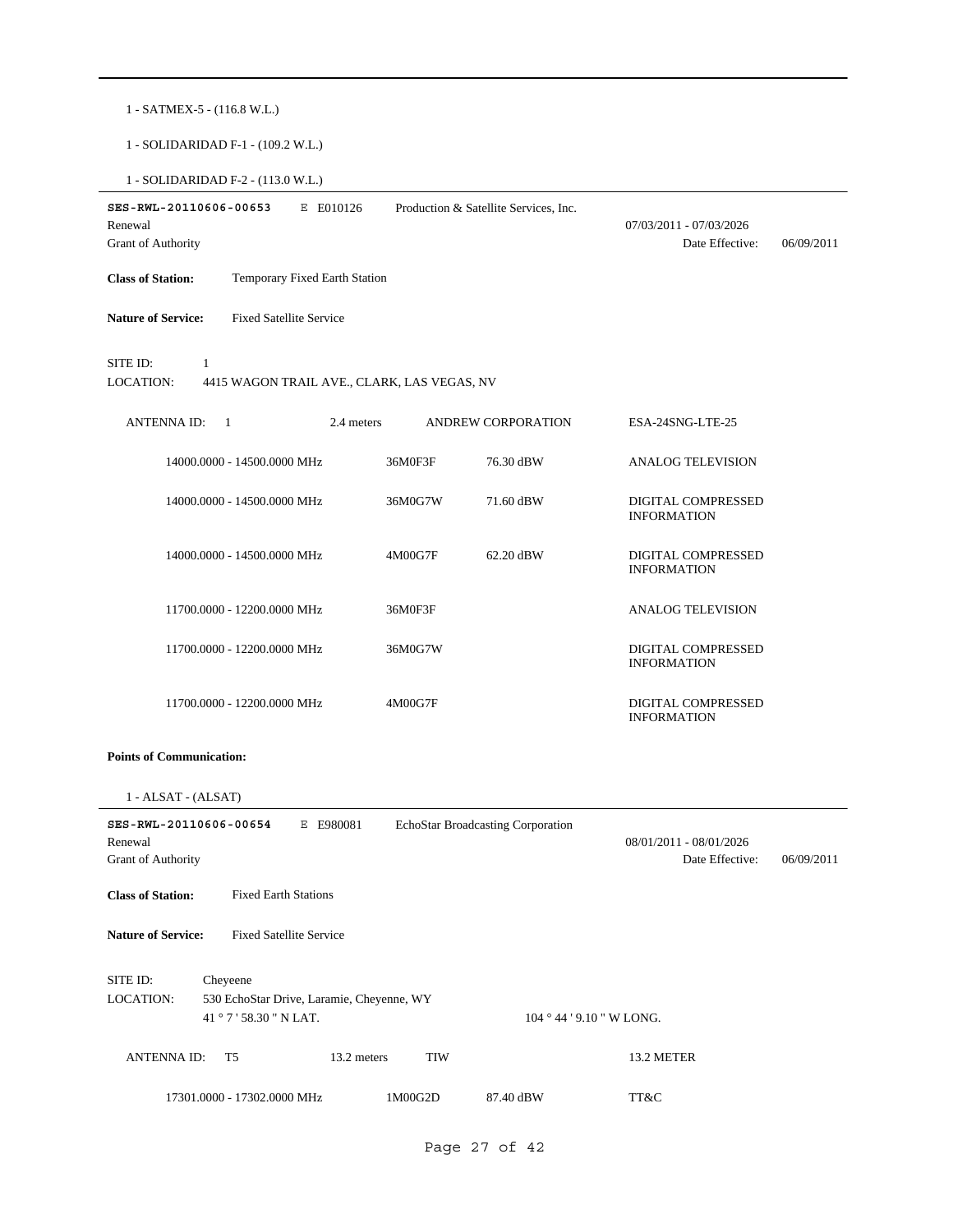1 - SATMEX-5 - (116.8 W.L.)

1 - SOLIDARIDAD F-1 - (109.2 W.L.)

1 - SOLIDARIDAD F-2 - (113.0 W.L.)

| SES-RWL-20110606-00653<br>Renewal<br>Grant of Authority | E E010126                                   |         | Production & Satellite Services, Inc. | 07/03/2011 - 07/03/2026<br>Date Effective:      | 06/09/2011 |
|---------------------------------------------------------|---------------------------------------------|---------|---------------------------------------|-------------------------------------------------|------------|
| <b>Class of Station:</b>                                | Temporary Fixed Earth Station               |         |                                       |                                                 |            |
| <b>Nature of Service:</b>                               | <b>Fixed Satellite Service</b>              |         |                                       |                                                 |            |
| SITE ID:<br>1<br><b>LOCATION:</b>                       | 4415 WAGON TRAIL AVE., CLARK, LAS VEGAS, NV |         |                                       |                                                 |            |
| <b>ANTENNAID:</b><br>$\overline{1}$                     | 2.4 meters                                  |         | <b>ANDREW CORPORATION</b>             | ESA-24SNG-LTE-25                                |            |
|                                                         | 14000.0000 - 14500.0000 MHz                 | 36M0F3F | 76.30 dBW                             | <b>ANALOG TELEVISION</b>                        |            |
|                                                         | 14000.0000 - 14500.0000 MHz                 | 36M0G7W | 71.60 dBW                             | <b>DIGITAL COMPRESSED</b><br><b>INFORMATION</b> |            |
|                                                         | 14000.0000 - 14500.0000 MHz                 | 4M00G7F | 62.20 dBW                             | DIGITAL COMPRESSED<br><b>INFORMATION</b>        |            |
|                                                         | 11700.0000 - 12200.0000 MHz                 | 36M0F3F |                                       | <b>ANALOG TELEVISION</b>                        |            |
|                                                         | 11700.0000 - 12200.0000 MHz                 | 36M0G7W |                                       | <b>DIGITAL COMPRESSED</b><br><b>INFORMATION</b> |            |
|                                                         | 11700.0000 - 12200.0000 MHz                 | 4M00G7F |                                       | <b>DIGITAL COMPRESSED</b><br><b>INFORMATION</b> |            |

# **Points of Communication:**

1 - ALSAT - (ALSAT)

| SES-RWL-20110606-00654<br>Renewal<br><b>Grant of Authority</b> | Е                                                                           | E980081     |            | EchoStar Broadcasting Corporation | 08/01/2011 - 08/01/2026<br>Date Effective: | 06/09/2011 |
|----------------------------------------------------------------|-----------------------------------------------------------------------------|-------------|------------|-----------------------------------|--------------------------------------------|------------|
| <b>Class of Station:</b>                                       | <b>Fixed Earth Stations</b>                                                 |             |            |                                   |                                            |            |
| <b>Nature of Service:</b>                                      | <b>Fixed Satellite Service</b>                                              |             |            |                                   |                                            |            |
| SITE ID:<br>LOCATION:                                          | Cheyeene<br>530 EchoStar Drive, Laramie, Cheyenne, WY<br>41°7'58.30" N LAT. |             |            | 104 ° 44 ' 9.10 " W LONG.         |                                            |            |
| <b>ANTENNAID:</b>                                              | T <sub>5</sub>                                                              | 13.2 meters | <b>TIW</b> |                                   | 13.2 METER                                 |            |
|                                                                | 17301.0000 - 17302.0000 MHz                                                 |             | 1M00G2D    | 87.40 dBW                         | TT&C                                       |            |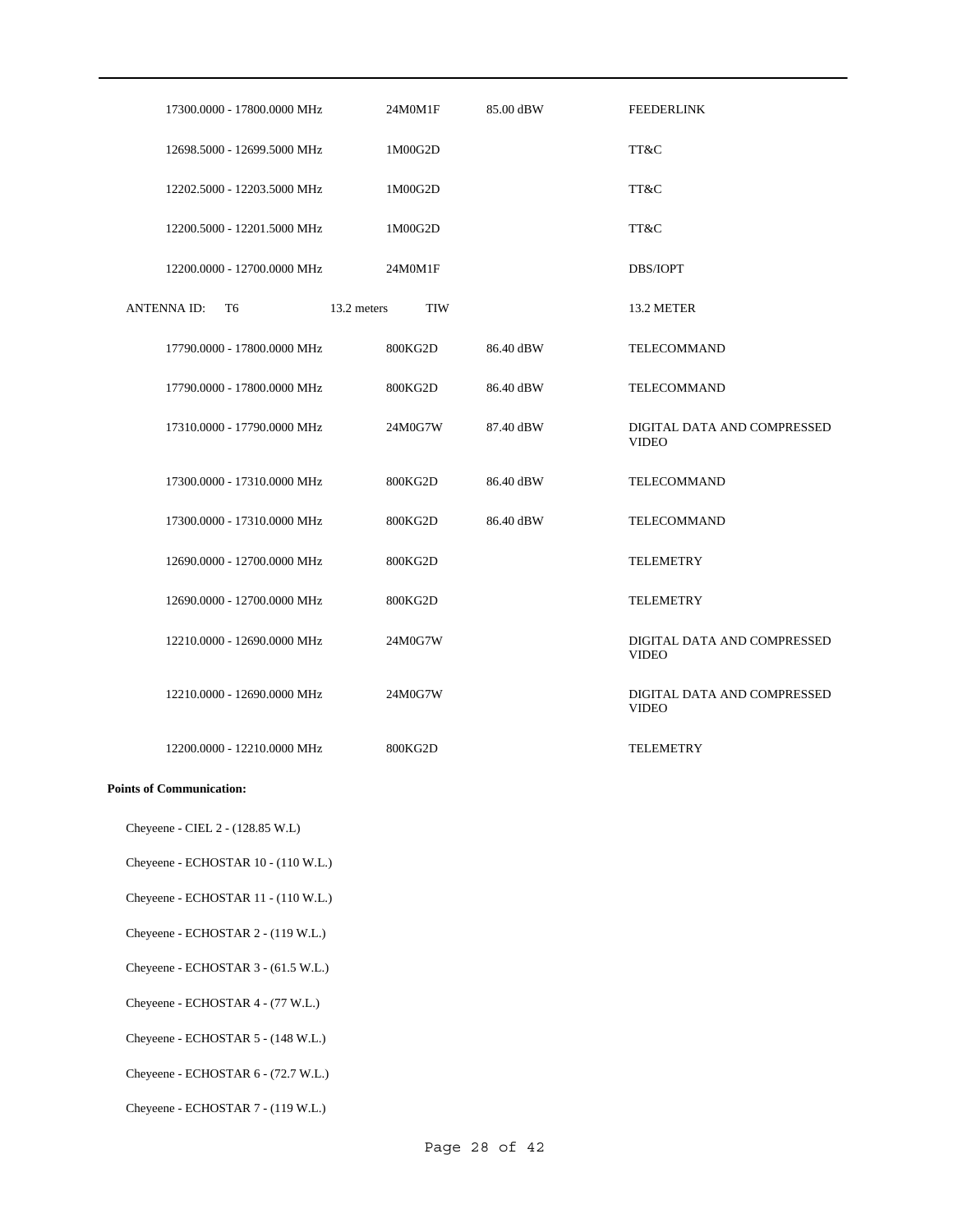| 17300.0000 - 17800.0000 MHz | 24M0M1F                   | 85.00 dBW | <b>FEEDERLINK</b>                           |
|-----------------------------|---------------------------|-----------|---------------------------------------------|
| 12698.5000 - 12699.5000 MHz | 1M00G2D                   |           | TT&C                                        |
| 12202.5000 - 12203.5000 MHz | 1M00G2D                   |           | TT&C                                        |
| 12200.5000 - 12201.5000 MHz | 1M00G2D                   |           | TT&C                                        |
| 12200.0000 - 12700.0000 MHz | 24M0M1F                   |           | DBS/IOPT                                    |
| <b>ANTENNAID:</b><br>T6     | 13.2 meters<br><b>TIW</b> |           | 13.2 METER                                  |
| 17790.0000 - 17800.0000 MHz | 800KG2D                   | 86.40 dBW | <b>TELECOMMAND</b>                          |
| 17790.0000 - 17800.0000 MHz | 800KG2D                   | 86.40 dBW | TELECOMMAND                                 |
| 17310.0000 - 17790.0000 MHz | 24M0G7W                   | 87.40 dBW | DIGITAL DATA AND COMPRESSED<br><b>VIDEO</b> |
| 17300.0000 - 17310.0000 MHz | 800KG2D                   | 86.40 dBW | TELECOMMAND                                 |
| 17300.0000 - 17310.0000 MHz | 800KG2D                   | 86.40 dBW | <b>TELECOMMAND</b>                          |
| 12690.0000 - 12700.0000 MHz | 800KG2D                   |           | <b>TELEMETRY</b>                            |
| 12690.0000 - 12700.0000 MHz | 800KG2D                   |           | <b>TELEMETRY</b>                            |
| 12210.0000 - 12690.0000 MHz | 24M0G7W                   |           | DIGITAL DATA AND COMPRESSED<br><b>VIDEO</b> |
| 12210.0000 - 12690.0000 MHz | 24M0G7W                   |           | DIGITAL DATA AND COMPRESSED<br><b>VIDEO</b> |
| 12200.0000 - 12210.0000 MHz | 800KG2D                   |           | <b>TELEMETRY</b>                            |

Cheyeene - CIEL 2 - (128.85 W.L)

Cheyeene - ECHOSTAR 10 - (110 W.L.)

Cheyeene - ECHOSTAR 11 - (110 W.L.)

Cheyeene - ECHOSTAR 2 - (119 W.L.)

Cheyeene - ECHOSTAR 3 - (61.5 W.L.)

Cheyeene - ECHOSTAR 4 - (77 W.L.)

Cheyeene - ECHOSTAR 5 - (148 W.L.)

Cheyeene - ECHOSTAR 6 - (72.7 W.L.)

Cheyeene - ECHOSTAR 7 - (119 W.L.)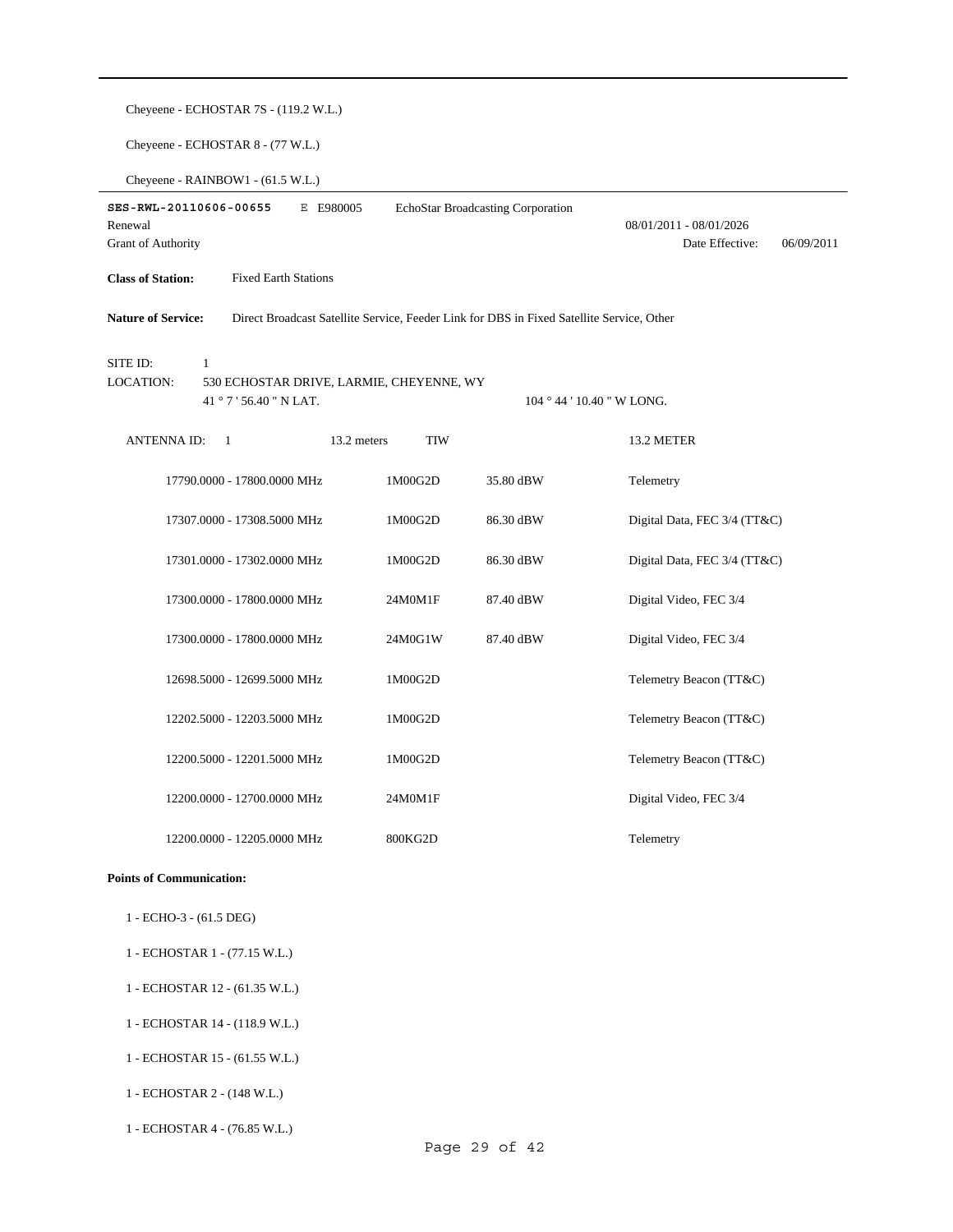| Cheyeene - ECHOSTAR 7S - (119.2 W.L.)                                                                                  |            |                                   |                                                          |  |  |  |
|------------------------------------------------------------------------------------------------------------------------|------------|-----------------------------------|----------------------------------------------------------|--|--|--|
| Cheyeene - ECHOSTAR 8 - (77 W.L.)                                                                                      |            |                                   |                                                          |  |  |  |
| Cheyeene - RAINBOW1 - (61.5 W.L.)                                                                                      |            |                                   |                                                          |  |  |  |
| SES-RWL-20110606-00655<br>E E980005<br>Renewal<br>Grant of Authority                                                   |            | EchoStar Broadcasting Corporation | 08/01/2011 - 08/01/2026<br>Date Effective:<br>06/09/2011 |  |  |  |
| <b>Class of Station:</b><br><b>Fixed Earth Stations</b>                                                                |            |                                   |                                                          |  |  |  |
| <b>Nature of Service:</b><br>Direct Broadcast Satellite Service, Feeder Link for DBS in Fixed Satellite Service, Other |            |                                   |                                                          |  |  |  |
| SITE ID:<br>$\mathbf{1}$<br><b>LOCATION:</b><br>530 ECHOSTAR DRIVE, LARMIE, CHEYENNE, WY<br>41 ° 7 ' 56.40 " N LAT.    |            |                                   | 104 ° 44 ' 10.40 " W LONG.                               |  |  |  |
| <b>ANTENNAID:</b><br>$\mathbf{1}$<br>13.2 meters                                                                       | <b>TIW</b> |                                   | 13.2 METER                                               |  |  |  |
| 17790.0000 - 17800.0000 MHz                                                                                            | 1M00G2D    | 35.80 dBW                         | Telemetry                                                |  |  |  |
| 17307.0000 - 17308.5000 MHz                                                                                            | 1M00G2D    | 86.30 dBW                         | Digital Data, FEC 3/4 (TT&C)                             |  |  |  |
| 17301.0000 - 17302.0000 MHz                                                                                            | 1M00G2D    | 86.30 dBW                         | Digital Data, FEC 3/4 (TT&C)                             |  |  |  |
| 17300.0000 - 17800.0000 MHz                                                                                            | 24M0M1F    | 87.40 dBW                         | Digital Video, FEC 3/4                                   |  |  |  |
| 17300.0000 - 17800.0000 MHz                                                                                            | 24M0G1W    | 87.40 dBW                         | Digital Video, FEC 3/4                                   |  |  |  |
| 12698.5000 - 12699.5000 MHz                                                                                            | 1M00G2D    |                                   | Telemetry Beacon (TT&C)                                  |  |  |  |
| 12202.5000 - 12203.5000 MHz                                                                                            | 1M00G2D    |                                   | Telemetry Beacon (TT&C)                                  |  |  |  |
| 12200.5000 - 12201.5000 MHz                                                                                            | 1M00G2D    |                                   | Telemetry Beacon (TT&C)                                  |  |  |  |
| 12200.0000 - 12700.0000 MHz                                                                                            | 24M0M1F    |                                   | Digital Video, FEC 3/4                                   |  |  |  |
| 12200.0000 - 12205.0000 MHz                                                                                            | 800KG2D    |                                   | Telemetry                                                |  |  |  |
| <b>Points of Communication:</b>                                                                                        |            |                                   |                                                          |  |  |  |

- 1 ECHO-3 (61.5 DEG)
- 1 ECHOSTAR 1 (77.15 W.L.)
- 1 ECHOSTAR 12 (61.35 W.L.)
- 1 ECHOSTAR 14 (118.9 W.L.)
- 1 ECHOSTAR 15 (61.55 W.L.)
- 1 ECHOSTAR 2 (148 W.L.)
- 1 ECHOSTAR 4 (76.85 W.L.)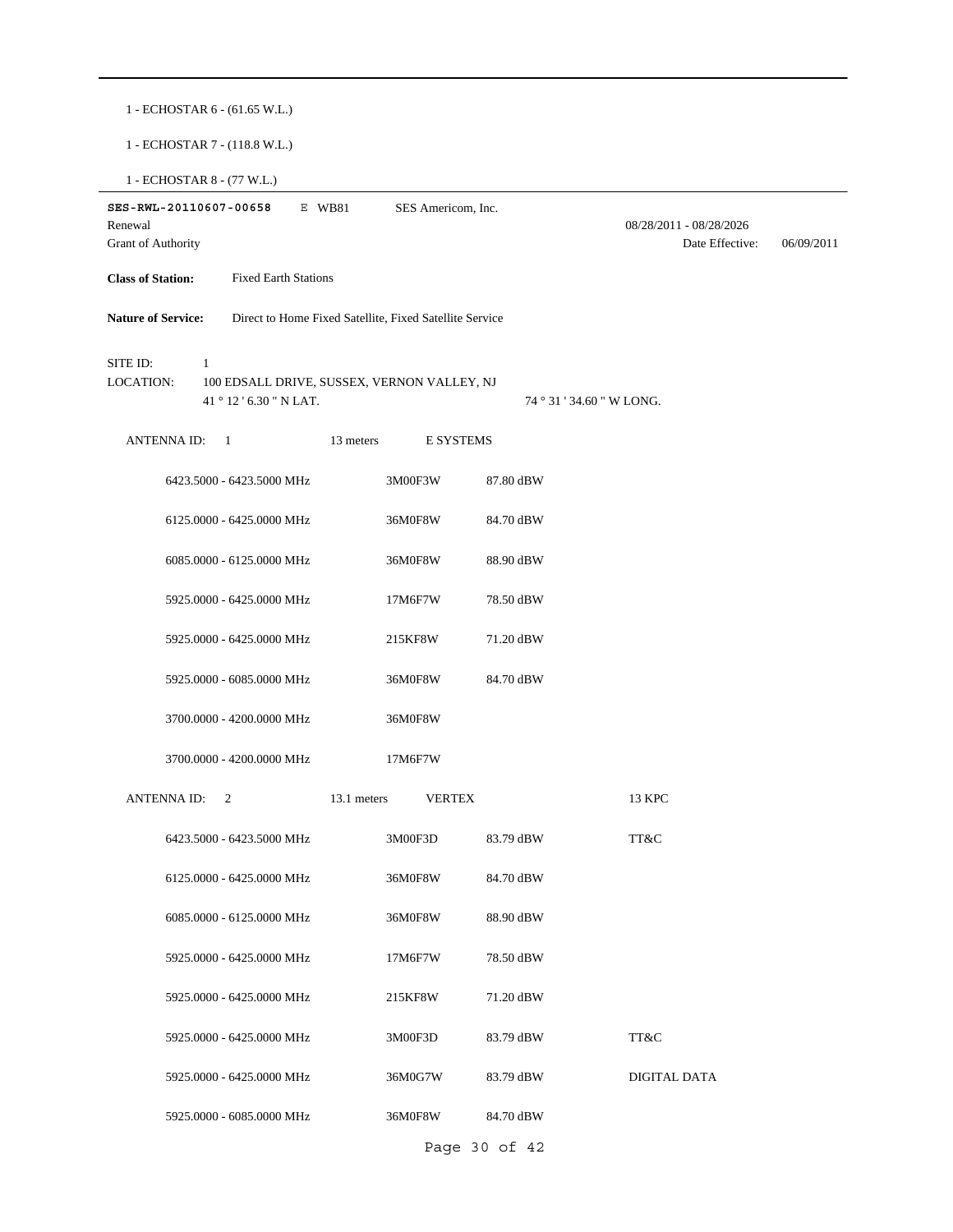1 - ECHOSTAR 6 - (61.65 W.L.)

1 - ECHOSTAR 7 - (118.8 W.L.)

1 - ECHOSTAR 8 - (77 W.L.)

| Renewal                      | SES-RWL-20110607-00658 |                                                                        | E WB81      | SES Americom, Inc.                                      |               |                           | 08/28/2011 - 08/28/2026 |            |
|------------------------------|------------------------|------------------------------------------------------------------------|-------------|---------------------------------------------------------|---------------|---------------------------|-------------------------|------------|
| <b>Grant of Authority</b>    |                        |                                                                        |             |                                                         |               |                           | Date Effective:         | 06/09/2011 |
| <b>Class of Station:</b>     |                        | <b>Fixed Earth Stations</b>                                            |             |                                                         |               |                           |                         |            |
| <b>Nature of Service:</b>    |                        |                                                                        |             | Direct to Home Fixed Satellite, Fixed Satellite Service |               |                           |                         |            |
| SITE ID:<br><b>LOCATION:</b> | 1                      | 100 EDSALL DRIVE, SUSSEX, VERNON VALLEY, NJ<br>41 ° 12 ' 6.30 " N LAT. |             |                                                         |               | 74 ° 31 ' 34.60 " W LONG. |                         |            |
|                              | ANTENNA ID:            | $\overline{1}$                                                         | 13 meters   |                                                         | E SYSTEMS     |                           |                         |            |
|                              |                        | 6423.5000 - 6423.5000 MHz                                              |             | 3M00F3W                                                 | 87.80 dBW     |                           |                         |            |
|                              |                        | 6125.0000 - 6425.0000 MHz                                              |             | 36M0F8W                                                 | 84.70 dBW     |                           |                         |            |
|                              |                        | 6085.0000 - 6125.0000 MHz                                              |             | 36M0F8W                                                 | 88.90 dBW     |                           |                         |            |
|                              |                        | 5925.0000 - 6425.0000 MHz                                              |             | 17M6F7W                                                 | 78.50 dBW     |                           |                         |            |
|                              |                        | 5925.0000 - 6425.0000 MHz                                              |             | 215KF8W                                                 | 71.20 dBW     |                           |                         |            |
|                              |                        | 5925.0000 - 6085.0000 MHz                                              |             | 36M0F8W                                                 | 84.70 dBW     |                           |                         |            |
|                              |                        | 3700.0000 - 4200.0000 MHz                                              |             | 36M0F8W                                                 |               |                           |                         |            |
|                              |                        | 3700.0000 - 4200.0000 MHz                                              |             | 17M6F7W                                                 |               |                           |                         |            |
|                              | ANTENNA ID:            | 2                                                                      | 13.1 meters | <b>VERTEX</b>                                           |               | 13 KPC                    |                         |            |
|                              |                        | 6423.5000 - 6423.5000 MHz                                              |             | 3M00F3D                                                 | 83.79 dBW     | TT&C                      |                         |            |
|                              |                        | 6125.0000 - 6425.0000 MHz                                              |             | 36M0F8W                                                 | 84.70 dBW     |                           |                         |            |
|                              |                        | 6085.0000 - 6125.0000 MHz                                              |             | 36M0F8W                                                 | 88.90 dBW     |                           |                         |            |
|                              |                        | 5925.0000 - 6425.0000 MHz                                              |             | 17M6F7W                                                 | 78.50 dBW     |                           |                         |            |
|                              |                        | 5925.0000 - 6425.0000 MHz                                              |             | 215KF8W                                                 | 71.20 dBW     |                           |                         |            |
|                              |                        | 5925.0000 - 6425.0000 MHz                                              |             | 3M00F3D                                                 | 83.79 dBW     | TT&C                      |                         |            |
|                              |                        | 5925.0000 - 6425.0000 MHz                                              |             | 36M0G7W                                                 | 83.79 dBW     | DIGITAL DATA              |                         |            |
|                              |                        | 5925.0000 - 6085.0000 MHz                                              |             | 36M0F8W                                                 | 84.70 dBW     |                           |                         |            |
|                              |                        |                                                                        |             |                                                         | Page 30 of 42 |                           |                         |            |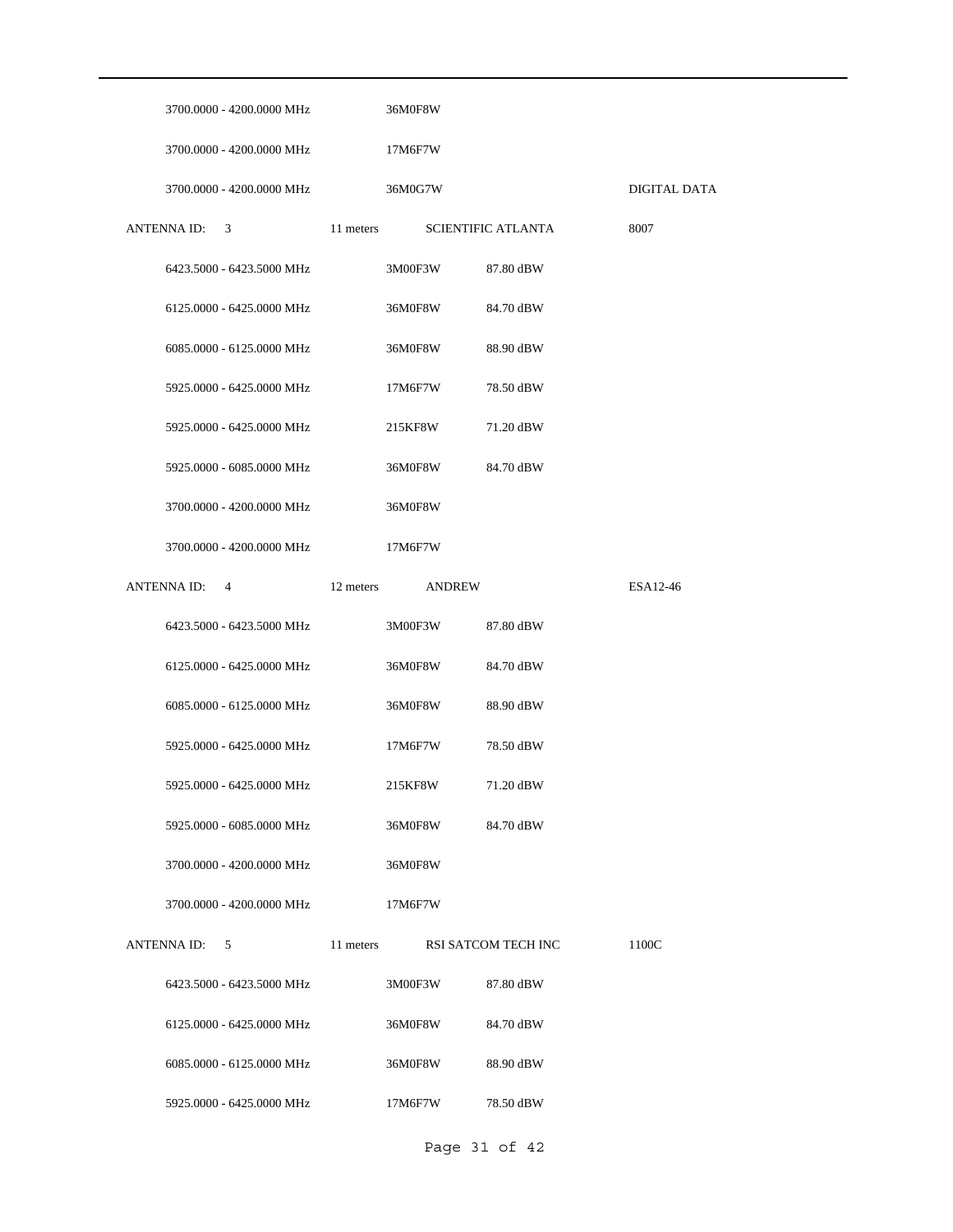| 3700.0000 - 4200.0000 MHz | 36M0F8W                    |                           |              |
|---------------------------|----------------------------|---------------------------|--------------|
| 3700.0000 - 4200.0000 MHz | 17M6F7W                    |                           |              |
| 3700.0000 - 4200.0000 MHz | 36M0G7W                    |                           | DIGITAL DATA |
| ANTENNA ID: 3             | 11 meters                  | <b>SCIENTIFIC ATLANTA</b> | 8007         |
| 6423.5000 - 6423.5000 MHz | 3M00F3W                    | 87.80 dBW                 |              |
| 6125.0000 - 6425.0000 MHz | 36M0F8W                    | 84.70 dBW                 |              |
| 6085.0000 - 6125.0000 MHz | 36M0F8W                    | 88.90 dBW                 |              |
| 5925.0000 - 6425.0000 MHz | 17M6F7W                    | 78.50 dBW                 |              |
| 5925.0000 - 6425.0000 MHz | 215KF8W                    | 71.20 dBW                 |              |
| 5925.0000 - 6085.0000 MHz | 36M0F8W                    | 84.70 dBW                 |              |
| 3700.0000 - 4200.0000 MHz | 36M0F8W                    |                           |              |
| 3700.0000 - 4200.0000 MHz | 17M6F7W                    |                           |              |
| ANTENNA ID: 4             | 12 meters<br><b>ANDREW</b> |                           | ESA12-46     |
| 6423.5000 - 6423.5000 MHz | 3M00F3W                    | 87.80 dBW                 |              |
|                           |                            |                           |              |
| 6125.0000 - 6425.0000 MHz | 36M0F8W                    | 84.70 dBW                 |              |
| 6085.0000 - 6125.0000 MHz | 36M0F8W                    | 88.90 dBW                 |              |
| 5925.0000 - 6425.0000 MHz | 17M6F7W                    | 78.50 dBW                 |              |
| 5925.0000 - 6425.0000 MHz | 215KF8W                    | 71.20 dBW                 |              |
| 5925.0000 - 6085.0000 MHz | 36M0F8W                    | 84.70 dBW                 |              |
| 3700,0000 - 4200,0000 MHz | 36M0F8W                    |                           |              |
| 3700.0000 - 4200.0000 MHz | 17M6F7W                    |                           |              |
| ANTENNA ID:<br>5          | 11 meters                  | RSI SATCOM TECH INC       | 1100C        |
| 6423.5000 - 6423.5000 MHz | 3M00F3W                    | 87.80 dBW                 |              |
| 6125.0000 - 6425.0000 MHz | 36M0F8W                    | 84.70 dBW                 |              |
| 6085.0000 - 6125.0000 MHz | 36M0F8W                    | 88.90 dBW                 |              |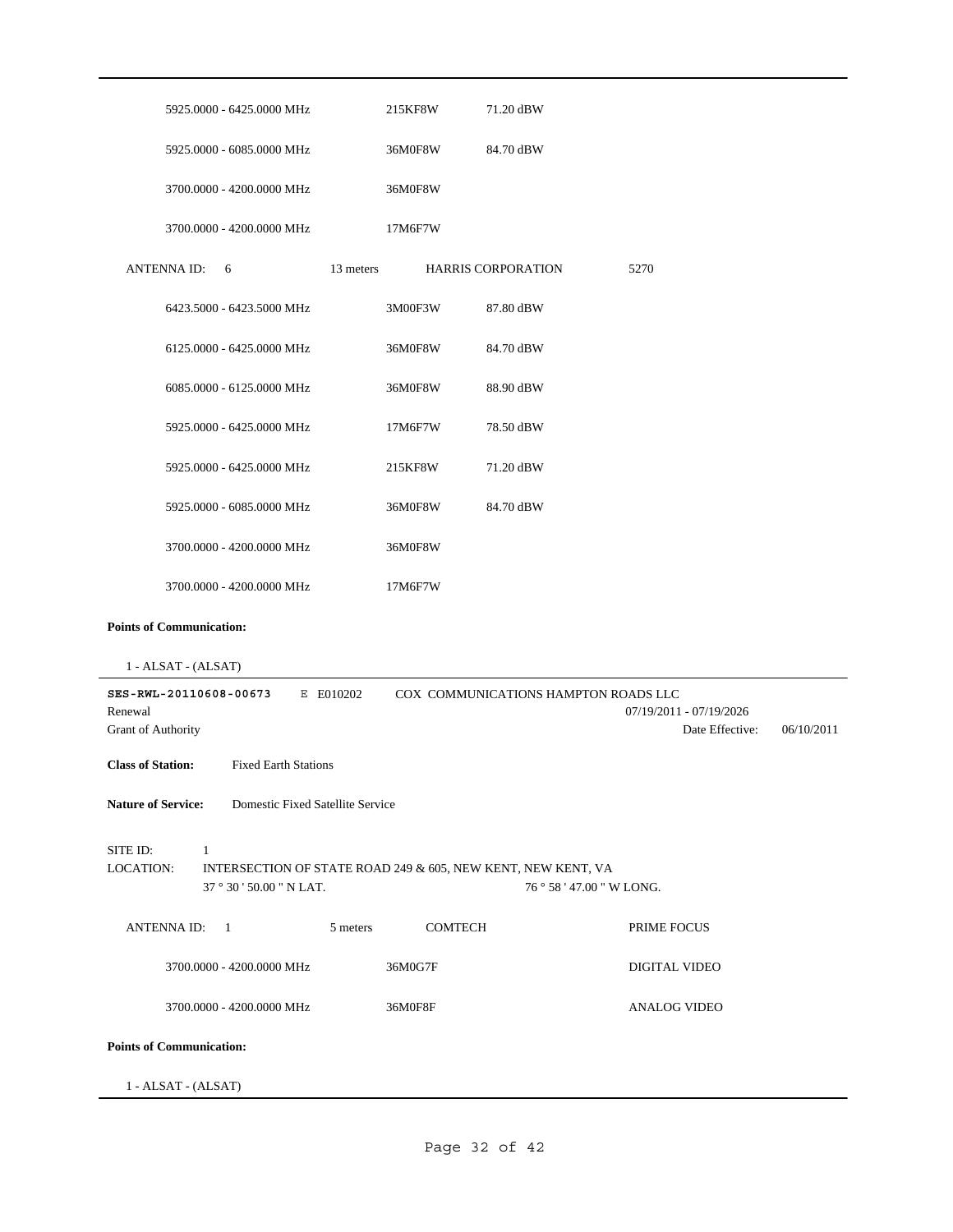| 5925.0000 - 6425.0000 MHz                                                                                                         | 215KF8W | 71.20 dBW                            |                                            |            |
|-----------------------------------------------------------------------------------------------------------------------------------|---------|--------------------------------------|--------------------------------------------|------------|
| 5925.0000 - 6085.0000 MHz                                                                                                         | 36M0F8W | 84.70 dBW                            |                                            |            |
| 3700.0000 - 4200.0000 MHz                                                                                                         | 36M0F8W |                                      |                                            |            |
| 3700.0000 - 4200.0000 MHz                                                                                                         | 17M6F7W |                                      |                                            |            |
| ANTENNA ID:<br>13 meters<br>6                                                                                                     |         | <b>HARRIS CORPORATION</b>            | 5270                                       |            |
| 6423.5000 - 6423.5000 MHz                                                                                                         | 3M00F3W | 87.80 dBW                            |                                            |            |
| 6125.0000 - 6425.0000 MHz                                                                                                         | 36M0F8W | 84.70 dBW                            |                                            |            |
| 6085.0000 - 6125.0000 MHz                                                                                                         | 36M0F8W | 88.90 dBW                            |                                            |            |
| 5925.0000 - 6425.0000 MHz                                                                                                         | 17M6F7W | 78.50 dBW                            |                                            |            |
| 5925.0000 - 6425.0000 MHz                                                                                                         | 215KF8W | 71.20 dBW                            |                                            |            |
| 5925.0000 - 6085.0000 MHz                                                                                                         | 36M0F8W | 84.70 dBW                            |                                            |            |
| 3700.0000 - 4200.0000 MHz                                                                                                         | 36M0F8W |                                      |                                            |            |
| 3700.0000 - 4200.0000 MHz                                                                                                         | 17M6F7W |                                      |                                            |            |
| <b>Points of Communication:</b>                                                                                                   |         |                                      |                                            |            |
| 1 - ALSAT - (ALSAT)                                                                                                               |         |                                      |                                            |            |
| SES-RWL-20110608-00673<br>E E010202<br>Renewal<br>Grant of Authority                                                              |         | COX COMMUNICATIONS HAMPTON ROADS LLC | 07/19/2011 - 07/19/2026<br>Date Effective: | 06/10/2011 |
| <b>Fixed Earth Stations</b><br><b>Class of Station:</b>                                                                           |         |                                      |                                            |            |
| Domestic Fixed Satellite Service<br><b>Nature of Service:</b>                                                                     |         |                                      |                                            |            |
| SITE ID:<br>$\mathbf{1}$<br>LOCATION:<br>INTERSECTION OF STATE ROAD 249 & 605, NEW KENT, NEW KENT, VA<br>37 ° 30 ' 50.00 " N LAT. |         | 76 ° 58 ' 47.00 " W LONG.            |                                            |            |
| ANTENNA ID: 1<br>5 meters                                                                                                         | COMTECH |                                      | PRIME FOCUS                                |            |
| 3700.0000 - 4200.0000 MHz                                                                                                         | 36M0G7F |                                      | DIGITAL VIDEO                              |            |
| 3700.0000 - 4200.0000 MHz                                                                                                         | 36M0F8F |                                      | <b>ANALOG VIDEO</b>                        |            |
| <b>Points of Communication:</b>                                                                                                   |         |                                      |                                            |            |
| 1 - ALSAT - (ALSAT)                                                                                                               |         |                                      |                                            |            |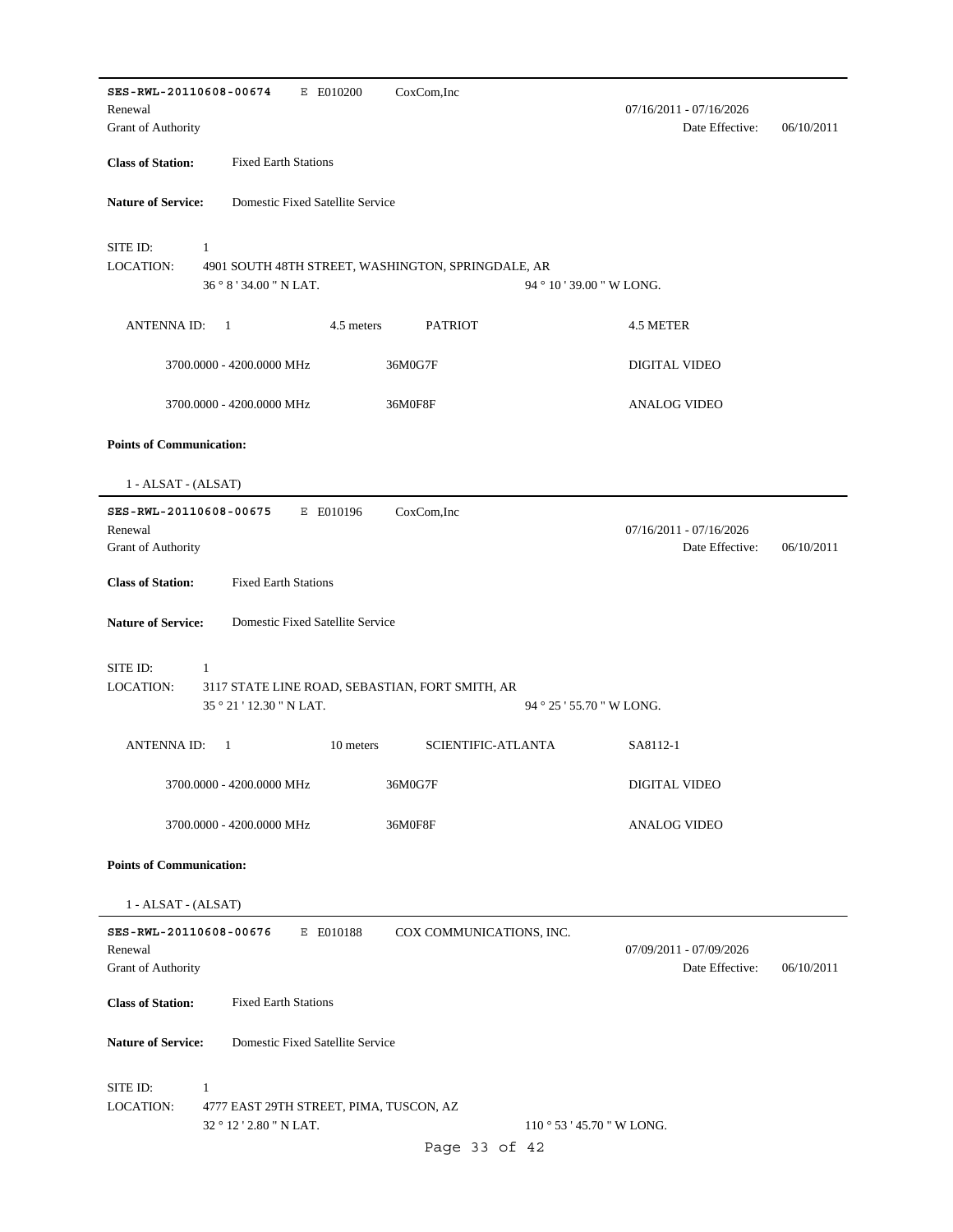**SES-RWL-20110608-00674** E E010200 Date Effective: 06/10/2011 **Class of Station:** Fixed Earth Stations Grant of Authority Renewal 07/16/2011 - 07/16/2026 CoxCom,Inc **Nature of Service:** Domestic Fixed Satellite Service 36 ° 8 ' 34.00 " N LAT. SITE ID: 1 4901 SOUTH 48TH STREET, WASHINGTON, SPRINGDALE, AR 94 ° 10 ' 39.00 " W LONG. LOCATION: ANTENNA ID: 1 4.5 meters PATRIOT 4.5 METER 3700.0000 - 4200.0000 MHz 36M0G7F DIGITAL VIDEO 3700.0000 - 4200.0000 MHz 36M0F8F ANALOG VIDEO **Points of Communication:** 1 - ALSAT - (ALSAT) **SES-RWL-20110608-00675** E E010196 Date Effective: 06/10/2011 **Class of Station:** Fixed Earth Stations Grant of Authority Renewal 07/16/2011 - 07/16/2026 CoxCom,Inc **Nature of Service:** Domestic Fixed Satellite Service 35 ° 21 ' 12.30 " N LAT. SITE ID: 1 3117 STATE LINE ROAD, SEBASTIAN, FORT SMITH, AR 94 ° 25 ' 55.70 " W LONG. LOCATION: ANTENNA ID: 1 10 meters SCIENTIFIC-ATLANTA SA8112-1 3700.0000 - 4200.0000 MHz 36M0G7F DIGITAL VIDEO 3700.0000 - 4200.0000 MHz 36M0F8F ANALOG VIDEO **Points of Communication:** 1 - ALSAT - (ALSAT) **SES-RWL-20110608-00676** E E010188 Date Effective: 06/10/2011 **Class of Station:** Fixed Earth Stations Grant of Authority Renewal 07/09/2011 - 07/09/2026 COX COMMUNICATIONS, INC. **Nature of Service:** Domestic Fixed Satellite Service 32 ° 12 ' 2.80 " N LAT. SITE ID: 1 4777 EAST 29TH STREET, PIMA, TUSCON, AZ 110 ° 53 ' 45.70 " W LONG. LOCATION: Page 33 of 42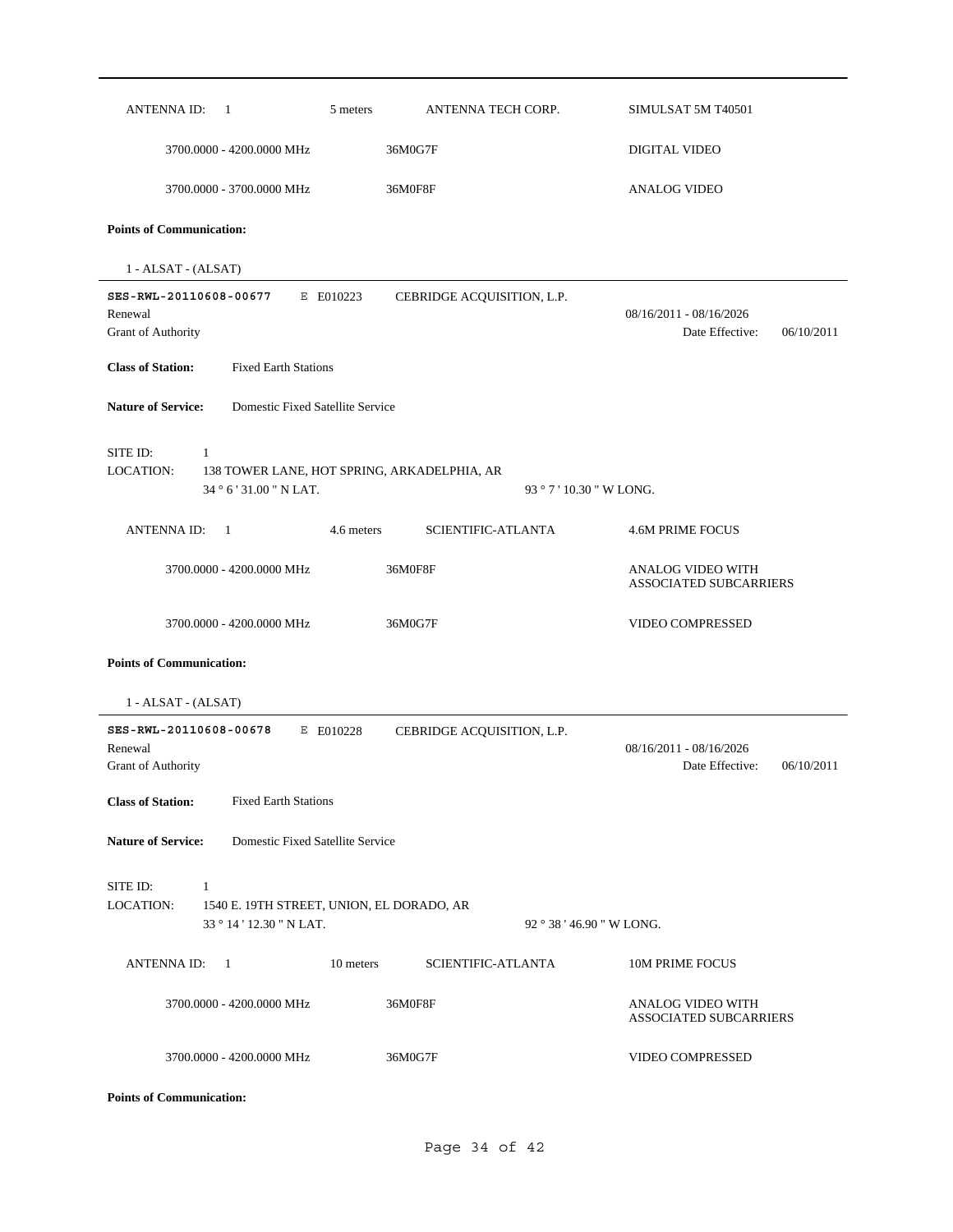| ANTENNA ID:<br>-1                                                       | ANTENNA TECH CORP.<br>5 meters              | SIMULSAT 5M T40501                                       |
|-------------------------------------------------------------------------|---------------------------------------------|----------------------------------------------------------|
| 3700.0000 - 4200.0000 MHz                                               | 36M0G7F                                     | <b>DIGITAL VIDEO</b>                                     |
| 3700.0000 - 3700.0000 MHz                                               | 36M0F8F                                     | <b>ANALOG VIDEO</b>                                      |
| <b>Points of Communication:</b>                                         |                                             |                                                          |
| 1 - ALSAT - (ALSAT)                                                     |                                             |                                                          |
| SES-RWL-20110608-00677<br>Renewal<br>Grant of Authority                 | E E010223<br>CEBRIDGE ACQUISITION, L.P.     | 08/16/2011 - 08/16/2026<br>Date Effective:<br>06/10/2011 |
| <b>Class of Station:</b><br><b>Fixed Earth Stations</b>                 |                                             |                                                          |
| <b>Nature of Service:</b><br>Domestic Fixed Satellite Service           |                                             |                                                          |
| SITE ID:<br>$\mathbf{1}$<br><b>LOCATION:</b><br>34 ° 6 ' 31.00 " N LAT. | 138 TOWER LANE, HOT SPRING, ARKADELPHIA, AR | 93 ° 7 ' 10.30 " W LONG.                                 |
| ANTENNA ID:<br>-1                                                       | 4.6 meters<br><b>SCIENTIFIC-ATLANTA</b>     | <b>4.6M PRIME FOCUS</b>                                  |
| 3700.0000 - 4200.0000 MHz                                               | 36M0F8F                                     | ANALOG VIDEO WITH<br><b>ASSOCIATED SUBCARRIERS</b>       |
| 3700.0000 - 4200.0000 MHz                                               | 36M0G7F                                     | VIDEO COMPRESSED                                         |
| <b>Points of Communication:</b>                                         |                                             |                                                          |
| 1 - ALSAT - (ALSAT)                                                     |                                             |                                                          |
| SES-RWL-20110608-00678<br>Renewal<br><b>Grant of Authority</b>          | E E010228<br>CEBRIDGE ACQUISITION, L.P.     | 08/16/2011 - 08/16/2026<br>Date Effective:<br>06/10/2011 |
| <b>Class of Station:</b><br><b>Fixed Earth Stations</b>                 |                                             |                                                          |
| <b>Nature of Service:</b><br>Domestic Fixed Satellite Service           |                                             |                                                          |
| SITE ID:<br>1<br><b>LOCATION:</b><br>33 ° 14 ' 12.30 " N LAT.           | 1540 E. 19TH STREET, UNION, EL DORADO, AR   | 92 ° 38 ' 46.90 " W LONG.                                |
| <b>ANTENNA ID:</b><br>-1                                                | 10 meters<br><b>SCIENTIFIC-ATLANTA</b>      | 10M PRIME FOCUS                                          |
| 3700.0000 - 4200.0000 MHz                                               | 36M0F8F                                     | ANALOG VIDEO WITH<br><b>ASSOCIATED SUBCARRIERS</b>       |
| 3700.0000 - 4200.0000 MHz                                               | 36M0G7F                                     | VIDEO COMPRESSED                                         |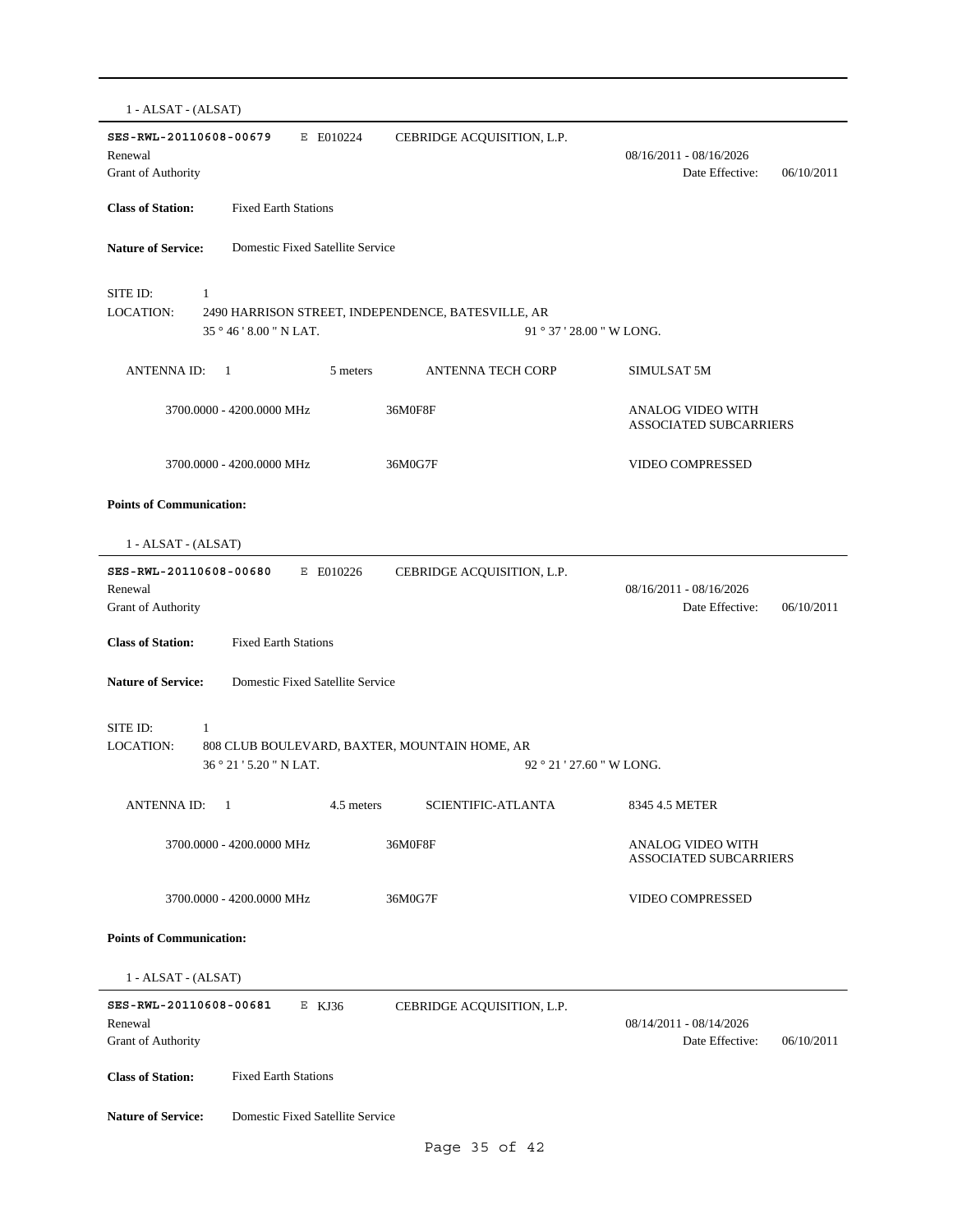| 1 - ALSAT - (ALSAT)                                                                                                           |                                                          |
|-------------------------------------------------------------------------------------------------------------------------------|----------------------------------------------------------|
| SES-RWL-20110608-00679<br>E E010224<br>CEBRIDGE ACQUISITION, L.P.<br>Renewal<br>Grant of Authority                            | 08/16/2011 - 08/16/2026<br>Date Effective:<br>06/10/2011 |
| <b>Class of Station:</b><br><b>Fixed Earth Stations</b>                                                                       |                                                          |
| <b>Nature of Service:</b><br>Domestic Fixed Satellite Service                                                                 |                                                          |
| SITE ID:<br>$\mathbf{1}$<br><b>LOCATION:</b><br>2490 HARRISON STREET, INDEPENDENCE, BATESVILLE, AR<br>35 ° 46 ' 8.00 " N LAT. | $91°37'28.00''$ W LONG.                                  |
| <b>ANTENNA ID:</b><br><b>ANTENNA TECH CORP</b><br>-1<br>5 meters                                                              | SIMULSAT 5M                                              |
| 3700.0000 - 4200.0000 MHz<br>36M0F8F                                                                                          | ANALOG VIDEO WITH<br><b>ASSOCIATED SUBCARRIERS</b>       |
| 3700.0000 - 4200.0000 MHz<br>36M0G7F                                                                                          | VIDEO COMPRESSED                                         |
| <b>Points of Communication:</b>                                                                                               |                                                          |
| 1 - ALSAT - (ALSAT)                                                                                                           |                                                          |
| SES-RWL-20110608-00680<br>E E010226<br>CEBRIDGE ACQUISITION, L.P.<br>Renewal<br>Grant of Authority                            | 08/16/2011 - 08/16/2026<br>Date Effective:<br>06/10/2011 |
| <b>Class of Station:</b><br><b>Fixed Earth Stations</b>                                                                       |                                                          |
| <b>Nature of Service:</b><br>Domestic Fixed Satellite Service                                                                 |                                                          |
| SITE ID:<br>$\mathbf{1}$<br><b>LOCATION:</b><br>808 CLUB BOULEVARD, BAXTER, MOUNTAIN HOME, AR<br>36 ° 21 ' 5.20 " N LAT.      | 92 ° 21 ' 27.60 " W LONG.                                |
| SCIENTIFIC-ATLANTA<br>ANTENNA ID:<br>1<br>4.5 meters                                                                          | 8345 4.5 METER                                           |
| 3700.0000 - 4200.0000 MHz<br>36M0F8F                                                                                          | ANALOG VIDEO WITH<br><b>ASSOCIATED SUBCARRIERS</b>       |
| 3700.0000 - 4200.0000 MHz<br>36M0G7F                                                                                          | VIDEO COMPRESSED                                         |
| <b>Points of Communication:</b>                                                                                               |                                                          |
| 1 - ALSAT - (ALSAT)                                                                                                           |                                                          |
| SES-RWL-20110608-00681<br>E KJ36<br>CEBRIDGE ACQUISITION, L.P.<br>Renewal<br><b>Grant of Authority</b>                        | 08/14/2011 - 08/14/2026<br>Date Effective:<br>06/10/2011 |
| <b>Class of Station:</b><br><b>Fixed Earth Stations</b>                                                                       |                                                          |
| <b>Nature of Service:</b><br>Domestic Fixed Satellite Service                                                                 |                                                          |
| Page 35 of 42                                                                                                                 |                                                          |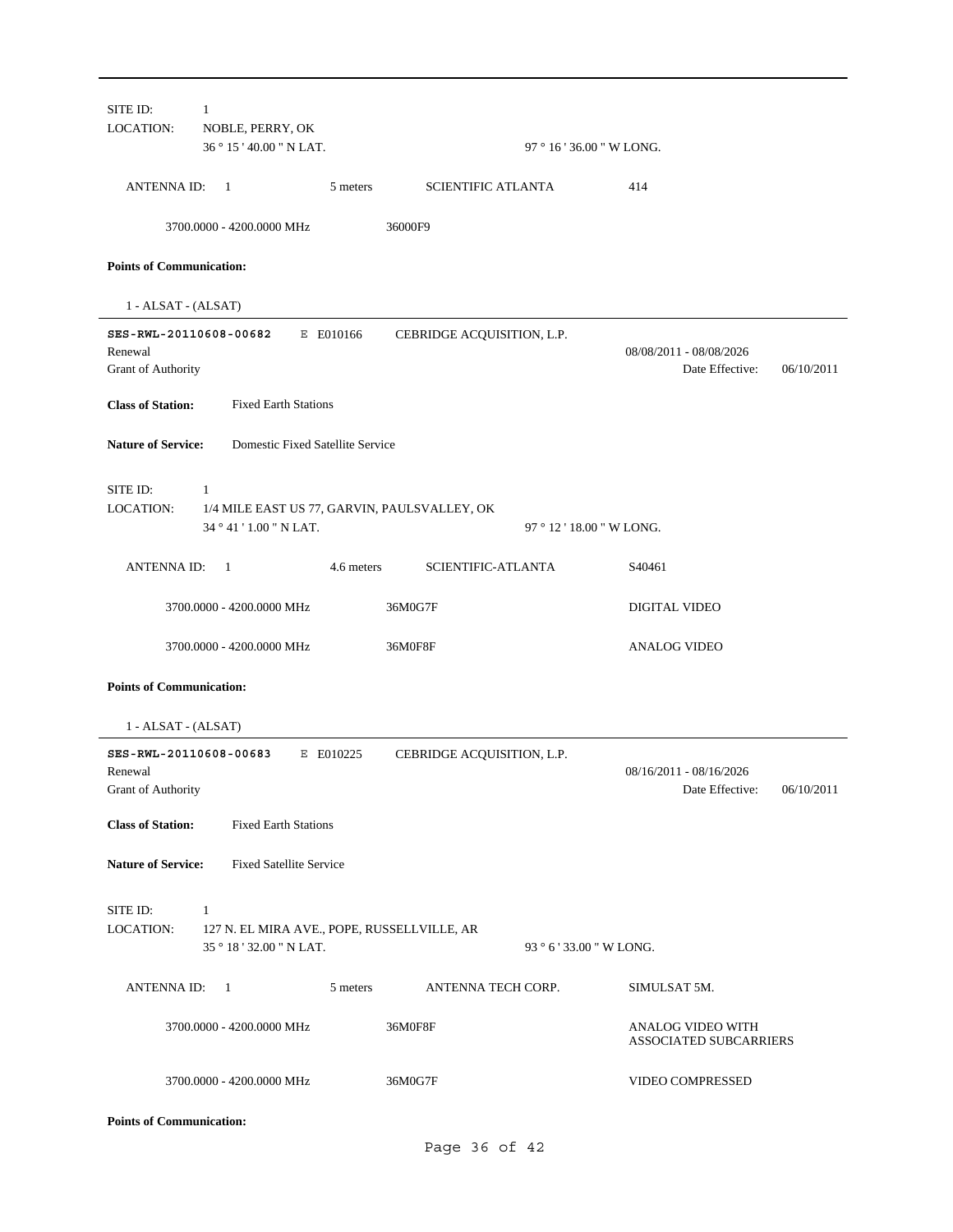| <b>LOCATION:</b>                      | NOBLE, PERRY, OK                                                             |                            |                                                          |
|---------------------------------------|------------------------------------------------------------------------------|----------------------------|----------------------------------------------------------|
|                                       | 36 ° 15 ' 40.00 " N LAT.                                                     | 97 ° 16 ' 36.00 " W LONG.  |                                                          |
| ANTENNA ID:                           | $\overline{1}$<br>5 meters                                                   | <b>SCIENTIFIC ATLANTA</b>  | 414                                                      |
|                                       | 3700.0000 - 4200.0000 MHz                                                    | 36000F9                    |                                                          |
| <b>Points of Communication:</b>       |                                                                              |                            |                                                          |
| 1 - ALSAT - (ALSAT)                   |                                                                              |                            |                                                          |
| Renewal<br>Grant of Authority         | SES-RWL-20110608-00682<br>E E010166                                          | CEBRIDGE ACQUISITION, L.P. | 08/08/2011 - 08/08/2026<br>Date Effective:<br>06/10/2011 |
| <b>Class of Station:</b>              | <b>Fixed Earth Stations</b>                                                  |                            |                                                          |
| <b>Nature of Service:</b>             | Domestic Fixed Satellite Service                                             |                            |                                                          |
| SITE ID:<br><b>LOCATION:</b>          | 1<br>1/4 MILE EAST US 77, GARVIN, PAULSVALLEY, OK<br>34 ° 41 ' 1.00 " N LAT. | 97 ° 12 ' 18.00 " W LONG.  |                                                          |
| <b>ANTENNA ID:</b>                    | 4.6 meters<br>$\overline{1}$                                                 | <b>SCIENTIFIC-ATLANTA</b>  | S40461                                                   |
|                                       | 3700.0000 - 4200.0000 MHz                                                    | 36M0G7F                    | <b>DIGITAL VIDEO</b>                                     |
|                                       |                                                                              |                            |                                                          |
|                                       | 3700.0000 - 4200.0000 MHz                                                    | 36M0F8F                    | <b>ANALOG VIDEO</b>                                      |
| <b>Points of Communication:</b>       |                                                                              |                            |                                                          |
| 1 - ALSAT - (ALSAT)                   |                                                                              |                            |                                                          |
| Renewal<br><b>Grant of Authority</b>  | SES-RWL-20110608-00683<br>E E010225                                          | CEBRIDGE ACQUISITION, L.P. | 08/16/2011 - 08/16/2026<br>Date Effective:               |
| <b>Class of Station:</b>              | <b>Fixed Earth Stations</b>                                                  |                            | 06/10/2011                                               |
|                                       | <b>Fixed Satellite Service</b>                                               |                            |                                                          |
| <b>Nature of Service:</b><br>SITE ID: | 1                                                                            |                            |                                                          |
| LOCATION:                             | 127 N. EL MIRA AVE., POPE, RUSSELLVILLE, AR<br>35 ° 18 ' 32.00 " N LAT.      | 93 ° 6 ' 33.00 " W LONG.   |                                                          |
| <b>ANTENNA ID:</b>                    | 5 meters<br>$\overline{1}$                                                   | ANTENNA TECH CORP.         | SIMULSAT 5M.                                             |
|                                       | 3700.0000 - 4200.0000 MHz                                                    | 36M0F8F                    | ANALOG VIDEO WITH<br><b>ASSOCIATED SUBCARRIERS</b>       |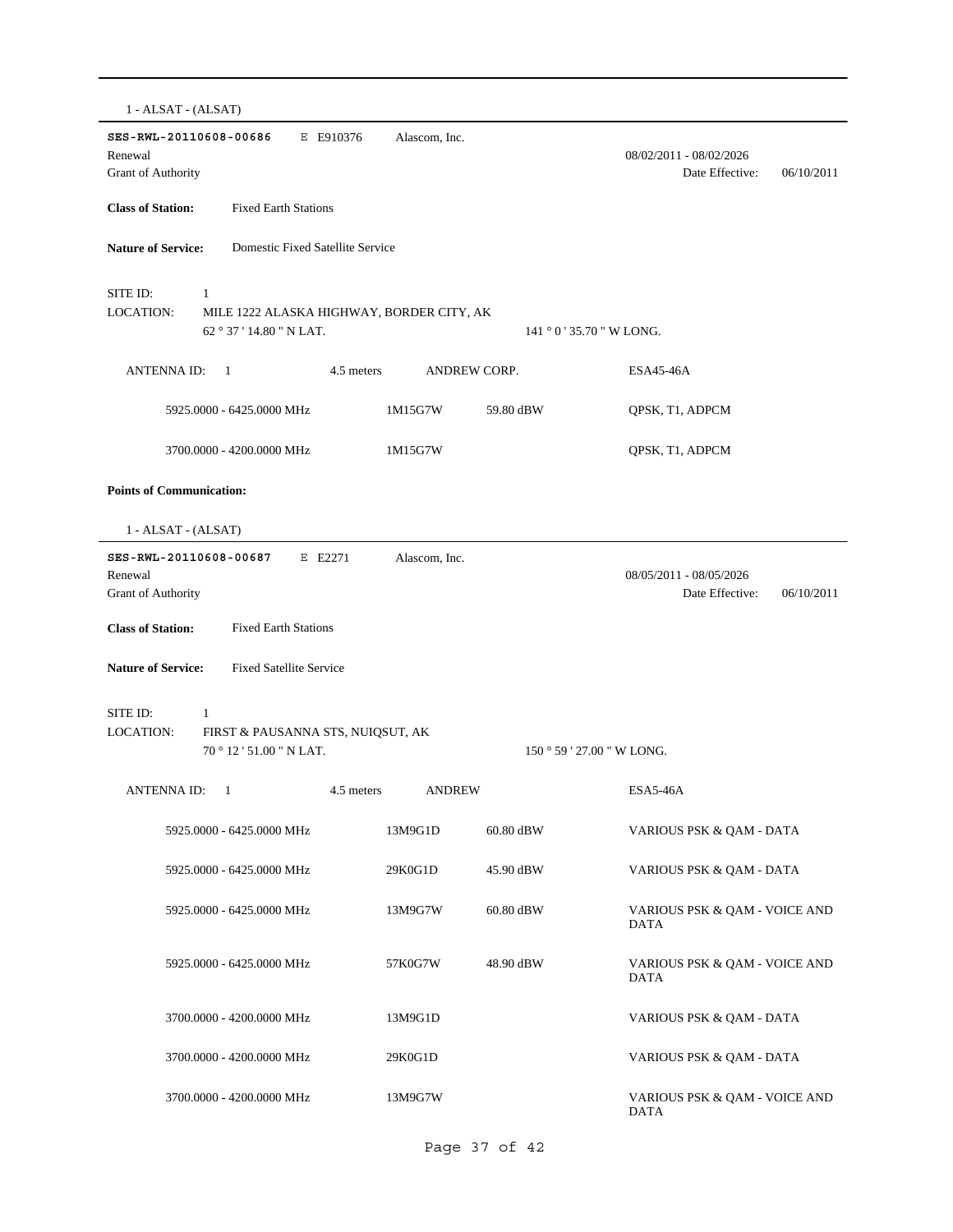| 1 - ALSAT - (ALSAT)                                                                                 |                             |                     |                                                          |
|-----------------------------------------------------------------------------------------------------|-----------------------------|---------------------|----------------------------------------------------------|
| SES-RWL-20110608-00686<br>E E910376<br>Renewal<br><b>Grant of Authority</b>                         | Alascom, Inc.               |                     | 08/02/2011 - 08/02/2026<br>Date Effective:<br>06/10/2011 |
| <b>Class of Station:</b><br><b>Fixed Earth Stations</b>                                             |                             |                     |                                                          |
| <b>Nature of Service:</b><br>Domestic Fixed Satellite Service                                       |                             |                     |                                                          |
| SITE ID:<br>1<br>LOCATION:<br>MILE 1222 ALASKA HIGHWAY, BORDER CITY, AK<br>62 ° 37 ' 14.80 " N LAT. |                             |                     | $141°0'35.70"$ W LONG.                                   |
| <b>ANTENNA ID:</b><br>$\mathbf{1}$                                                                  | 4.5 meters                  | <b>ANDREW CORP.</b> | ESA45-46A                                                |
| 5925.0000 - 6425.0000 MHz                                                                           | 1M15G7W                     | 59.80 dBW           | QPSK, T1, ADPCM                                          |
| 3700.0000 - 4200.0000 MHz                                                                           | 1M15G7W                     |                     | QPSK, T1, ADPCM                                          |
| <b>Points of Communication:</b>                                                                     |                             |                     |                                                          |
| 1 - ALSAT - (ALSAT)                                                                                 |                             |                     |                                                          |
| SES-RWL-20110608-00687<br>E E2271<br>Renewal<br>Grant of Authority                                  | Alascom, Inc.               |                     | 08/05/2011 - 08/05/2026<br>Date Effective:<br>06/10/2011 |
| <b>Class of Station:</b><br><b>Fixed Earth Stations</b>                                             |                             |                     |                                                          |
| <b>Nature of Service:</b><br><b>Fixed Satellite Service</b>                                         |                             |                     |                                                          |
| SITE ID:<br>1<br>LOCATION:<br>FIRST & PAUSANNA STS, NUIQSUT, AK<br>70 ° 12 ' 51.00 " N LAT.         |                             |                     | $150°59'27.00"$ W LONG.                                  |
| <b>ANTENNA ID:</b><br>1                                                                             | 4.5 meters<br><b>ANDREW</b> |                     | <b>ESA5-46A</b>                                          |
| 5925.0000 - 6425.0000 MHz                                                                           | 13M9G1D                     | 60.80 dBW           | VARIOUS PSK & QAM - DATA                                 |
| 5925.0000 - 6425.0000 MHz                                                                           | 29K0G1D                     | 45.90 dBW           | VARIOUS PSK & QAM - DATA                                 |
| 5925.0000 - 6425.0000 MHz                                                                           | 13M9G7W                     | 60.80 dBW           | VARIOUS PSK & QAM - VOICE AND<br><b>DATA</b>             |
| 5925.0000 - 6425.0000 MHz                                                                           | 57K0G7W                     | 48.90 dBW           | VARIOUS PSK & QAM - VOICE AND<br><b>DATA</b>             |
| 3700.0000 - 4200.0000 MHz                                                                           | 13M9G1D                     |                     | VARIOUS PSK & QAM - DATA                                 |
| 3700.0000 - 4200.0000 MHz                                                                           | 29K0G1D                     |                     | VARIOUS PSK & QAM - DATA                                 |
| 3700.0000 - 4200.0000 MHz                                                                           | 13M9G7W                     |                     | VARIOUS PSK & QAM - VOICE AND<br><b>DATA</b>             |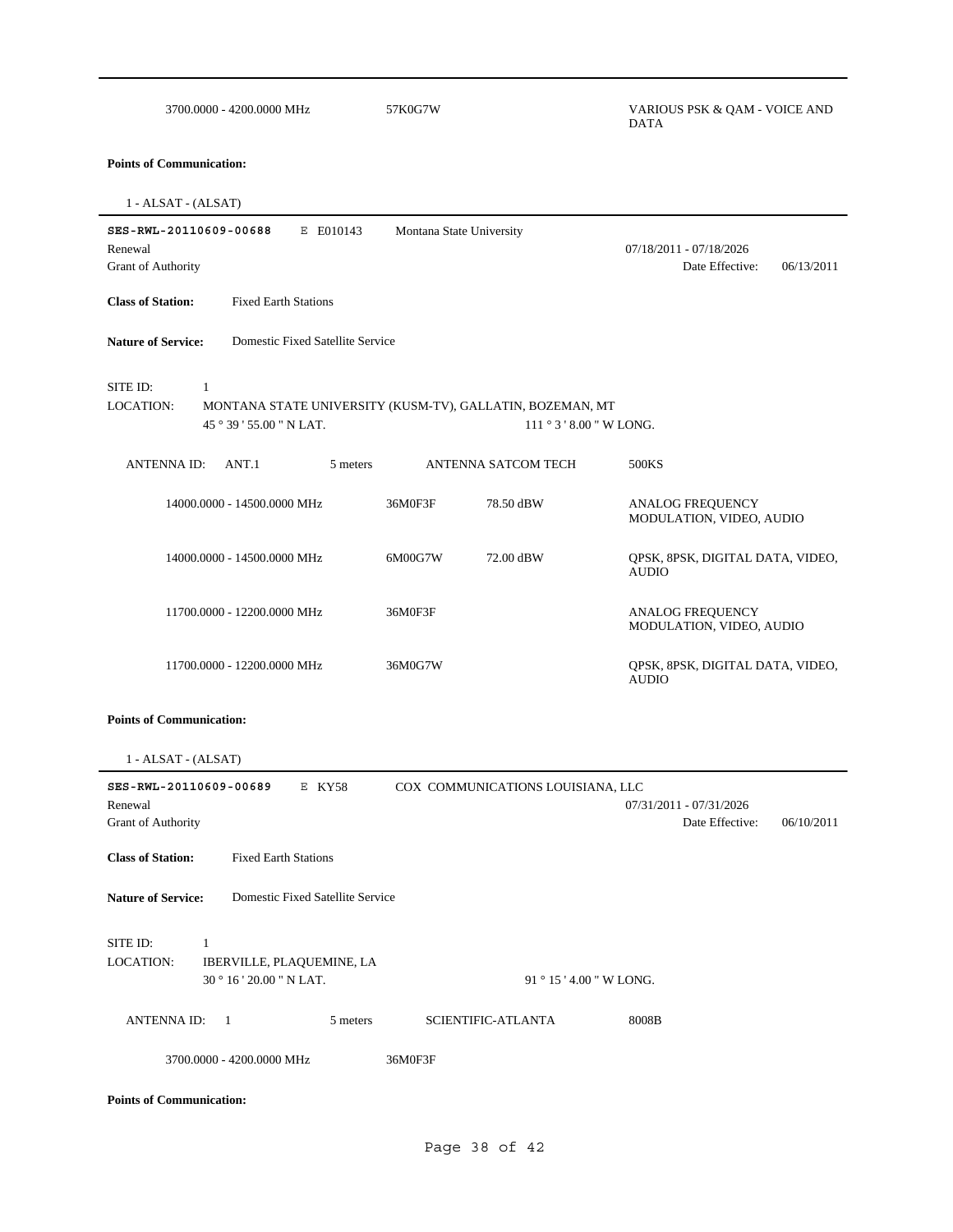| 3700.0000 - 4200.0000 MHz                                                      | 57K0G7W                                                                             | VARIOUS PSK & QAM - VOICE AND<br><b>DATA</b>             |
|--------------------------------------------------------------------------------|-------------------------------------------------------------------------------------|----------------------------------------------------------|
| <b>Points of Communication:</b>                                                |                                                                                     |                                                          |
| 1 - ALSAT - (ALSAT)                                                            |                                                                                     |                                                          |
| SES-RWL-20110609-00688<br>E E010143<br>Renewal<br>Grant of Authority           | Montana State University                                                            | 07/18/2011 - 07/18/2026<br>Date Effective:<br>06/13/2011 |
| <b>Class of Station:</b><br><b>Fixed Earth Stations</b>                        |                                                                                     |                                                          |
| <b>Nature of Service:</b><br>Domestic Fixed Satellite Service                  |                                                                                     |                                                          |
| SITE ID:<br>$\mathbf{1}$<br><b>LOCATION:</b><br>45 ° 39 ' 55.00 " N LAT.       | MONTANA STATE UNIVERSITY (KUSM-TV), GALLATIN, BOZEMAN, MT<br>$111°3'8.00''$ W LONG. |                                                          |
| ANTENNA ID:<br>ANT.1<br>5 meters                                               | ANTENNA SATCOM TECH                                                                 | 500KS                                                    |
| 14000.0000 - 14500.0000 MHz                                                    | 36M0F3F<br>78.50 dBW                                                                | ANALOG FREQUENCY<br>MODULATION, VIDEO, AUDIO             |
| 14000.0000 - 14500.0000 MHz                                                    | 72.00 dBW<br>6M00G7W                                                                | QPSK, 8PSK, DIGITAL DATA, VIDEO,<br><b>AUDIO</b>         |
| 11700.0000 - 12200.0000 MHz                                                    | 36M0F3F                                                                             | <b>ANALOG FREQUENCY</b><br>MODULATION, VIDEO, AUDIO      |
| 11700.0000 - 12200.0000 MHz                                                    | 36M0G7W                                                                             | QPSK, 8PSK, DIGITAL DATA, VIDEO,<br><b>AUDIO</b>         |
| <b>Points of Communication:</b>                                                |                                                                                     |                                                          |
| 1 - ALSAT - (ALSAT)                                                            |                                                                                     |                                                          |
| SES-RWL-20110609-00689<br>E KY58<br>Renewal                                    | COX COMMUNICATIONS LOUISIANA, LLC                                                   | 07/31/2011 - 07/31/2026                                  |
| Grant of Authority                                                             |                                                                                     | Date Effective:<br>06/10/2011                            |
| <b>Fixed Earth Stations</b><br><b>Class of Station:</b>                        |                                                                                     |                                                          |
| <b>Nature of Service:</b><br>Domestic Fixed Satellite Service                  |                                                                                     |                                                          |
| SITE ID:<br>1<br>LOCATION:<br>IBERVILLE, PLAQUEMINE, LA<br>30°16'20.00" N LAT. | $91^{\circ} 15' 4.00''$ W LONG.                                                     |                                                          |
| <b>ANTENNAID:</b><br>$\overline{1}$<br>5 meters                                | SCIENTIFIC-ATLANTA                                                                  | 8008B                                                    |
| 3700.0000 - 4200.0000 MHz                                                      | 36M0F3F                                                                             |                                                          |
| <b>Points of Communication:</b>                                                |                                                                                     |                                                          |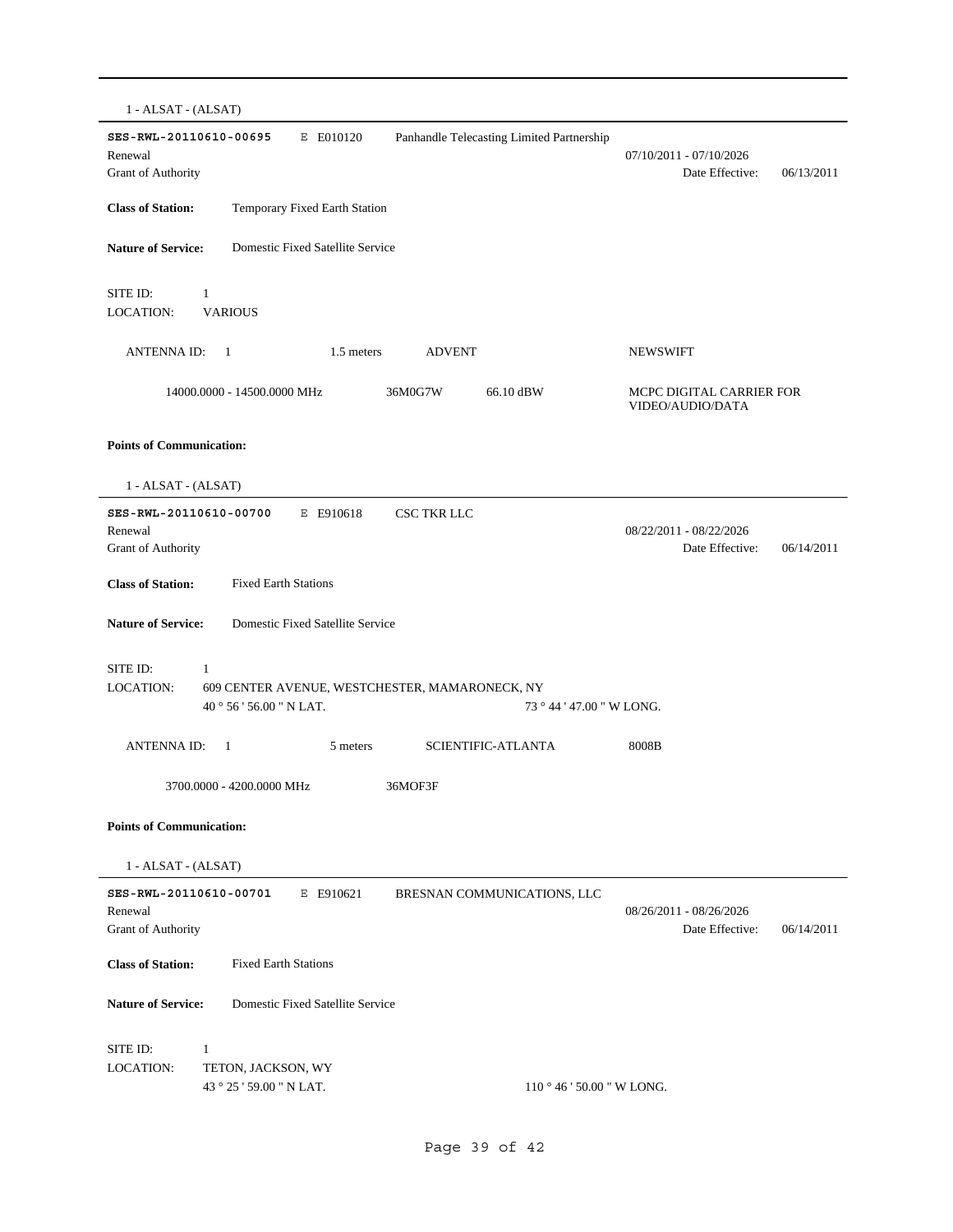1 - ALSAT - (ALSAT) **SES-RWL-20110610-00695** E E010120 Date Effective: 06/13/2011 **Class of Station:** Temporary Fixed Earth Station Grant of Authority Renewal 07/10/2011 - 07/10/2026 Panhandle Telecasting Limited Partnership **Nature of Service:** Domestic Fixed Satellite Service SITE ID: 1 LOCATION: VARIOUS ANTENNA ID: 1 1.5 meters ADVENT NEWSWIFT 66.10 dBW MCPC DIGITAL CARRIER FOR VIDEO/AUDIO/DATA 14000.0000 - 14500.0000 MHz 36M0G7W **Points of Communication:** 1 - ALSAT - (ALSAT) **SES-RWL-20110610-00700** E E910618 Date Effective: 06/14/2011 **Class of Station:** Fixed Earth Stations Grant of Authority Renewal 08/22/2011 - 08/22/2026 CSC TKR LLC **Nature of Service:** Domestic Fixed Satellite Service 40 ° 56 ' 56.00 " N LAT. SITE ID: 1 609 CENTER AVENUE, WESTCHESTER, MAMARONECK, NY 73 ° 44 ' 47.00 " W LONG. LOCATION: ANTENNA ID: 1 5 meters SCIENTIFIC-ATLANTA 8008B 3700.0000 - 4200.0000 MHz 36MOF3F **Points of Communication:** 1 - ALSAT - (ALSAT) **SES-RWL-20110610-00701** E E910621 Date Effective: 06/14/2011 **Class of Station:** Fixed Earth Stations Grant of Authority Renewal 08/26/2011 - 08/26/2026 BRESNAN COMMUNICATIONS, LLC **Nature of Service:** Domestic Fixed Satellite Service 43 ° 25 ' 59.00 " N LAT. SITE ID: 1 TETON, JACKSON, WY 110 ° 46 ' 50.00 " W LONG. LOCATION: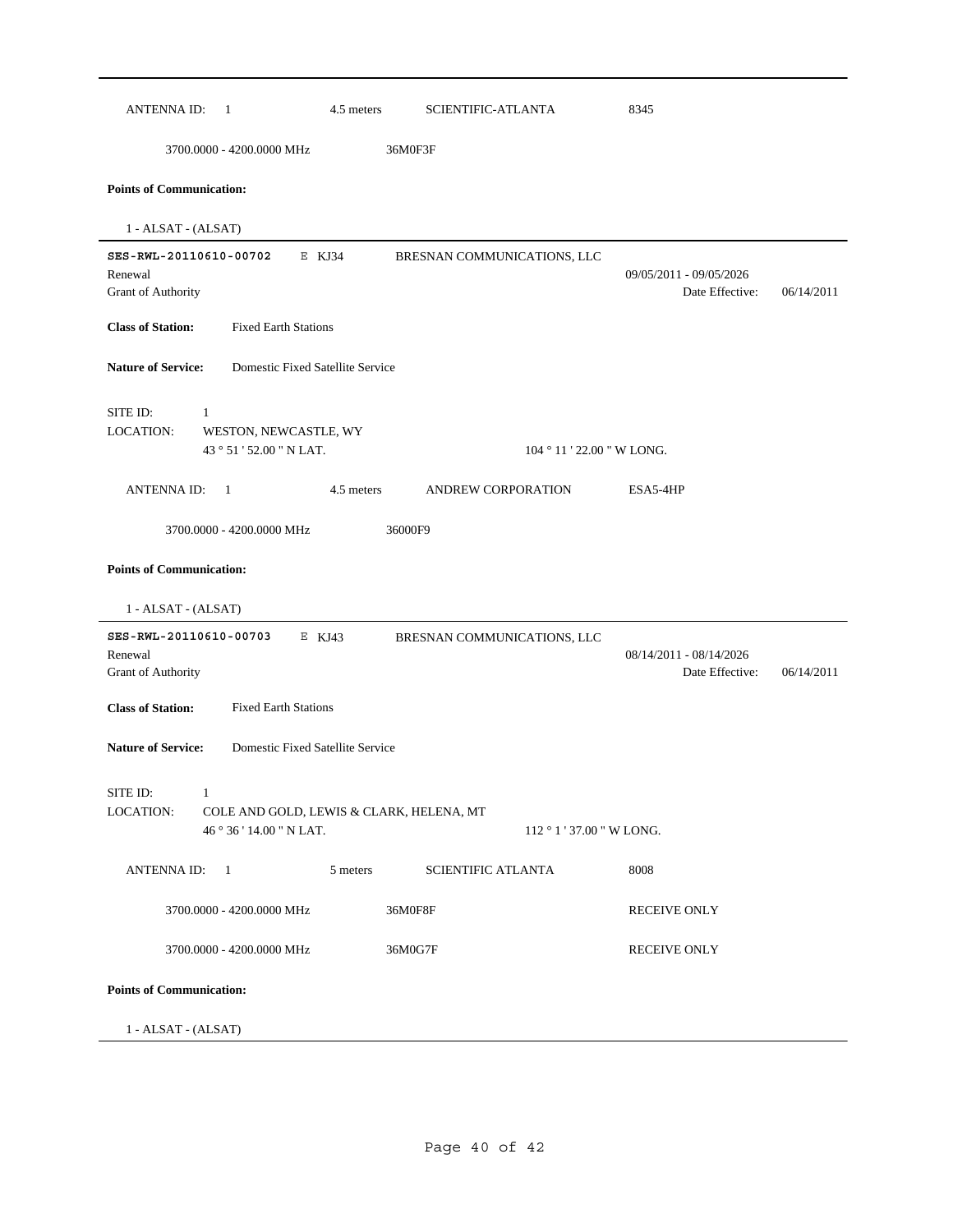| <b>ANTENNA ID:</b><br>-1                                                                                  | 4.5 meters<br><b>SCIENTIFIC-ATLANTA</b> | 8345                                       |            |
|-----------------------------------------------------------------------------------------------------------|-----------------------------------------|--------------------------------------------|------------|
| 3700.0000 - 4200.0000 MHz                                                                                 | 36M0F3F                                 |                                            |            |
| <b>Points of Communication:</b>                                                                           |                                         |                                            |            |
| $1 - ALSAT - (ALSAT)$                                                                                     |                                         |                                            |            |
| SES-RWL-20110610-00702<br>E KJ34<br>Renewal<br>Grant of Authority                                         | BRESNAN COMMUNICATIONS, LLC             | 09/05/2011 - 09/05/2026<br>Date Effective: | 06/14/2011 |
| <b>Class of Station:</b><br><b>Fixed Earth Stations</b>                                                   |                                         |                                            |            |
| Domestic Fixed Satellite Service<br><b>Nature of Service:</b>                                             |                                         |                                            |            |
| SITE ID:<br>1<br>LOCATION:<br>WESTON, NEWCASTLE, WY<br>43 ° 51 ' 52.00 " N LAT.                           |                                         | $104 \degree 11$ ' 22.00 " W LONG.         |            |
| <b>ANTENNAID:</b><br>-1                                                                                   | 4.5 meters<br>ANDREW CORPORATION        | ESA5-4HP                                   |            |
| 1 - ALSAT - (ALSAT)<br>SES-RWL-20110610-00703<br>E KJ43<br>Renewal<br>Grant of Authority                  | BRESNAN COMMUNICATIONS, LLC             | 08/14/2011 - 08/14/2026<br>Date Effective: | 06/14/2011 |
| <b>Class of Station:</b><br><b>Fixed Earth Stations</b>                                                   |                                         |                                            |            |
| <b>Nature of Service:</b><br>Domestic Fixed Satellite Service                                             |                                         |                                            |            |
| SITE ID:<br>$\sim$ 1<br>LOCATION:<br>COLE AND GOLD, LEWIS & CLARK, HELENA, MT<br>46 ° 36 ' 14.00 " N LAT. |                                         | $112 \degree 1$ ' 37.00 " W LONG.          |            |
| 5 meters<br>ANTENNA ID:<br>$\overline{1}$                                                                 | <b>SCIENTIFIC ATLANTA</b>               | 8008                                       |            |
| 3700.0000 - 4200.0000 MHz                                                                                 | 36M0F8F                                 | <b>RECEIVE ONLY</b>                        |            |
| 3700.0000 - 4200.0000 MHz                                                                                 | 36M0G7F                                 | <b>RECEIVE ONLY</b>                        |            |
| <b>Points of Communication:</b>                                                                           |                                         |                                            |            |
| 1 - ALSAT - (ALSAT)                                                                                       |                                         |                                            |            |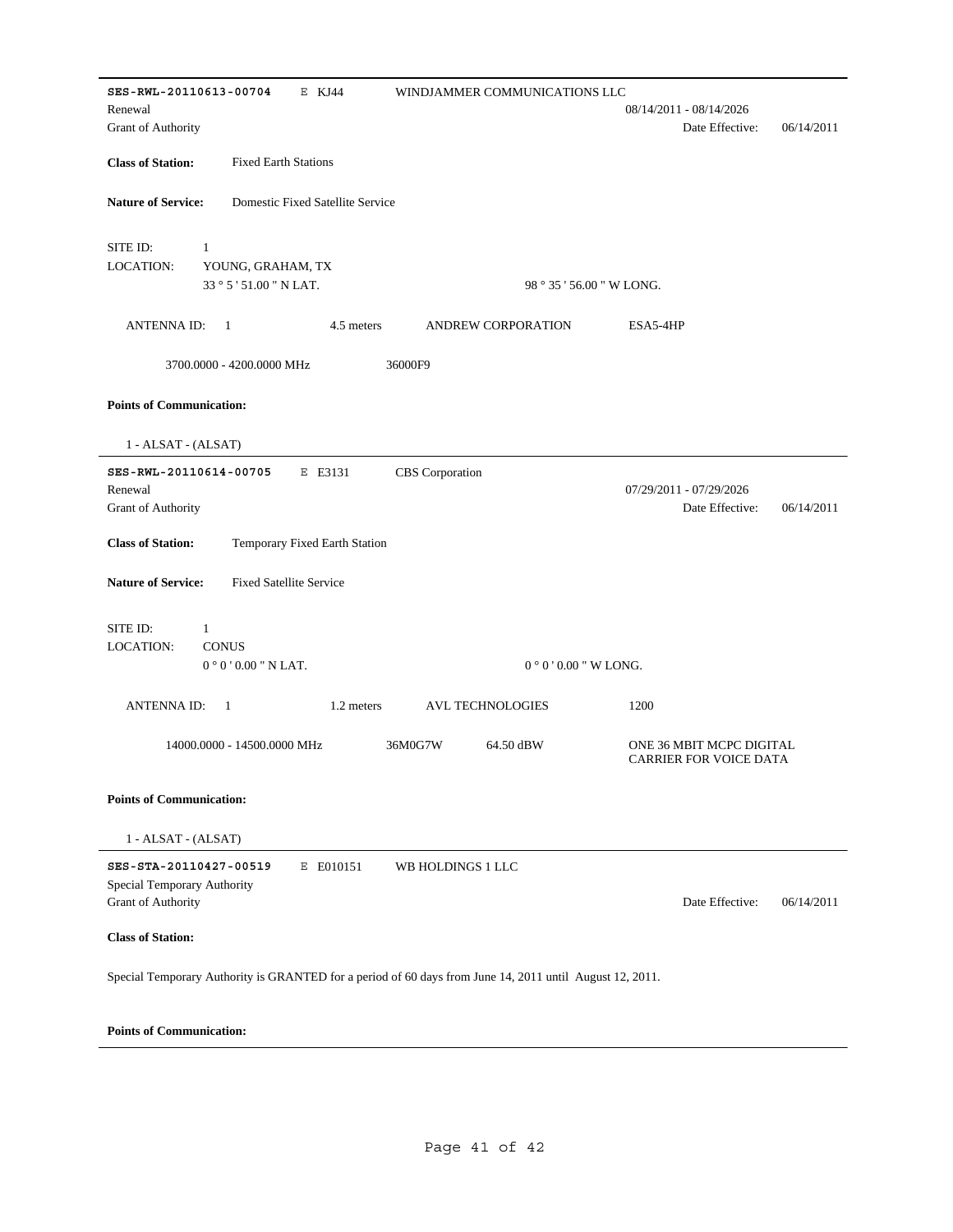| SES-RWL-20110613-00704<br>E KJ44                                                                         | WINDJAMMER COMMUNICATIONS LLC |                                                           |
|----------------------------------------------------------------------------------------------------------|-------------------------------|-----------------------------------------------------------|
| Renewal                                                                                                  |                               | 08/14/2011 - 08/14/2026                                   |
| Grant of Authority                                                                                       |                               | Date Effective:<br>06/14/2011                             |
| <b>Class of Station:</b><br><b>Fixed Earth Stations</b>                                                  |                               |                                                           |
| <b>Nature of Service:</b><br>Domestic Fixed Satellite Service                                            |                               |                                                           |
| SITE ID:<br>$\mathbf{1}$                                                                                 |                               |                                                           |
| <b>LOCATION:</b><br>YOUNG, GRAHAM, TX                                                                    |                               |                                                           |
| 33 ° 5 ' 51.00 " N LAT.                                                                                  | 98 ° 35 ' 56.00 " W LONG.     |                                                           |
|                                                                                                          |                               |                                                           |
| <b>ANTENNAID:</b><br>1<br>4.5 meters                                                                     | <b>ANDREW CORPORATION</b>     | ESA5-4HP                                                  |
| 3700.0000 - 4200.0000 MHz                                                                                | 36000F9                       |                                                           |
| <b>Points of Communication:</b>                                                                          |                               |                                                           |
| 1 - ALSAT - (ALSAT)                                                                                      |                               |                                                           |
| SES-RWL-20110614-00705<br>E E3131                                                                        | CBS Corporation               |                                                           |
| Renewal                                                                                                  |                               | 07/29/2011 - 07/29/2026                                   |
| Grant of Authority                                                                                       |                               | Date Effective:<br>06/14/2011                             |
|                                                                                                          |                               |                                                           |
| <b>Class of Station:</b><br>Temporary Fixed Earth Station                                                |                               |                                                           |
| <b>Nature of Service:</b><br><b>Fixed Satellite Service</b>                                              |                               |                                                           |
| SITE ID:<br>$\mathbf{1}$                                                                                 |                               |                                                           |
| <b>LOCATION:</b><br><b>CONUS</b>                                                                         |                               |                                                           |
| $0°0'0.00"$ N LAT.                                                                                       | $0°0'0.00''$ W LONG.          |                                                           |
|                                                                                                          |                               |                                                           |
| <b>ANTENNA ID:</b><br>1<br>1.2 meters                                                                    | <b>AVL TECHNOLOGIES</b>       | 1200                                                      |
| 14000.0000 - 14500.0000 MHz                                                                              | 36M0G7W<br>64.50 dBW          | ONE 36 MBIT MCPC DIGITAL<br><b>CARRIER FOR VOICE DATA</b> |
| <b>Points of Communication:</b>                                                                          |                               |                                                           |
| 1 - ALSAT - (ALSAT)                                                                                      |                               |                                                           |
| E E010151<br>SES-STA-20110427-00519<br>Special Temporary Authority<br><b>Grant of Authority</b>          | WB HOLDINGS 1 LLC             | Date Effective:<br>06/14/2011                             |
|                                                                                                          |                               |                                                           |
| <b>Class of Station:</b>                                                                                 |                               |                                                           |
| Special Temporary Authority is GRANTED for a period of 60 days from June 14, 2011 until August 12, 2011. |                               |                                                           |
|                                                                                                          |                               |                                                           |